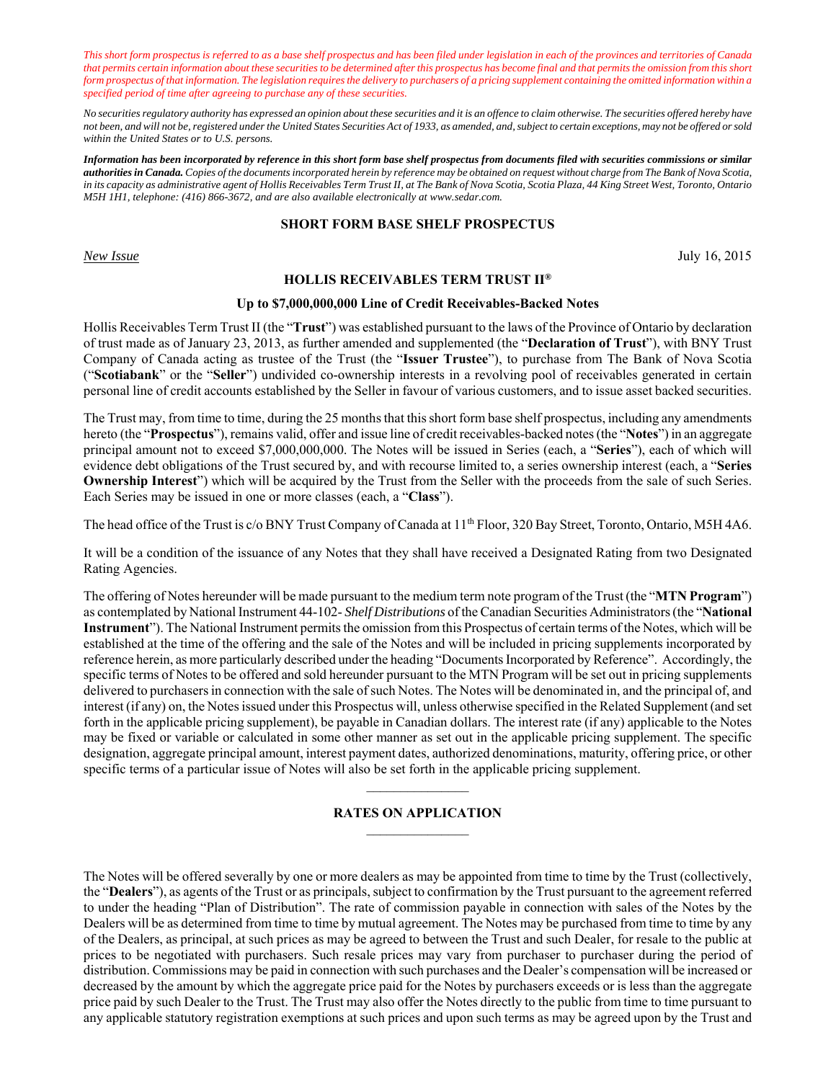*This short form prospectus is referred to as a base shelf prospectus and has been filed under legislation in each of the provinces and territories of Canada that permits certain information about these securities to be determined after this prospectus has become final and that permits the omission from this short form prospectus of that information. The legislation requires the delivery to purchasers of a pricing supplement containing the omitted information within a specified period of time after agreeing to purchase any of these securities.* 

*No securities regulatory authority has expressed an opinion about these securities and it is an offence to claim otherwise. The securities offered hereby have not been, and will not be, registered under the United States Securities Act of 1933, as amended, and, subject to certain exceptions, may not be offered or sold within the United States or to U.S. persons.*

*Information has been incorporated by reference in this short form base shelf prospectus from documents filed with securities commissions or similar authorities in Canada. Copies of the documents incorporated herein by reference may be obtained on request without charge from The Bank of Nova Scotia, in its capacity as administrative agent of Hollis Receivables Term Trust II, at The Bank of Nova Scotia, Scotia Plaza, 44 King Street West, Toronto, Ontario M5H 1H1, telephone: (416) 866-3672, and are also available electronically at www.sedar.com.* 

## **SHORT FORM BASE SHELF PROSPECTUS**

*New Issue* July 16, 2015

## **HOLLIS RECEIVABLES TERM TRUST II®**

#### **Up to \$7,000,000,000 Line of Credit Receivables-Backed Notes**

Hollis Receivables Term Trust II (the "**Trust**") was established pursuant to the laws of the Province of Ontario by declaration of trust made as of January 23, 2013, as further amended and supplemented (the "**Declaration of Trust**"), with BNY Trust Company of Canada acting as trustee of the Trust (the "**Issuer Trustee**"), to purchase from The Bank of Nova Scotia ("**Scotiabank**" or the "**Seller**") undivided co-ownership interests in a revolving pool of receivables generated in certain personal line of credit accounts established by the Seller in favour of various customers, and to issue asset backed securities.

The Trust may, from time to time, during the 25 months that this short form base shelf prospectus, including any amendments hereto (the "**Prospectus**"), remains valid, offer and issue line of credit receivables-backed notes (the "**Notes**") in an aggregate principal amount not to exceed \$7,000,000,000. The Notes will be issued in Series (each, a "**Series**"), each of which will evidence debt obligations of the Trust secured by, and with recourse limited to, a series ownership interest (each, a "**Series Ownership Interest**") which will be acquired by the Trust from the Seller with the proceeds from the sale of such Series. Each Series may be issued in one or more classes (each, a "**Class**").

The head office of the Trust is c/o BNY Trust Company of Canada at 11<sup>th</sup> Floor, 320 Bay Street, Toronto, Ontario, M5H 4A6.

It will be a condition of the issuance of any Notes that they shall have received a Designated Rating from two Designated Rating Agencies.

The offering of Notes hereunder will be made pursuant to the medium term note program of the Trust (the "**MTN Program**") as contemplated by National Instrument 44-102- *Shelf Distributions* of the Canadian Securities Administrators (the "**National Instrument**"). The National Instrument permits the omission from this Prospectus of certain terms of the Notes, which will be established at the time of the offering and the sale of the Notes and will be included in pricing supplements incorporated by reference herein, as more particularly described under the heading "Documents Incorporated by Reference". Accordingly, the specific terms of Notes to be offered and sold hereunder pursuant to the MTN Program will be set out in pricing supplements delivered to purchasers in connection with the sale of such Notes. The Notes will be denominated in, and the principal of, and interest (if any) on, the Notes issued under this Prospectus will, unless otherwise specified in the Related Supplement (and set forth in the applicable pricing supplement), be payable in Canadian dollars. The interest rate (if any) applicable to the Notes may be fixed or variable or calculated in some other manner as set out in the applicable pricing supplement. The specific designation, aggregate principal amount, interest payment dates, authorized denominations, maturity, offering price, or other specific terms of a particular issue of Notes will also be set forth in the applicable pricing supplement.

## **RATES ON APPLICATION**

 $\frac{1}{2}$ 

The Notes will be offered severally by one or more dealers as may be appointed from time to time by the Trust (collectively, the "**Dealers**"), as agents of the Trust or as principals, subject to confirmation by the Trust pursuant to the agreement referred to under the heading "Plan of Distribution". The rate of commission payable in connection with sales of the Notes by the Dealers will be as determined from time to time by mutual agreement. The Notes may be purchased from time to time by any of the Dealers, as principal, at such prices as may be agreed to between the Trust and such Dealer, for resale to the public at prices to be negotiated with purchasers. Such resale prices may vary from purchaser to purchaser during the period of distribution. Commissions may be paid in connection with such purchases and the Dealer's compensation will be increased or decreased by the amount by which the aggregate price paid for the Notes by purchasers exceeds or is less than the aggregate price paid by such Dealer to the Trust. The Trust may also offer the Notes directly to the public from time to time pursuant to any applicable statutory registration exemptions at such prices and upon such terms as may be agreed upon by the Trust and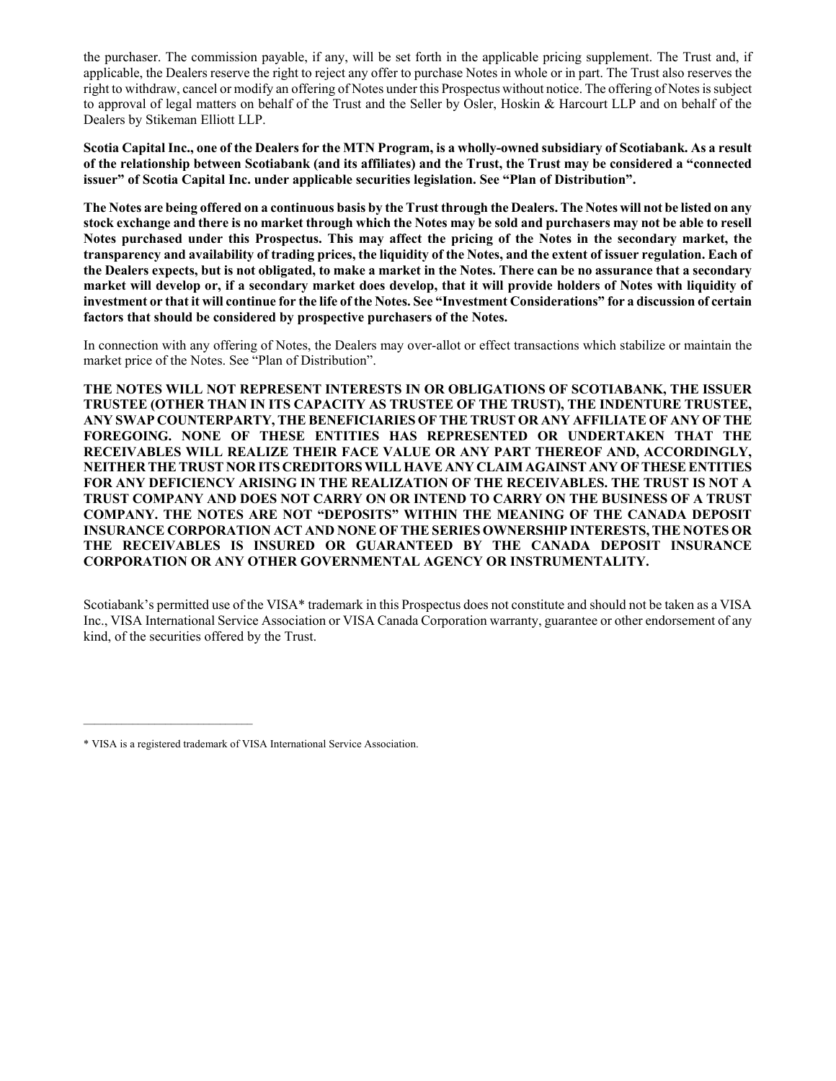the purchaser. The commission payable, if any, will be set forth in the applicable pricing supplement. The Trust and, if applicable, the Dealers reserve the right to reject any offer to purchase Notes in whole or in part. The Trust also reserves the right to withdraw, cancel or modify an offering of Notes under this Prospectus without notice. The offering of Notes is subject to approval of legal matters on behalf of the Trust and the Seller by Osler, Hoskin & Harcourt LLP and on behalf of the Dealers by Stikeman Elliott LLP.

**Scotia Capital Inc., one of the Dealers for the MTN Program, is a wholly-owned subsidiary of Scotiabank. As a result of the relationship between Scotiabank (and its affiliates) and the Trust, the Trust may be considered a "connected issuer" of Scotia Capital Inc. under applicable securities legislation. See "Plan of Distribution".** 

**The Notes are being offered on a continuous basis by the Trust through the Dealers. The Notes will not be listed on any stock exchange and there is no market through which the Notes may be sold and purchasers may not be able to resell Notes purchased under this Prospectus. This may affect the pricing of the Notes in the secondary market, the transparency and availability of trading prices, the liquidity of the Notes, and the extent of issuer regulation. Each of the Dealers expects, but is not obligated, to make a market in the Notes. There can be no assurance that a secondary market will develop or, if a secondary market does develop, that it will provide holders of Notes with liquidity of investment or that it will continue for the life of the Notes. See "Investment Considerations" for a discussion of certain factors that should be considered by prospective purchasers of the Notes.** 

In connection with any offering of Notes, the Dealers may over-allot or effect transactions which stabilize or maintain the market price of the Notes. See "Plan of Distribution".

**THE NOTES WILL NOT REPRESENT INTERESTS IN OR OBLIGATIONS OF SCOTIABANK, THE ISSUER TRUSTEE (OTHER THAN IN ITS CAPACITY AS TRUSTEE OF THE TRUST), THE INDENTURE TRUSTEE, ANY SWAP COUNTERPARTY, THE BENEFICIARIES OF THE TRUST OR ANY AFFILIATE OF ANY OF THE FOREGOING. NONE OF THESE ENTITIES HAS REPRESENTED OR UNDERTAKEN THAT THE RECEIVABLES WILL REALIZE THEIR FACE VALUE OR ANY PART THEREOF AND, ACCORDINGLY, NEITHER THE TRUST NOR ITS CREDITORS WILL HAVE ANY CLAIM AGAINST ANY OF THESE ENTITIES FOR ANY DEFICIENCY ARISING IN THE REALIZATION OF THE RECEIVABLES. THE TRUST IS NOT A TRUST COMPANY AND DOES NOT CARRY ON OR INTEND TO CARRY ON THE BUSINESS OF A TRUST COMPANY. THE NOTES ARE NOT "DEPOSITS" WITHIN THE MEANING OF THE CANADA DEPOSIT INSURANCE CORPORATION ACT AND NONE OF THE SERIES OWNERSHIP INTERESTS, THE NOTES OR THE RECEIVABLES IS INSURED OR GUARANTEED BY THE CANADA DEPOSIT INSURANCE CORPORATION OR ANY OTHER GOVERNMENTAL AGENCY OR INSTRUMENTALITY.** 

Scotiabank's permitted use of the VISA\* trademark in this Prospectus does not constitute and should not be taken as a VISA Inc., VISA International Service Association or VISA Canada Corporation warranty, guarantee or other endorsement of any kind, of the securities offered by the Trust.

\_\_\_\_\_\_\_\_\_\_\_\_\_\_\_\_\_\_\_\_\_\_\_\_\_\_\_\_\_\_\_

<sup>\*</sup> VISA is a registered trademark of VISA International Service Association.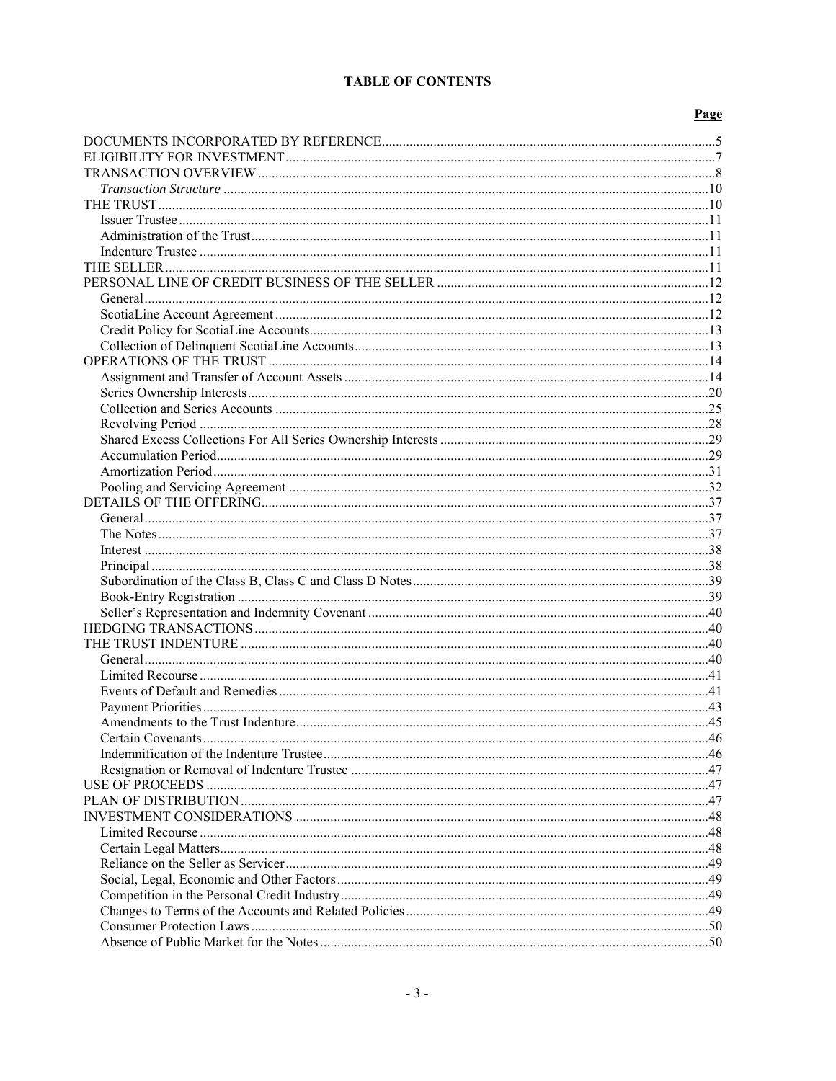## **TABLE OF CONTENTS**

## Page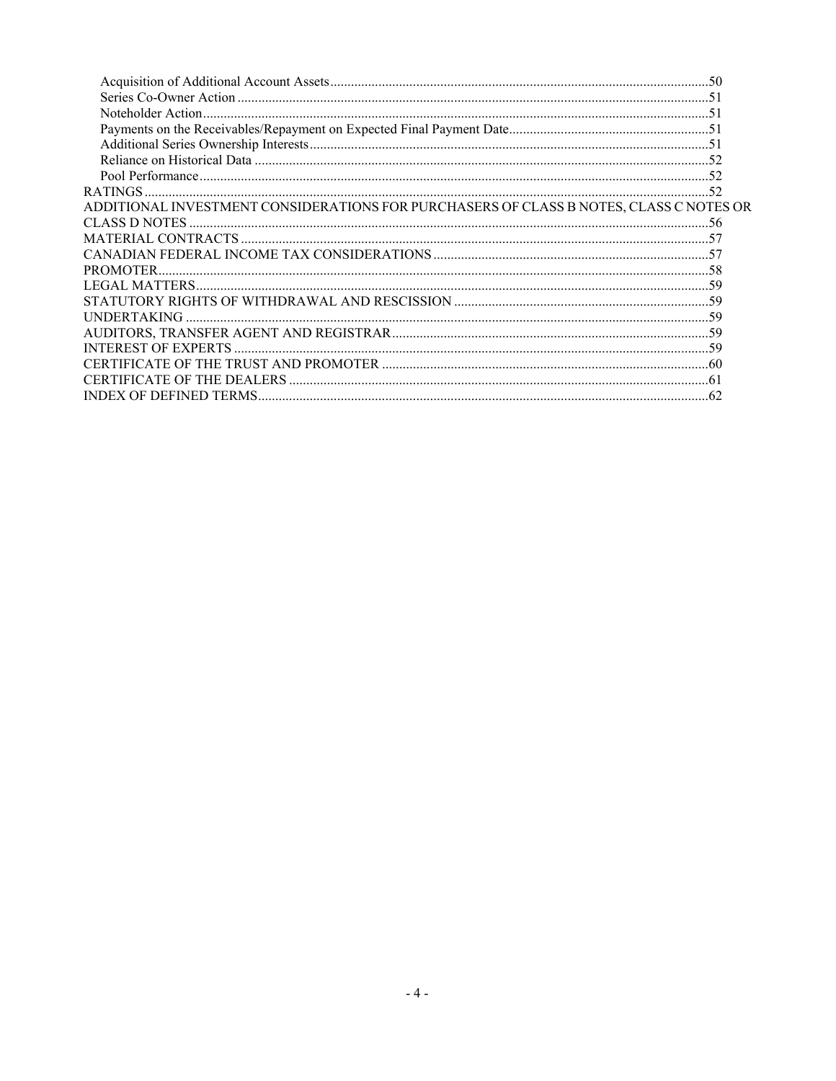| ADDITIONAL INVESTMENT CONSIDERATIONS FOR PURCHASERS OF CLASS B NOTES, CLASS C NOTES OR |  |
|----------------------------------------------------------------------------------------|--|
|                                                                                        |  |
|                                                                                        |  |
|                                                                                        |  |
|                                                                                        |  |
|                                                                                        |  |
|                                                                                        |  |
|                                                                                        |  |
|                                                                                        |  |
|                                                                                        |  |
|                                                                                        |  |
|                                                                                        |  |
|                                                                                        |  |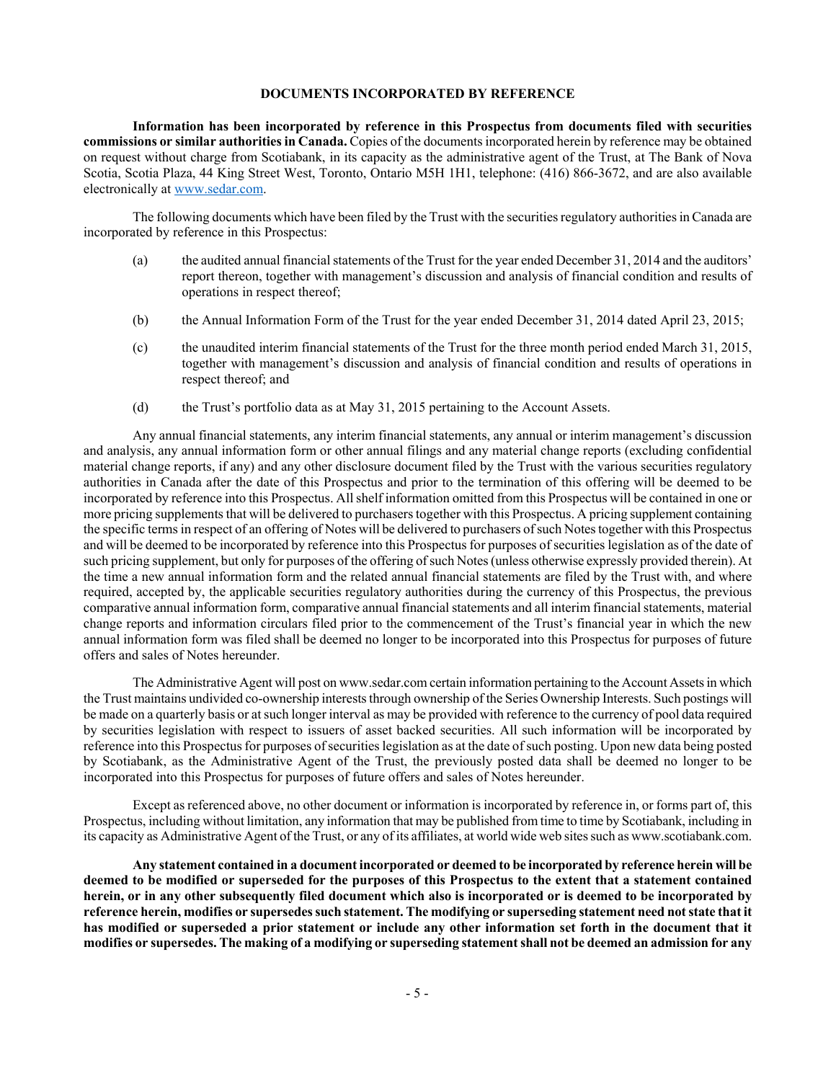#### **DOCUMENTS INCORPORATED BY REFERENCE**

**Information has been incorporated by reference in this Prospectus from documents filed with securities commissions or similar authorities in Canada.** Copies of the documents incorporated herein by reference may be obtained on request without charge from Scotiabank, in its capacity as the administrative agent of the Trust, at The Bank of Nova Scotia, Scotia Plaza, 44 King Street West, Toronto, Ontario M5H 1H1, telephone: (416) 866-3672, and are also available electronically at www.sedar.com.

The following documents which have been filed by the Trust with the securities regulatory authorities in Canada are incorporated by reference in this Prospectus:

- (a) the audited annual financial statements of the Trust for the year ended December 31, 2014 and the auditors' report thereon, together with management's discussion and analysis of financial condition and results of operations in respect thereof;
- (b) the Annual Information Form of the Trust for the year ended December 31, 2014 dated April 23, 2015;
- (c) the unaudited interim financial statements of the Trust for the three month period ended March 31, 2015, together with management's discussion and analysis of financial condition and results of operations in respect thereof; and
- (d) the Trust's portfolio data as at May 31, 2015 pertaining to the Account Assets.

Any annual financial statements, any interim financial statements, any annual or interim management's discussion and analysis, any annual information form or other annual filings and any material change reports (excluding confidential material change reports, if any) and any other disclosure document filed by the Trust with the various securities regulatory authorities in Canada after the date of this Prospectus and prior to the termination of this offering will be deemed to be incorporated by reference into this Prospectus. All shelf information omitted from this Prospectus will be contained in one or more pricing supplements that will be delivered to purchasers together with this Prospectus. A pricing supplement containing the specific terms in respect of an offering of Notes will be delivered to purchasers of such Notes together with this Prospectus and will be deemed to be incorporated by reference into this Prospectus for purposes of securities legislation as of the date of such pricing supplement, but only for purposes of the offering of such Notes (unless otherwise expressly provided therein). At the time a new annual information form and the related annual financial statements are filed by the Trust with, and where required, accepted by, the applicable securities regulatory authorities during the currency of this Prospectus, the previous comparative annual information form, comparative annual financial statements and all interim financial statements, material change reports and information circulars filed prior to the commencement of the Trust's financial year in which the new annual information form was filed shall be deemed no longer to be incorporated into this Prospectus for purposes of future offers and sales of Notes hereunder.

The Administrative Agent will post on www.sedar.com certain information pertaining to the Account Assets in which the Trust maintains undivided co-ownership interests through ownership of the Series Ownership Interests. Such postings will be made on a quarterly basis or at such longer interval as may be provided with reference to the currency of pool data required by securities legislation with respect to issuers of asset backed securities. All such information will be incorporated by reference into this Prospectus for purposes of securities legislation as at the date of such posting. Upon new data being posted by Scotiabank, as the Administrative Agent of the Trust, the previously posted data shall be deemed no longer to be incorporated into this Prospectus for purposes of future offers and sales of Notes hereunder.

Except as referenced above, no other document or information is incorporated by reference in, or forms part of, this Prospectus, including without limitation, any information that may be published from time to time by Scotiabank, including in its capacity as Administrative Agent of the Trust, or any of its affiliates, at world wide web sites such as www.scotiabank.com.

**Any statement contained in a document incorporated or deemed to be incorporated by reference herein will be deemed to be modified or superseded for the purposes of this Prospectus to the extent that a statement contained herein, or in any other subsequently filed document which also is incorporated or is deemed to be incorporated by reference herein, modifies or supersedes such statement. The modifying or superseding statement need not state that it has modified or superseded a prior statement or include any other information set forth in the document that it modifies or supersedes. The making of a modifying or superseding statement shall not be deemed an admission for any**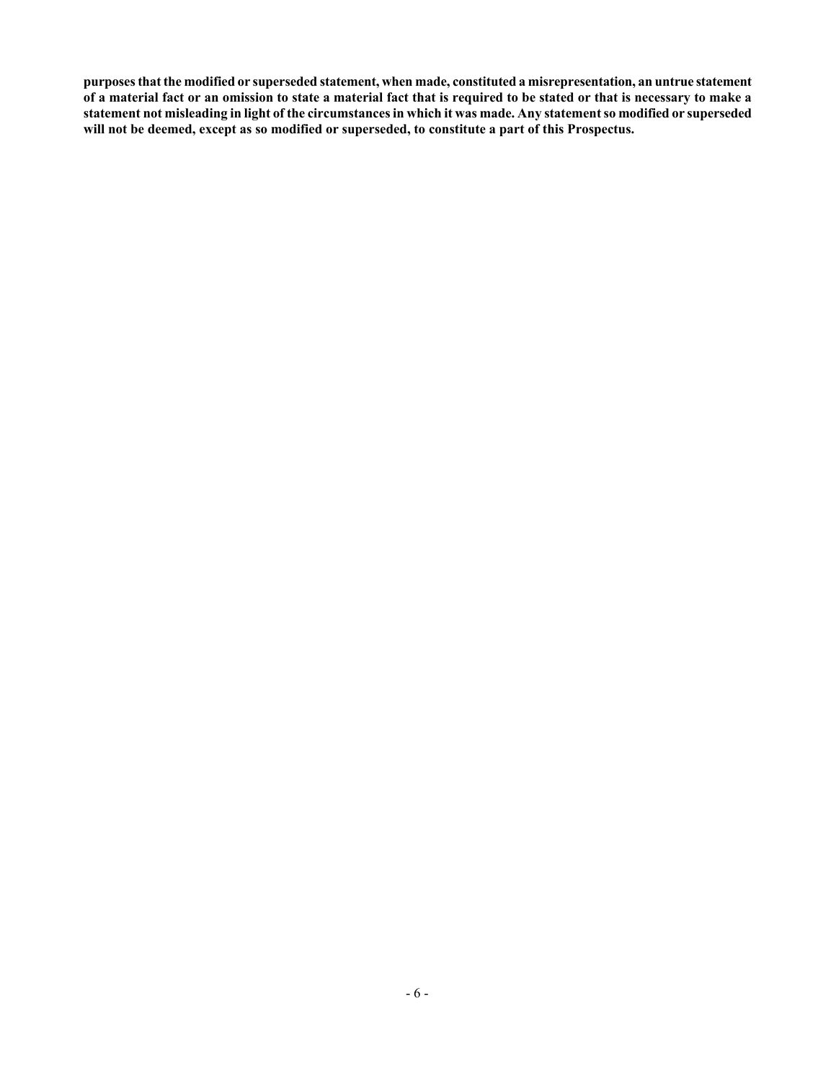**purposes that the modified or superseded statement, when made, constituted a misrepresentation, an untrue statement of a material fact or an omission to state a material fact that is required to be stated or that is necessary to make a statement not misleading in light of the circumstances in which it was made. Any statement so modified or superseded will not be deemed, except as so modified or superseded, to constitute a part of this Prospectus.**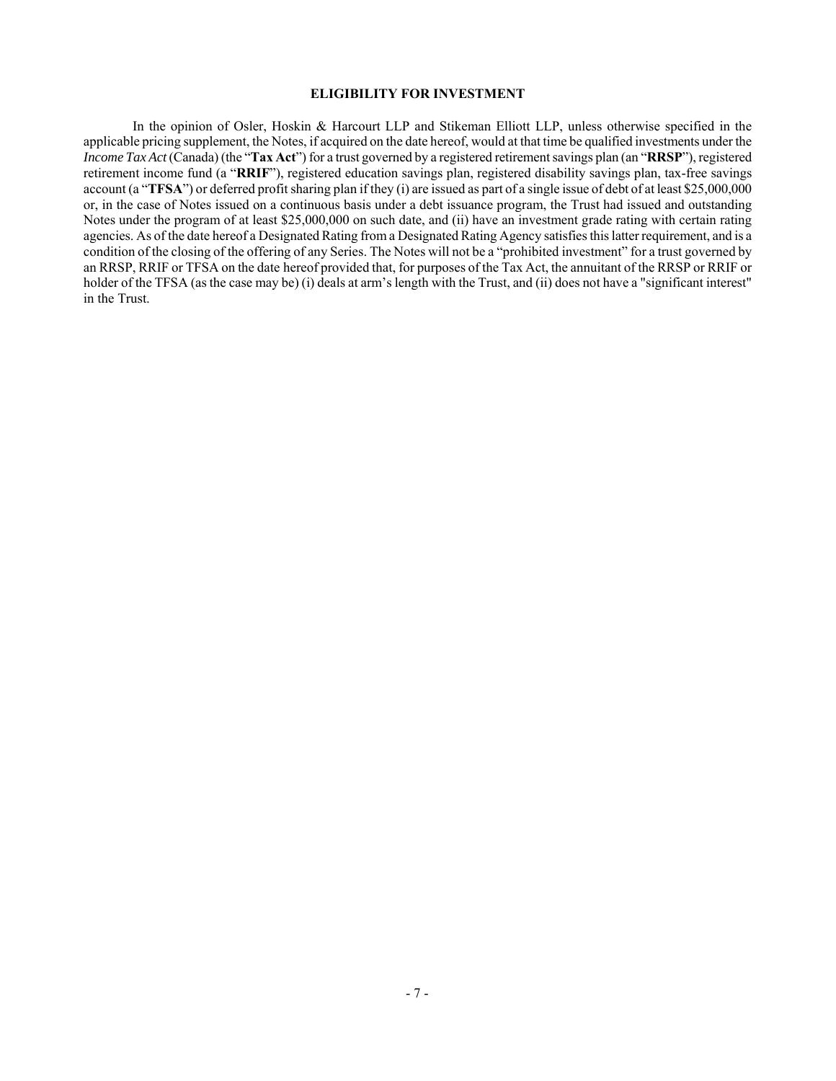#### **ELIGIBILITY FOR INVESTMENT**

In the opinion of Osler, Hoskin & Harcourt LLP and Stikeman Elliott LLP, unless otherwise specified in the applicable pricing supplement, the Notes, if acquired on the date hereof, would at that time be qualified investments under the *Income Tax Act* (Canada) (the "**Tax Act**") for a trust governed by a registered retirement savings plan (an "**RRSP**"), registered retirement income fund (a "**RRIF**"), registered education savings plan, registered disability savings plan, tax-free savings account (a "**TFSA**") or deferred profit sharing plan if they (i) are issued as part of a single issue of debt of at least \$25,000,000 or, in the case of Notes issued on a continuous basis under a debt issuance program, the Trust had issued and outstanding Notes under the program of at least \$25,000,000 on such date, and (ii) have an investment grade rating with certain rating agencies. As of the date hereof a Designated Rating from a Designated Rating Agency satisfies this latter requirement, and is a condition of the closing of the offering of any Series. The Notes will not be a "prohibited investment" for a trust governed by an RRSP, RRIF or TFSA on the date hereof provided that, for purposes of the Tax Act, the annuitant of the RRSP or RRIF or holder of the TFSA (as the case may be) (i) deals at arm's length with the Trust, and (ii) does not have a "significant interest" in the Trust.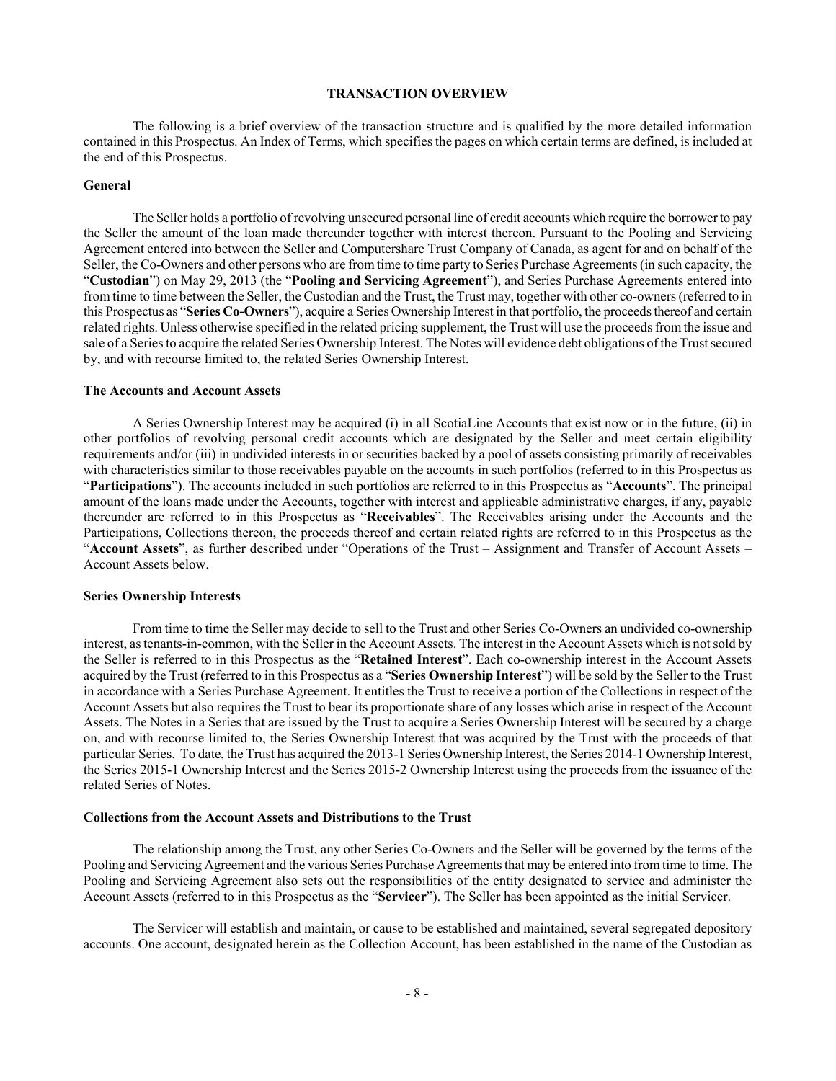#### **TRANSACTION OVERVIEW**

The following is a brief overview of the transaction structure and is qualified by the more detailed information contained in this Prospectus. An Index of Terms, which specifies the pages on which certain terms are defined, is included at the end of this Prospectus.

## **General**

The Seller holds a portfolio of revolving unsecured personal line of credit accounts which require the borrower to pay the Seller the amount of the loan made thereunder together with interest thereon. Pursuant to the Pooling and Servicing Agreement entered into between the Seller and Computershare Trust Company of Canada, as agent for and on behalf of the Seller, the Co-Owners and other persons who are from time to time party to Series Purchase Agreements (in such capacity, the "**Custodian**") on May 29, 2013 (the "**Pooling and Servicing Agreement**"), and Series Purchase Agreements entered into from time to time between the Seller, the Custodian and the Trust, the Trust may, together with other co-owners (referred to in this Prospectus as "**Series Co-Owners**"), acquire a Series Ownership Interest in that portfolio, the proceeds thereof and certain related rights. Unless otherwise specified in the related pricing supplement, the Trust will use the proceeds from the issue and sale of a Series to acquire the related Series Ownership Interest. The Notes will evidence debt obligations of the Trust secured by, and with recourse limited to, the related Series Ownership Interest.

## **The Accounts and Account Assets**

A Series Ownership Interest may be acquired (i) in all ScotiaLine Accounts that exist now or in the future, (ii) in other portfolios of revolving personal credit accounts which are designated by the Seller and meet certain eligibility requirements and/or (iii) in undivided interests in or securities backed by a pool of assets consisting primarily of receivables with characteristics similar to those receivables payable on the accounts in such portfolios (referred to in this Prospectus as "**Participations**"). The accounts included in such portfolios are referred to in this Prospectus as "**Accounts**". The principal amount of the loans made under the Accounts, together with interest and applicable administrative charges, if any, payable thereunder are referred to in this Prospectus as "**Receivables**". The Receivables arising under the Accounts and the Participations, Collections thereon, the proceeds thereof and certain related rights are referred to in this Prospectus as the "**Account Assets**", as further described under "Operations of the Trust – Assignment and Transfer of Account Assets – Account Assets below.

#### **Series Ownership Interests**

From time to time the Seller may decide to sell to the Trust and other Series Co-Owners an undivided co-ownership interest, as tenants-in-common, with the Seller in the Account Assets. The interest in the Account Assets which is not sold by the Seller is referred to in this Prospectus as the "**Retained Interest**". Each co-ownership interest in the Account Assets acquired by the Trust (referred to in this Prospectus as a "**Series Ownership Interest**") will be sold by the Seller to the Trust in accordance with a Series Purchase Agreement. It entitles the Trust to receive a portion of the Collections in respect of the Account Assets but also requires the Trust to bear its proportionate share of any losses which arise in respect of the Account Assets. The Notes in a Series that are issued by the Trust to acquire a Series Ownership Interest will be secured by a charge on, and with recourse limited to, the Series Ownership Interest that was acquired by the Trust with the proceeds of that particular Series. To date, the Trust has acquired the 2013-1 Series Ownership Interest, the Series 2014-1 Ownership Interest, the Series 2015-1 Ownership Interest and the Series 2015-2 Ownership Interest using the proceeds from the issuance of the related Series of Notes.

## **Collections from the Account Assets and Distributions to the Trust**

The relationship among the Trust, any other Series Co-Owners and the Seller will be governed by the terms of the Pooling and Servicing Agreement and the various Series Purchase Agreements that may be entered into from time to time. The Pooling and Servicing Agreement also sets out the responsibilities of the entity designated to service and administer the Account Assets (referred to in this Prospectus as the "**Servicer**"). The Seller has been appointed as the initial Servicer.

The Servicer will establish and maintain, or cause to be established and maintained, several segregated depository accounts. One account, designated herein as the Collection Account, has been established in the name of the Custodian as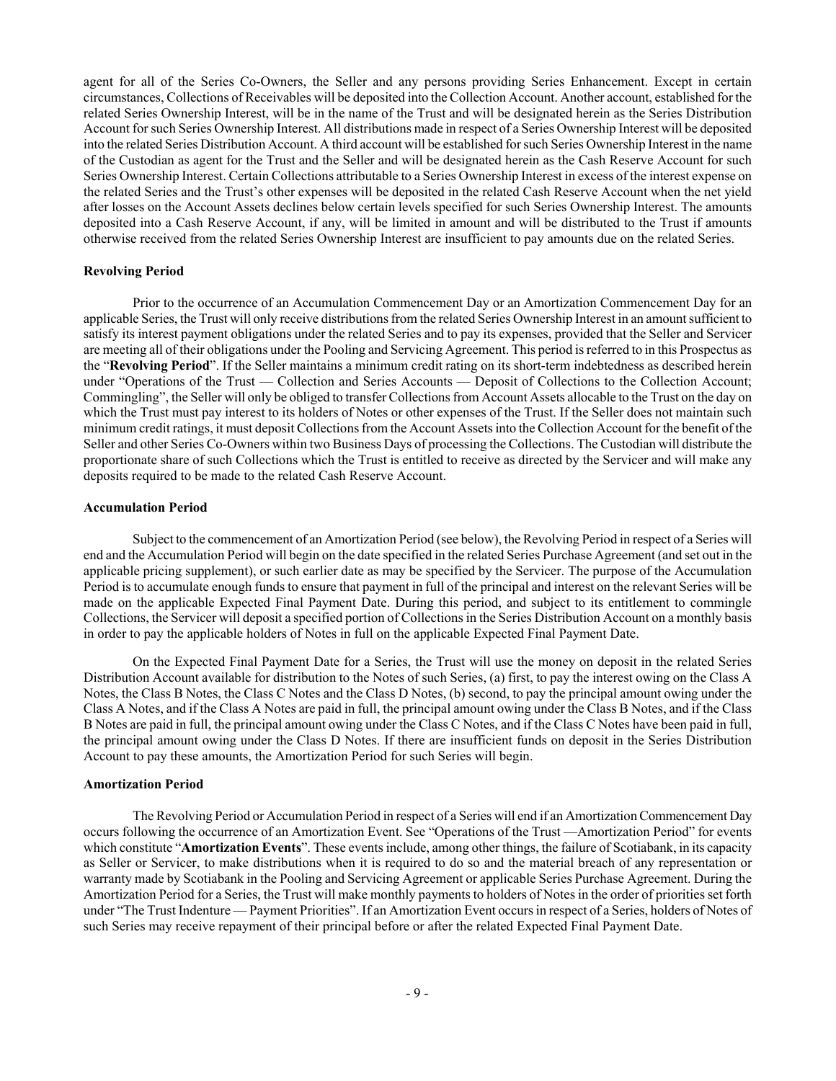agent for all of the Series Co-Owners, the Seller and any persons providing Series Enhancement. Except in certain circumstances, Collections of Receivables will be deposited into the Collection Account. Another account, established for the related Series Ownership Interest, will be in the name of the Trust and will be designated herein as the Series Distribution Account for such Series Ownership Interest. All distributions made in respect of a Series Ownership Interest will be deposited into the related Series Distribution Account. A third account will be established for such Series Ownership Interest in the name of the Custodian as agent for the Trust and the Seller and will be designated herein as the Cash Reserve Account for such Series Ownership Interest. Certain Collections attributable to a Series Ownership Interest in excess of the interest expense on the related Series and the Trust's other expenses will be deposited in the related Cash Reserve Account when the net yield after losses on the Account Assets declines below certain levels specified for such Series Ownership Interest. The amounts deposited into a Cash Reserve Account, if any, will be limited in amount and will be distributed to the Trust if amounts otherwise received from the related Series Ownership Interest are insufficient to pay amounts due on the related Series.

## **Revolving Period**

Prior to the occurrence of an Accumulation Commencement Day or an Amortization Commencement Day for an applicable Series, the Trust will only receive distributions from the related Series Ownership Interest in an amount sufficient to satisfy its interest payment obligations under the related Series and to pay its expenses, provided that the Seller and Servicer are meeting all of their obligations under the Pooling and Servicing Agreement. This period is referred to in this Prospectus as the "**Revolving Period**". If the Seller maintains a minimum credit rating on its short-term indebtedness as described herein under "Operations of the Trust — Collection and Series Accounts — Deposit of Collections to the Collection Account; Commingling", the Seller will only be obliged to transfer Collections from Account Assets allocable to the Trust on the day on which the Trust must pay interest to its holders of Notes or other expenses of the Trust. If the Seller does not maintain such minimum credit ratings, it must deposit Collections from the Account Assets into the Collection Account for the benefit of the Seller and other Series Co-Owners within two Business Days of processing the Collections. The Custodian will distribute the proportionate share of such Collections which the Trust is entitled to receive as directed by the Servicer and will make any deposits required to be made to the related Cash Reserve Account.

#### **Accumulation Period**

Subject to the commencement of an Amortization Period (see below), the Revolving Period in respect of a Series will end and the Accumulation Period will begin on the date specified in the related Series Purchase Agreement (and set out in the applicable pricing supplement), or such earlier date as may be specified by the Servicer. The purpose of the Accumulation Period is to accumulate enough funds to ensure that payment in full of the principal and interest on the relevant Series will be made on the applicable Expected Final Payment Date. During this period, and subject to its entitlement to commingle Collections, the Servicer will deposit a specified portion of Collections in the Series Distribution Account on a monthly basis in order to pay the applicable holders of Notes in full on the applicable Expected Final Payment Date.

On the Expected Final Payment Date for a Series, the Trust will use the money on deposit in the related Series Distribution Account available for distribution to the Notes of such Series, (a) first, to pay the interest owing on the Class A Notes, the Class B Notes, the Class C Notes and the Class D Notes, (b) second, to pay the principal amount owing under the Class A Notes, and if the Class A Notes are paid in full, the principal amount owing under the Class B Notes, and if the Class B Notes are paid in full, the principal amount owing under the Class C Notes, and if the Class C Notes have been paid in full, the principal amount owing under the Class D Notes. If there are insufficient funds on deposit in the Series Distribution Account to pay these amounts, the Amortization Period for such Series will begin.

#### **Amortization Period**

The Revolving Period or Accumulation Period in respect of a Series will end if an Amortization Commencement Day occurs following the occurrence of an Amortization Event. See "Operations of the Trust —Amortization Period" for events which constitute "**Amortization Events**". These events include, among other things, the failure of Scotiabank, in its capacity as Seller or Servicer, to make distributions when it is required to do so and the material breach of any representation or warranty made by Scotiabank in the Pooling and Servicing Agreement or applicable Series Purchase Agreement. During the Amortization Period for a Series, the Trust will make monthly payments to holders of Notes in the order of priorities set forth under "The Trust Indenture — Payment Priorities". If an Amortization Event occurs in respect of a Series, holders of Notes of such Series may receive repayment of their principal before or after the related Expected Final Payment Date.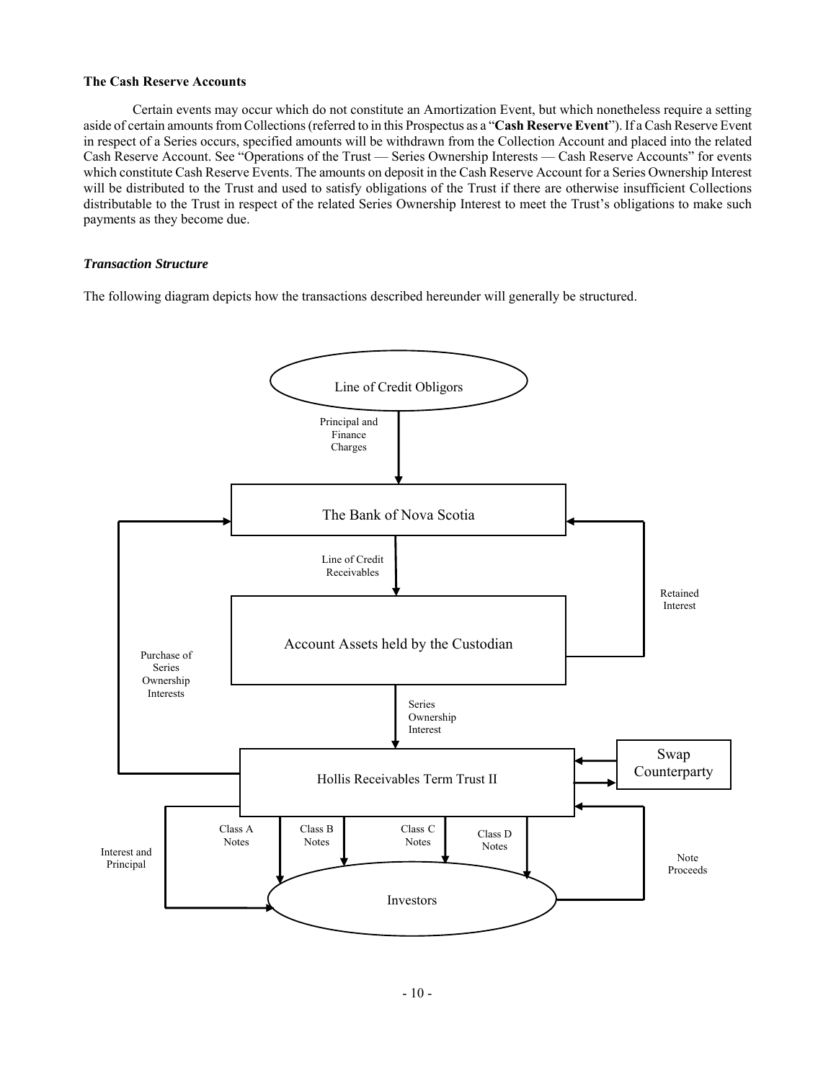#### **The Cash Reserve Accounts**

Certain events may occur which do not constitute an Amortization Event, but which nonetheless require a setting aside of certain amounts from Collections (referred to in this Prospectus as a "**Cash Reserve Event**"). If a Cash Reserve Event in respect of a Series occurs, specified amounts will be withdrawn from the Collection Account and placed into the related Cash Reserve Account. See "Operations of the Trust — Series Ownership Interests — Cash Reserve Accounts" for events which constitute Cash Reserve Events. The amounts on deposit in the Cash Reserve Account for a Series Ownership Interest will be distributed to the Trust and used to satisfy obligations of the Trust if there are otherwise insufficient Collections distributable to the Trust in respect of the related Series Ownership Interest to meet the Trust's obligations to make such payments as they become due.

## *Transaction Structure*

The following diagram depicts how the transactions described hereunder will generally be structured.

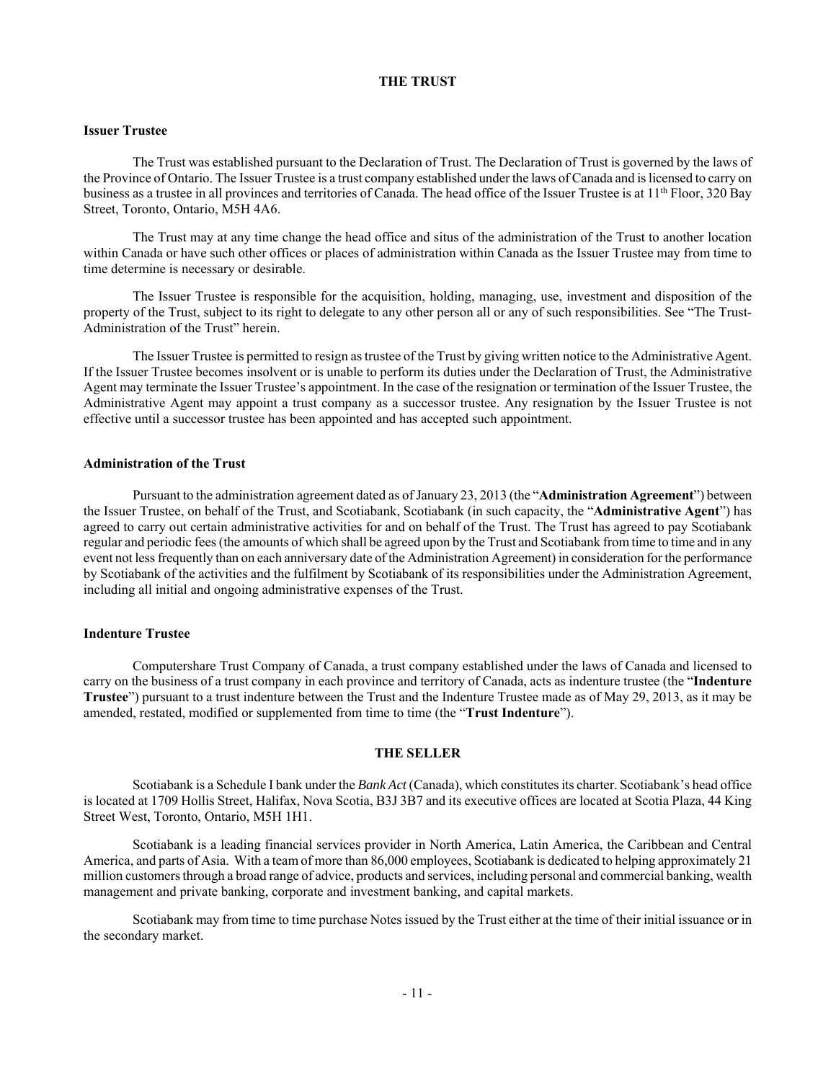## **THE TRUST**

## **Issuer Trustee**

The Trust was established pursuant to the Declaration of Trust. The Declaration of Trust is governed by the laws of the Province of Ontario. The Issuer Trustee is a trust company established under the laws of Canada and is licensed to carry on business as a trustee in all provinces and territories of Canada. The head office of the Issuer Trustee is at  $11<sup>th</sup>$  Floor, 320 Bay Street, Toronto, Ontario, M5H 4A6.

The Trust may at any time change the head office and situs of the administration of the Trust to another location within Canada or have such other offices or places of administration within Canada as the Issuer Trustee may from time to time determine is necessary or desirable.

The Issuer Trustee is responsible for the acquisition, holding, managing, use, investment and disposition of the property of the Trust, subject to its right to delegate to any other person all or any of such responsibilities. See "The Trust-Administration of the Trust" herein.

The Issuer Trustee is permitted to resign as trustee of the Trust by giving written notice to the Administrative Agent. If the Issuer Trustee becomes insolvent or is unable to perform its duties under the Declaration of Trust, the Administrative Agent may terminate the Issuer Trustee's appointment. In the case of the resignation or termination of the Issuer Trustee, the Administrative Agent may appoint a trust company as a successor trustee. Any resignation by the Issuer Trustee is not effective until a successor trustee has been appointed and has accepted such appointment.

#### **Administration of the Trust**

Pursuant to the administration agreement dated as of January 23, 2013 (the "**Administration Agreement**") between the Issuer Trustee, on behalf of the Trust, and Scotiabank, Scotiabank (in such capacity, the "**Administrative Agent**") has agreed to carry out certain administrative activities for and on behalf of the Trust. The Trust has agreed to pay Scotiabank regular and periodic fees (the amounts of which shall be agreed upon by the Trust and Scotiabank from time to time and in any event not less frequently than on each anniversary date of the Administration Agreement) in consideration for the performance by Scotiabank of the activities and the fulfilment by Scotiabank of its responsibilities under the Administration Agreement, including all initial and ongoing administrative expenses of the Trust.

#### **Indenture Trustee**

Computershare Trust Company of Canada, a trust company established under the laws of Canada and licensed to carry on the business of a trust company in each province and territory of Canada, acts as indenture trustee (the "**Indenture Trustee**") pursuant to a trust indenture between the Trust and the Indenture Trustee made as of May 29, 2013, as it may be amended, restated, modified or supplemented from time to time (the "**Trust Indenture**").

#### **THE SELLER**

Scotiabank is a Schedule I bank under the *Bank Act* (Canada), which constitutes its charter. Scotiabank's head office is located at 1709 Hollis Street, Halifax, Nova Scotia, B3J 3B7 and its executive offices are located at Scotia Plaza, 44 King Street West, Toronto, Ontario, M5H 1H1.

Scotiabank is a leading financial services provider in North America, Latin America, the Caribbean and Central America, and parts of Asia. With a team of more than 86,000 employees, Scotiabank is dedicated to helping approximately 21 million customers through a broad range of advice, products and services, including personal and commercial banking, wealth management and private banking, corporate and investment banking, and capital markets.

Scotiabank may from time to time purchase Notes issued by the Trust either at the time of their initial issuance or in the secondary market.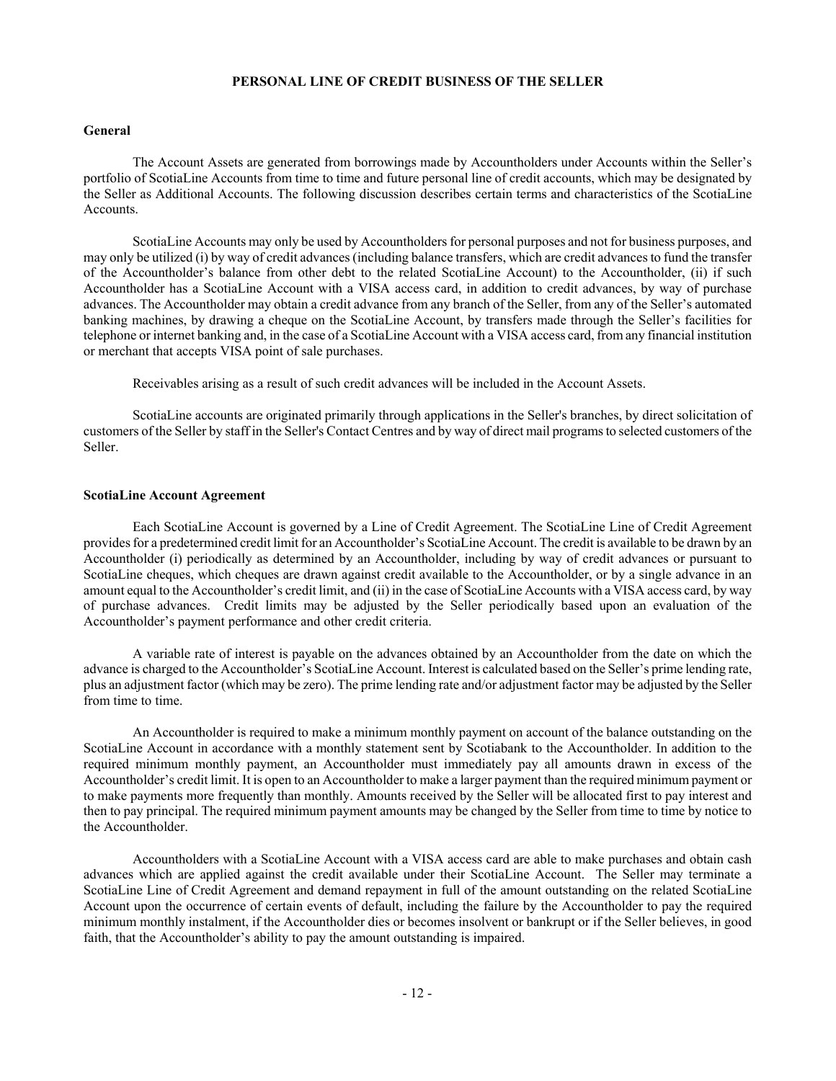## **PERSONAL LINE OF CREDIT BUSINESS OF THE SELLER**

## **General**

The Account Assets are generated from borrowings made by Accountholders under Accounts within the Seller's portfolio of ScotiaLine Accounts from time to time and future personal line of credit accounts, which may be designated by the Seller as Additional Accounts. The following discussion describes certain terms and characteristics of the ScotiaLine Accounts.

ScotiaLine Accounts may only be used by Accountholders for personal purposes and not for business purposes, and may only be utilized (i) by way of credit advances (including balance transfers, which are credit advances to fund the transfer of the Accountholder's balance from other debt to the related ScotiaLine Account) to the Accountholder, (ii) if such Accountholder has a ScotiaLine Account with a VISA access card, in addition to credit advances, by way of purchase advances. The Accountholder may obtain a credit advance from any branch of the Seller, from any of the Seller's automated banking machines, by drawing a cheque on the ScotiaLine Account, by transfers made through the Seller's facilities for telephone or internet banking and, in the case of a ScotiaLine Account with a VISA access card, from any financial institution or merchant that accepts VISA point of sale purchases.

Receivables arising as a result of such credit advances will be included in the Account Assets.

ScotiaLine accounts are originated primarily through applications in the Seller's branches, by direct solicitation of customers of the Seller by staff in the Seller's Contact Centres and by way of direct mail programs to selected customers of the Seller.

#### **ScotiaLine Account Agreement**

Each ScotiaLine Account is governed by a Line of Credit Agreement. The ScotiaLine Line of Credit Agreement provides for a predetermined credit limit for an Accountholder's ScotiaLine Account. The credit is available to be drawn by an Accountholder (i) periodically as determined by an Accountholder, including by way of credit advances or pursuant to ScotiaLine cheques, which cheques are drawn against credit available to the Accountholder, or by a single advance in an amount equal to the Accountholder's credit limit, and (ii) in the case of ScotiaLine Accounts with a VISA access card, by way of purchase advances. Credit limits may be adjusted by the Seller periodically based upon an evaluation of the Accountholder's payment performance and other credit criteria.

A variable rate of interest is payable on the advances obtained by an Accountholder from the date on which the advance is charged to the Accountholder's ScotiaLine Account. Interest is calculated based on the Seller's prime lending rate, plus an adjustment factor (which may be zero). The prime lending rate and/or adjustment factor may be adjusted by the Seller from time to time.

An Accountholder is required to make a minimum monthly payment on account of the balance outstanding on the ScotiaLine Account in accordance with a monthly statement sent by Scotiabank to the Accountholder. In addition to the required minimum monthly payment, an Accountholder must immediately pay all amounts drawn in excess of the Accountholder's credit limit. It is open to an Accountholder to make a larger payment than the required minimum payment or to make payments more frequently than monthly. Amounts received by the Seller will be allocated first to pay interest and then to pay principal. The required minimum payment amounts may be changed by the Seller from time to time by notice to the Accountholder.

Accountholders with a ScotiaLine Account with a VISA access card are able to make purchases and obtain cash advances which are applied against the credit available under their ScotiaLine Account. The Seller may terminate a ScotiaLine Line of Credit Agreement and demand repayment in full of the amount outstanding on the related ScotiaLine Account upon the occurrence of certain events of default, including the failure by the Accountholder to pay the required minimum monthly instalment, if the Accountholder dies or becomes insolvent or bankrupt or if the Seller believes, in good faith, that the Accountholder's ability to pay the amount outstanding is impaired.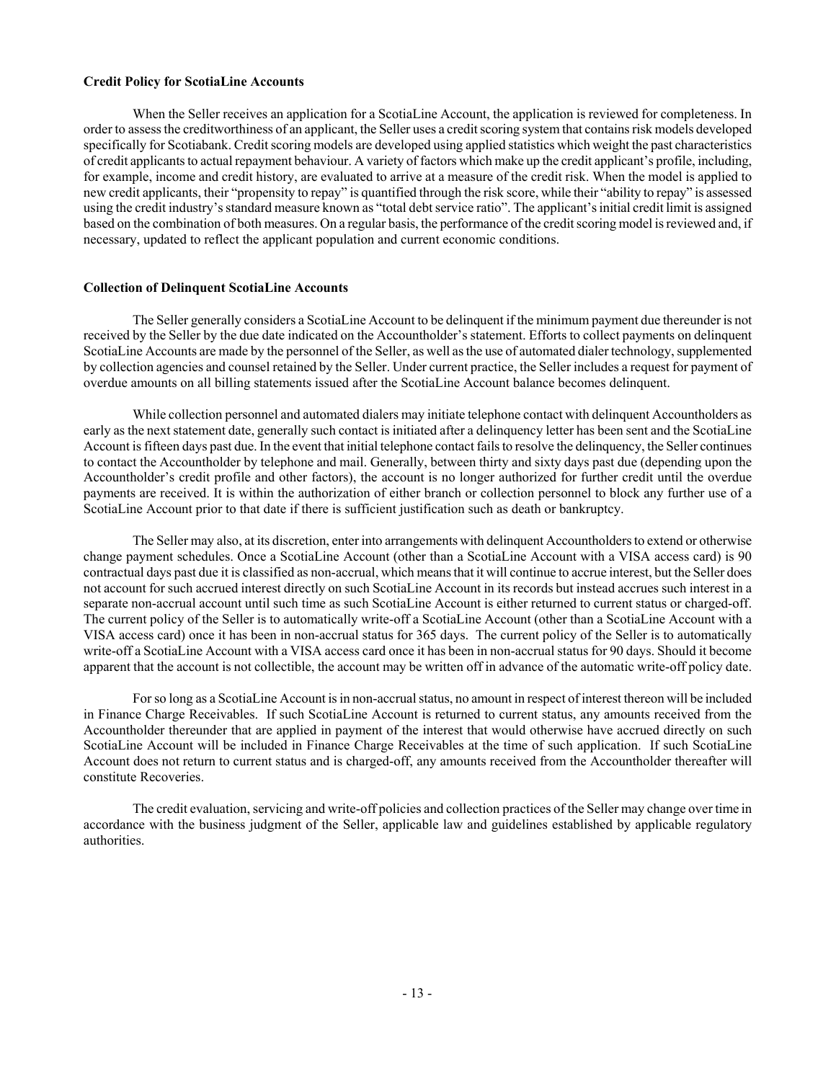#### **Credit Policy for ScotiaLine Accounts**

When the Seller receives an application for a ScotiaLine Account, the application is reviewed for completeness. In order to assess the creditworthiness of an applicant, the Seller uses a credit scoring system that contains risk models developed specifically for Scotiabank. Credit scoring models are developed using applied statistics which weight the past characteristics of credit applicants to actual repayment behaviour. A variety of factors which make up the credit applicant's profile, including, for example, income and credit history, are evaluated to arrive at a measure of the credit risk. When the model is applied to new credit applicants, their "propensity to repay" is quantified through the risk score, while their "ability to repay" is assessed using the credit industry's standard measure known as "total debt service ratio". The applicant's initial credit limit is assigned based on the combination of both measures. On a regular basis, the performance of the credit scoring model is reviewed and, if necessary, updated to reflect the applicant population and current economic conditions.

#### **Collection of Delinquent ScotiaLine Accounts**

The Seller generally considers a ScotiaLine Account to be delinquent if the minimum payment due thereunder is not received by the Seller by the due date indicated on the Accountholder's statement. Efforts to collect payments on delinquent ScotiaLine Accounts are made by the personnel of the Seller, as well as the use of automated dialer technology, supplemented by collection agencies and counsel retained by the Seller. Under current practice, the Seller includes a request for payment of overdue amounts on all billing statements issued after the ScotiaLine Account balance becomes delinquent.

While collection personnel and automated dialers may initiate telephone contact with delinquent Accountholders as early as the next statement date, generally such contact is initiated after a delinquency letter has been sent and the ScotiaLine Account is fifteen days past due. In the event that initial telephone contact fails to resolve the delinquency, the Seller continues to contact the Accountholder by telephone and mail. Generally, between thirty and sixty days past due (depending upon the Accountholder's credit profile and other factors), the account is no longer authorized for further credit until the overdue payments are received. It is within the authorization of either branch or collection personnel to block any further use of a ScotiaLine Account prior to that date if there is sufficient justification such as death or bankruptcy.

The Seller may also, at its discretion, enter into arrangements with delinquent Accountholders to extend or otherwise change payment schedules. Once a ScotiaLine Account (other than a ScotiaLine Account with a VISA access card) is 90 contractual days past due it is classified as non-accrual, which means that it will continue to accrue interest, but the Seller does not account for such accrued interest directly on such ScotiaLine Account in its records but instead accrues such interest in a separate non-accrual account until such time as such ScotiaLine Account is either returned to current status or charged-off. The current policy of the Seller is to automatically write-off a ScotiaLine Account (other than a ScotiaLine Account with a VISA access card) once it has been in non-accrual status for 365 days. The current policy of the Seller is to automatically write-off a ScotiaLine Account with a VISA access card once it has been in non-accrual status for 90 days. Should it become apparent that the account is not collectible, the account may be written off in advance of the automatic write-off policy date.

For so long as a ScotiaLine Account is in non-accrual status, no amount in respect of interest thereon will be included in Finance Charge Receivables. If such ScotiaLine Account is returned to current status, any amounts received from the Accountholder thereunder that are applied in payment of the interest that would otherwise have accrued directly on such ScotiaLine Account will be included in Finance Charge Receivables at the time of such application. If such ScotiaLine Account does not return to current status and is charged-off, any amounts received from the Accountholder thereafter will constitute Recoveries.

The credit evaluation, servicing and write-off policies and collection practices of the Seller may change over time in accordance with the business judgment of the Seller, applicable law and guidelines established by applicable regulatory authorities.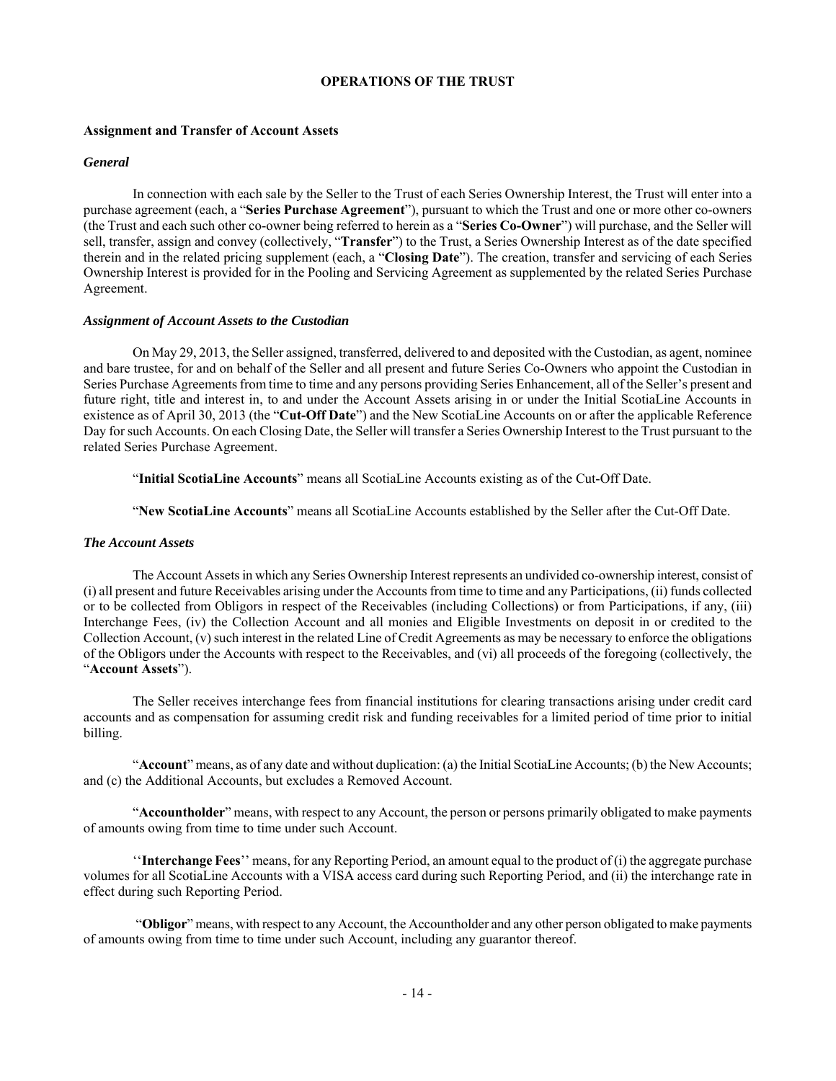## **OPERATIONS OF THE TRUST**

## **Assignment and Transfer of Account Assets**

### *General*

In connection with each sale by the Seller to the Trust of each Series Ownership Interest, the Trust will enter into a purchase agreement (each, a "**Series Purchase Agreement**"), pursuant to which the Trust and one or more other co-owners (the Trust and each such other co-owner being referred to herein as a "**Series Co-Owner**") will purchase, and the Seller will sell, transfer, assign and convey (collectively, "**Transfer**") to the Trust, a Series Ownership Interest as of the date specified therein and in the related pricing supplement (each, a "**Closing Date**"). The creation, transfer and servicing of each Series Ownership Interest is provided for in the Pooling and Servicing Agreement as supplemented by the related Series Purchase Agreement.

#### *Assignment of Account Assets to the Custodian*

On May 29, 2013, the Seller assigned, transferred, delivered to and deposited with the Custodian, as agent, nominee and bare trustee, for and on behalf of the Seller and all present and future Series Co-Owners who appoint the Custodian in Series Purchase Agreements from time to time and any persons providing Series Enhancement, all of the Seller's present and future right, title and interest in, to and under the Account Assets arising in or under the Initial ScotiaLine Accounts in existence as of April 30, 2013 (the "**Cut-Off Date**") and the New ScotiaLine Accounts on or after the applicable Reference Day for such Accounts. On each Closing Date, the Seller will transfer a Series Ownership Interest to the Trust pursuant to the related Series Purchase Agreement.

"**Initial ScotiaLine Accounts**" means all ScotiaLine Accounts existing as of the Cut-Off Date.

"**New ScotiaLine Accounts**" means all ScotiaLine Accounts established by the Seller after the Cut-Off Date.

#### *The Account Assets*

The Account Assets in which any Series Ownership Interest represents an undivided co-ownership interest, consist of (i) all present and future Receivables arising under the Accounts from time to time and any Participations, (ii) funds collected or to be collected from Obligors in respect of the Receivables (including Collections) or from Participations, if any, (iii) Interchange Fees, (iv) the Collection Account and all monies and Eligible Investments on deposit in or credited to the Collection Account, (v) such interest in the related Line of Credit Agreements as may be necessary to enforce the obligations of the Obligors under the Accounts with respect to the Receivables, and (vi) all proceeds of the foregoing (collectively, the "**Account Assets**").

The Seller receives interchange fees from financial institutions for clearing transactions arising under credit card accounts and as compensation for assuming credit risk and funding receivables for a limited period of time prior to initial billing.

"**Account**" means, as of any date and without duplication: (a) the Initial ScotiaLine Accounts; (b) the New Accounts; and (c) the Additional Accounts, but excludes a Removed Account.

"**Accountholder**" means, with respect to any Account, the person or persons primarily obligated to make payments of amounts owing from time to time under such Account.

''**Interchange Fees**'' means, for any Reporting Period, an amount equal to the product of (i) the aggregate purchase volumes for all ScotiaLine Accounts with a VISA access card during such Reporting Period, and (ii) the interchange rate in effect during such Reporting Period.

 "**Obligor**" means, with respect to any Account, the Accountholder and any other person obligated to make payments of amounts owing from time to time under such Account, including any guarantor thereof.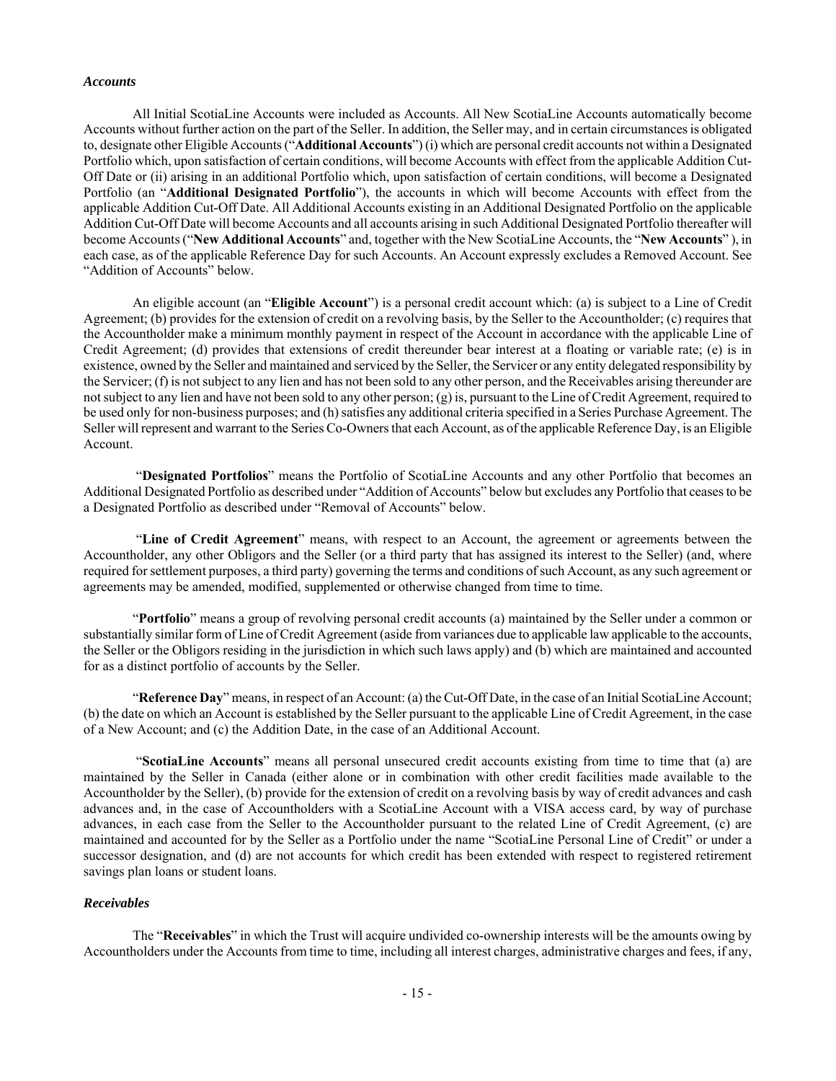#### *Accounts*

All Initial ScotiaLine Accounts were included as Accounts. All New ScotiaLine Accounts automatically become Accounts without further action on the part of the Seller. In addition, the Seller may, and in certain circumstances is obligated to, designate other Eligible Accounts ("**Additional Accounts**") (i) which are personal credit accounts not within a Designated Portfolio which, upon satisfaction of certain conditions, will become Accounts with effect from the applicable Addition Cut-Off Date or (ii) arising in an additional Portfolio which, upon satisfaction of certain conditions, will become a Designated Portfolio (an "**Additional Designated Portfolio**"), the accounts in which will become Accounts with effect from the applicable Addition Cut-Off Date. All Additional Accounts existing in an Additional Designated Portfolio on the applicable Addition Cut-Off Date will become Accounts and all accounts arising in such Additional Designated Portfolio thereafter will become Accounts ("**New Additional Accounts**" and, together with the New ScotiaLine Accounts, the "**New Accounts**" ), in each case, as of the applicable Reference Day for such Accounts. An Account expressly excludes a Removed Account. See "Addition of Accounts" below.

An eligible account (an "**Eligible Account**") is a personal credit account which: (a) is subject to a Line of Credit Agreement; (b) provides for the extension of credit on a revolving basis, by the Seller to the Accountholder; (c) requires that the Accountholder make a minimum monthly payment in respect of the Account in accordance with the applicable Line of Credit Agreement; (d) provides that extensions of credit thereunder bear interest at a floating or variable rate; (e) is in existence, owned by the Seller and maintained and serviced by the Seller, the Servicer or any entity delegated responsibility by the Servicer; (f) is not subject to any lien and has not been sold to any other person, and the Receivables arising thereunder are not subject to any lien and have not been sold to any other person; (g) is, pursuant to the Line of Credit Agreement, required to be used only for non-business purposes; and (h) satisfies any additional criteria specified in a Series Purchase Agreement. The Seller will represent and warrant to the Series Co-Owners that each Account, as of the applicable Reference Day, is an Eligible Account.

 "**Designated Portfolios**" means the Portfolio of ScotiaLine Accounts and any other Portfolio that becomes an Additional Designated Portfolio as described under "Addition of Accounts" below but excludes any Portfolio that ceases to be a Designated Portfolio as described under "Removal of Accounts" below.

 "**Line of Credit Agreement**" means, with respect to an Account, the agreement or agreements between the Accountholder, any other Obligors and the Seller (or a third party that has assigned its interest to the Seller) (and, where required for settlement purposes, a third party) governing the terms and conditions of such Account, as any such agreement or agreements may be amended, modified, supplemented or otherwise changed from time to time.

"**Portfolio**" means a group of revolving personal credit accounts (a) maintained by the Seller under a common or substantially similar form of Line of Credit Agreement (aside from variances due to applicable law applicable to the accounts, the Seller or the Obligors residing in the jurisdiction in which such laws apply) and (b) which are maintained and accounted for as a distinct portfolio of accounts by the Seller.

"**Reference Day**" means, in respect of an Account: (a) the Cut-Off Date, in the case of an Initial ScotiaLine Account; (b) the date on which an Account is established by the Seller pursuant to the applicable Line of Credit Agreement, in the case of a New Account; and (c) the Addition Date, in the case of an Additional Account.

 "**ScotiaLine Accounts**" means all personal unsecured credit accounts existing from time to time that (a) are maintained by the Seller in Canada (either alone or in combination with other credit facilities made available to the Accountholder by the Seller), (b) provide for the extension of credit on a revolving basis by way of credit advances and cash advances and, in the case of Accountholders with a ScotiaLine Account with a VISA access card, by way of purchase advances, in each case from the Seller to the Accountholder pursuant to the related Line of Credit Agreement, (c) are maintained and accounted for by the Seller as a Portfolio under the name "ScotiaLine Personal Line of Credit" or under a successor designation, and (d) are not accounts for which credit has been extended with respect to registered retirement savings plan loans or student loans.

#### *Receivables*

The "**Receivables**" in which the Trust will acquire undivided co-ownership interests will be the amounts owing by Accountholders under the Accounts from time to time, including all interest charges, administrative charges and fees, if any,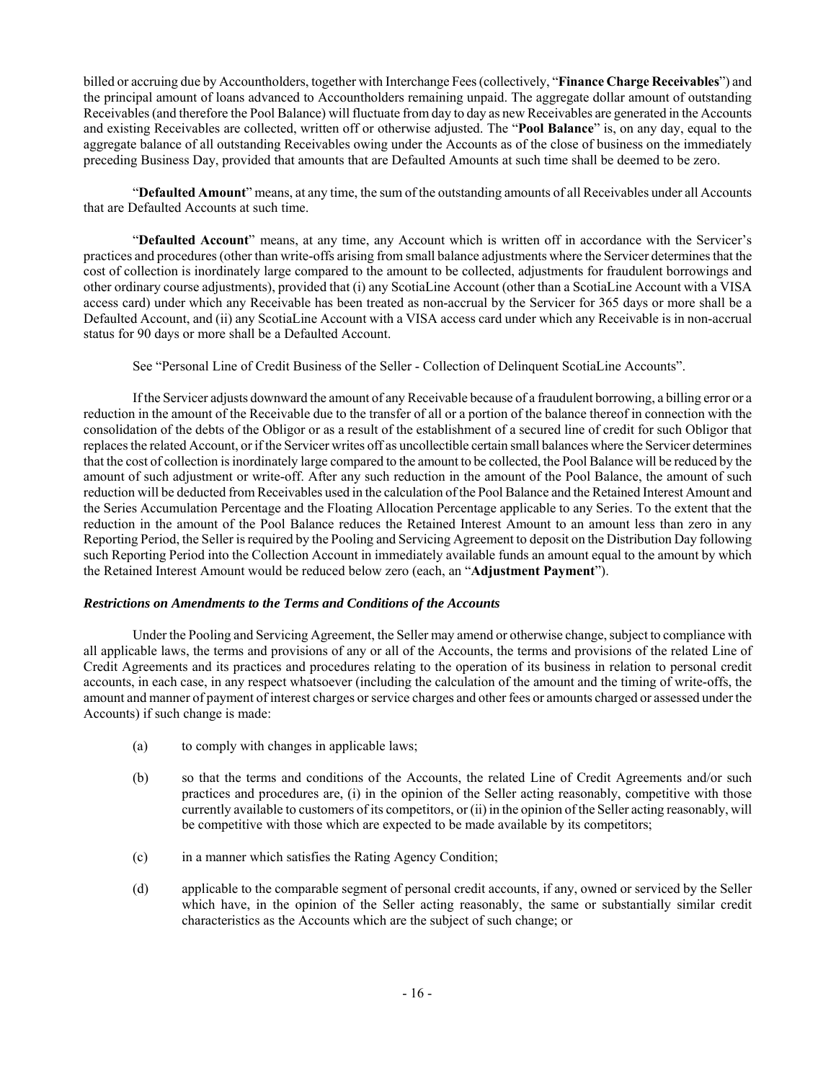billed or accruing due by Accountholders, together with Interchange Fees (collectively, "**Finance Charge Receivables**") and the principal amount of loans advanced to Accountholders remaining unpaid. The aggregate dollar amount of outstanding Receivables (and therefore the Pool Balance) will fluctuate from day to day as new Receivables are generated in the Accounts and existing Receivables are collected, written off or otherwise adjusted. The "**Pool Balance**" is, on any day, equal to the aggregate balance of all outstanding Receivables owing under the Accounts as of the close of business on the immediately preceding Business Day, provided that amounts that are Defaulted Amounts at such time shall be deemed to be zero.

"**Defaulted Amount**" means, at any time, the sum of the outstanding amounts of all Receivables under all Accounts that are Defaulted Accounts at such time.

"**Defaulted Account**" means, at any time, any Account which is written off in accordance with the Servicer's practices and procedures (other than write-offs arising from small balance adjustments where the Servicer determines that the cost of collection is inordinately large compared to the amount to be collected, adjustments for fraudulent borrowings and other ordinary course adjustments), provided that (i) any ScotiaLine Account (other than a ScotiaLine Account with a VISA access card) under which any Receivable has been treated as non-accrual by the Servicer for 365 days or more shall be a Defaulted Account, and (ii) any ScotiaLine Account with a VISA access card under which any Receivable is in non-accrual status for 90 days or more shall be a Defaulted Account.

See "Personal Line of Credit Business of the Seller - Collection of Delinquent ScotiaLine Accounts".

If the Servicer adjusts downward the amount of any Receivable because of a fraudulent borrowing, a billing error or a reduction in the amount of the Receivable due to the transfer of all or a portion of the balance thereof in connection with the consolidation of the debts of the Obligor or as a result of the establishment of a secured line of credit for such Obligor that replaces the related Account, or if the Servicer writes off as uncollectible certain small balances where the Servicer determines that the cost of collection is inordinately large compared to the amount to be collected, the Pool Balance will be reduced by the amount of such adjustment or write-off. After any such reduction in the amount of the Pool Balance, the amount of such reduction will be deducted from Receivables used in the calculation of the Pool Balance and the Retained Interest Amount and the Series Accumulation Percentage and the Floating Allocation Percentage applicable to any Series. To the extent that the reduction in the amount of the Pool Balance reduces the Retained Interest Amount to an amount less than zero in any Reporting Period, the Seller is required by the Pooling and Servicing Agreement to deposit on the Distribution Day following such Reporting Period into the Collection Account in immediately available funds an amount equal to the amount by which the Retained Interest Amount would be reduced below zero (each, an "**Adjustment Payment**").

## *Restrictions on Amendments to the Terms and Conditions of the Accounts*

Under the Pooling and Servicing Agreement, the Seller may amend or otherwise change, subject to compliance with all applicable laws, the terms and provisions of any or all of the Accounts, the terms and provisions of the related Line of Credit Agreements and its practices and procedures relating to the operation of its business in relation to personal credit accounts, in each case, in any respect whatsoever (including the calculation of the amount and the timing of write-offs, the amount and manner of payment of interest charges or service charges and other fees or amounts charged or assessed under the Accounts) if such change is made:

- (a) to comply with changes in applicable laws;
- (b) so that the terms and conditions of the Accounts, the related Line of Credit Agreements and/or such practices and procedures are, (i) in the opinion of the Seller acting reasonably, competitive with those currently available to customers of its competitors, or (ii) in the opinion of the Seller acting reasonably, will be competitive with those which are expected to be made available by its competitors;
- (c) in a manner which satisfies the Rating Agency Condition;
- (d) applicable to the comparable segment of personal credit accounts, if any, owned or serviced by the Seller which have, in the opinion of the Seller acting reasonably, the same or substantially similar credit characteristics as the Accounts which are the subject of such change; or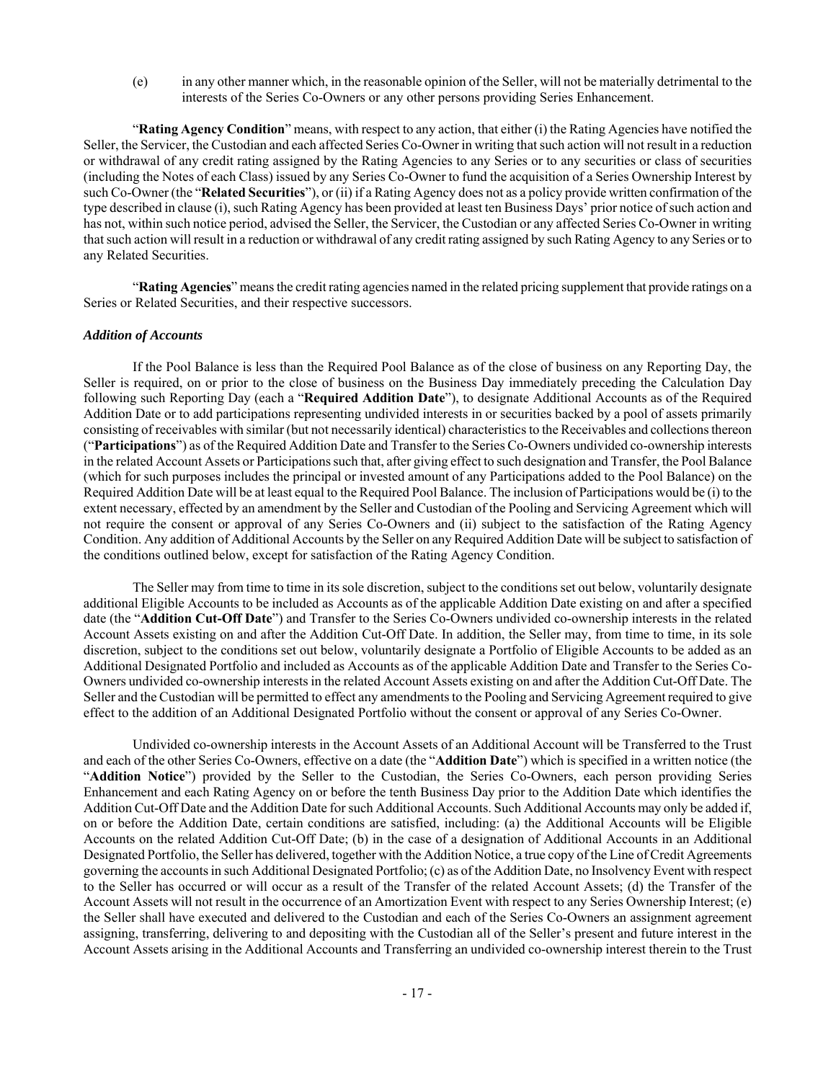(e) in any other manner which, in the reasonable opinion of the Seller, will not be materially detrimental to the interests of the Series Co-Owners or any other persons providing Series Enhancement.

"**Rating Agency Condition**" means, with respect to any action, that either (i) the Rating Agencies have notified the Seller, the Servicer, the Custodian and each affected Series Co-Owner in writing that such action will not result in a reduction or withdrawal of any credit rating assigned by the Rating Agencies to any Series or to any securities or class of securities (including the Notes of each Class) issued by any Series Co-Owner to fund the acquisition of a Series Ownership Interest by such Co-Owner (the "**Related Securities**"), or (ii) if a Rating Agency does not as a policy provide written confirmation of the type described in clause (i), such Rating Agency has been provided at least ten Business Days' prior notice of such action and has not, within such notice period, advised the Seller, the Servicer, the Custodian or any affected Series Co-Owner in writing that such action will result in a reduction or withdrawal of any credit rating assigned by such Rating Agency to any Series or to any Related Securities.

"**Rating Agencies**" means the credit rating agencies named in the related pricing supplement that provide ratings on a Series or Related Securities, and their respective successors.

#### *Addition of Accounts*

If the Pool Balance is less than the Required Pool Balance as of the close of business on any Reporting Day, the Seller is required, on or prior to the close of business on the Business Day immediately preceding the Calculation Day following such Reporting Day (each a "**Required Addition Date**"), to designate Additional Accounts as of the Required Addition Date or to add participations representing undivided interests in or securities backed by a pool of assets primarily consisting of receivables with similar (but not necessarily identical) characteristics to the Receivables and collections thereon ("**Participations**") as of the Required Addition Date and Transfer to the Series Co-Owners undivided co-ownership interests in the related Account Assets or Participations such that, after giving effect to such designation and Transfer, the Pool Balance (which for such purposes includes the principal or invested amount of any Participations added to the Pool Balance) on the Required Addition Date will be at least equal to the Required Pool Balance. The inclusion of Participations would be (i) to the extent necessary, effected by an amendment by the Seller and Custodian of the Pooling and Servicing Agreement which will not require the consent or approval of any Series Co-Owners and (ii) subject to the satisfaction of the Rating Agency Condition. Any addition of Additional Accounts by the Seller on any Required Addition Date will be subject to satisfaction of the conditions outlined below, except for satisfaction of the Rating Agency Condition.

The Seller may from time to time in its sole discretion, subject to the conditions set out below, voluntarily designate additional Eligible Accounts to be included as Accounts as of the applicable Addition Date existing on and after a specified date (the "**Addition Cut-Off Date**") and Transfer to the Series Co-Owners undivided co-ownership interests in the related Account Assets existing on and after the Addition Cut-Off Date. In addition, the Seller may, from time to time, in its sole discretion, subject to the conditions set out below, voluntarily designate a Portfolio of Eligible Accounts to be added as an Additional Designated Portfolio and included as Accounts as of the applicable Addition Date and Transfer to the Series Co-Owners undivided co-ownership interests in the related Account Assets existing on and after the Addition Cut-Off Date. The Seller and the Custodian will be permitted to effect any amendments to the Pooling and Servicing Agreement required to give effect to the addition of an Additional Designated Portfolio without the consent or approval of any Series Co-Owner.

Undivided co-ownership interests in the Account Assets of an Additional Account will be Transferred to the Trust and each of the other Series Co-Owners, effective on a date (the "**Addition Date**") which is specified in a written notice (the "**Addition Notice**") provided by the Seller to the Custodian, the Series Co-Owners, each person providing Series Enhancement and each Rating Agency on or before the tenth Business Day prior to the Addition Date which identifies the Addition Cut-Off Date and the Addition Date for such Additional Accounts. Such Additional Accounts may only be added if, on or before the Addition Date, certain conditions are satisfied, including: (a) the Additional Accounts will be Eligible Accounts on the related Addition Cut-Off Date; (b) in the case of a designation of Additional Accounts in an Additional Designated Portfolio, the Seller has delivered, together with the Addition Notice, a true copy of the Line of Credit Agreements governing the accounts in such Additional Designated Portfolio; (c) as of the Addition Date, no Insolvency Event with respect to the Seller has occurred or will occur as a result of the Transfer of the related Account Assets; (d) the Transfer of the Account Assets will not result in the occurrence of an Amortization Event with respect to any Series Ownership Interest; (e) the Seller shall have executed and delivered to the Custodian and each of the Series Co-Owners an assignment agreement assigning, transferring, delivering to and depositing with the Custodian all of the Seller's present and future interest in the Account Assets arising in the Additional Accounts and Transferring an undivided co-ownership interest therein to the Trust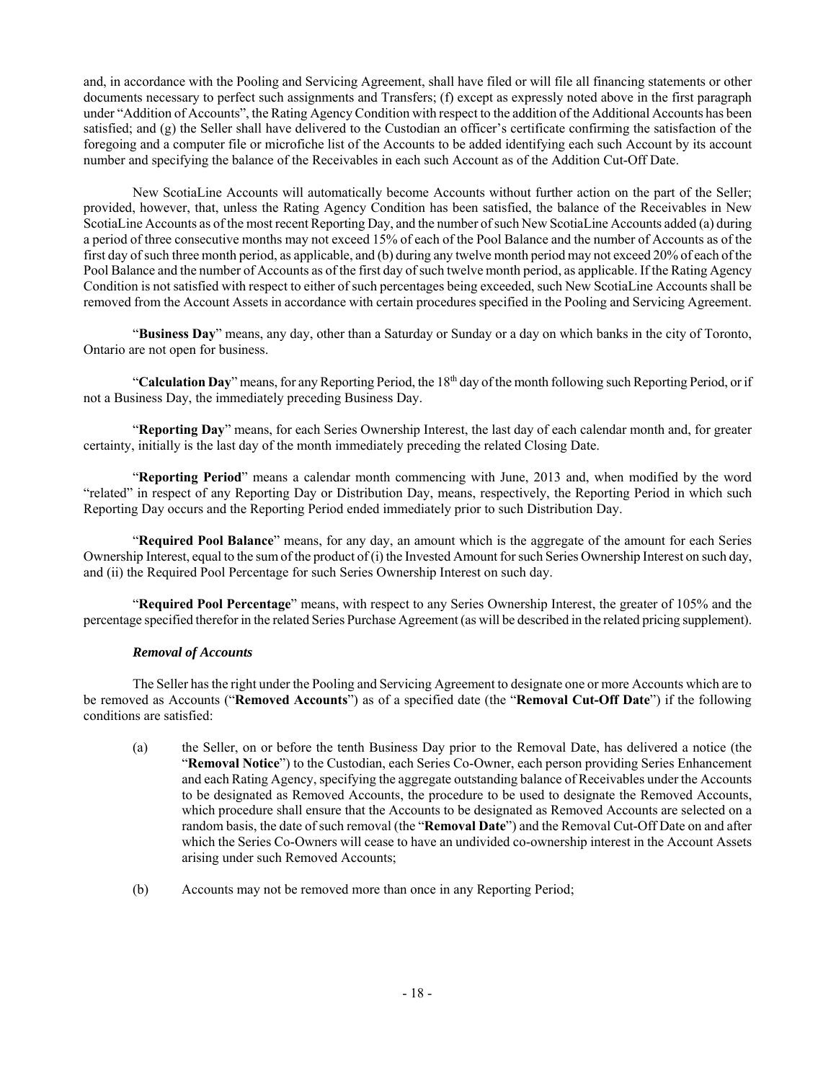and, in accordance with the Pooling and Servicing Agreement, shall have filed or will file all financing statements or other documents necessary to perfect such assignments and Transfers; (f) except as expressly noted above in the first paragraph under "Addition of Accounts", the Rating Agency Condition with respect to the addition of the Additional Accounts has been satisfied; and (g) the Seller shall have delivered to the Custodian an officer's certificate confirming the satisfaction of the foregoing and a computer file or microfiche list of the Accounts to be added identifying each such Account by its account number and specifying the balance of the Receivables in each such Account as of the Addition Cut-Off Date.

New ScotiaLine Accounts will automatically become Accounts without further action on the part of the Seller; provided, however, that, unless the Rating Agency Condition has been satisfied, the balance of the Receivables in New ScotiaLine Accounts as of the most recent Reporting Day, and the number of such New ScotiaLine Accounts added (a) during a period of three consecutive months may not exceed 15% of each of the Pool Balance and the number of Accounts as of the first day of such three month period, as applicable, and (b) during any twelve month period may not exceed 20% of each of the Pool Balance and the number of Accounts as of the first day of such twelve month period, as applicable. If the Rating Agency Condition is not satisfied with respect to either of such percentages being exceeded, such New ScotiaLine Accounts shall be removed from the Account Assets in accordance with certain procedures specified in the Pooling and Servicing Agreement.

"**Business Day**" means, any day, other than a Saturday or Sunday or a day on which banks in the city of Toronto, Ontario are not open for business.

"Calculation Day" means, for any Reporting Period, the 18<sup>th</sup> day of the month following such Reporting Period, or if not a Business Day, the immediately preceding Business Day.

"**Reporting Day**" means, for each Series Ownership Interest, the last day of each calendar month and, for greater certainty, initially is the last day of the month immediately preceding the related Closing Date.

"**Reporting Period**" means a calendar month commencing with June, 2013 and, when modified by the word "related" in respect of any Reporting Day or Distribution Day, means, respectively, the Reporting Period in which such Reporting Day occurs and the Reporting Period ended immediately prior to such Distribution Day.

"**Required Pool Balance**" means, for any day, an amount which is the aggregate of the amount for each Series Ownership Interest, equal to the sum of the product of (i) the Invested Amount for such Series Ownership Interest on such day, and (ii) the Required Pool Percentage for such Series Ownership Interest on such day.

"**Required Pool Percentage**" means, with respect to any Series Ownership Interest, the greater of 105% and the percentage specified therefor in the related Series Purchase Agreement (as will be described in the related pricing supplement).

## *Removal of Accounts*

The Seller has the right under the Pooling and Servicing Agreement to designate one or more Accounts which are to be removed as Accounts ("**Removed Accounts**") as of a specified date (the "**Removal Cut-Off Date**") if the following conditions are satisfied:

- (a) the Seller, on or before the tenth Business Day prior to the Removal Date, has delivered a notice (the "**Removal Notice**") to the Custodian, each Series Co-Owner, each person providing Series Enhancement and each Rating Agency, specifying the aggregate outstanding balance of Receivables under the Accounts to be designated as Removed Accounts, the procedure to be used to designate the Removed Accounts, which procedure shall ensure that the Accounts to be designated as Removed Accounts are selected on a random basis, the date of such removal (the "**Removal Date**") and the Removal Cut-Off Date on and after which the Series Co-Owners will cease to have an undivided co-ownership interest in the Account Assets arising under such Removed Accounts;
- (b) Accounts may not be removed more than once in any Reporting Period;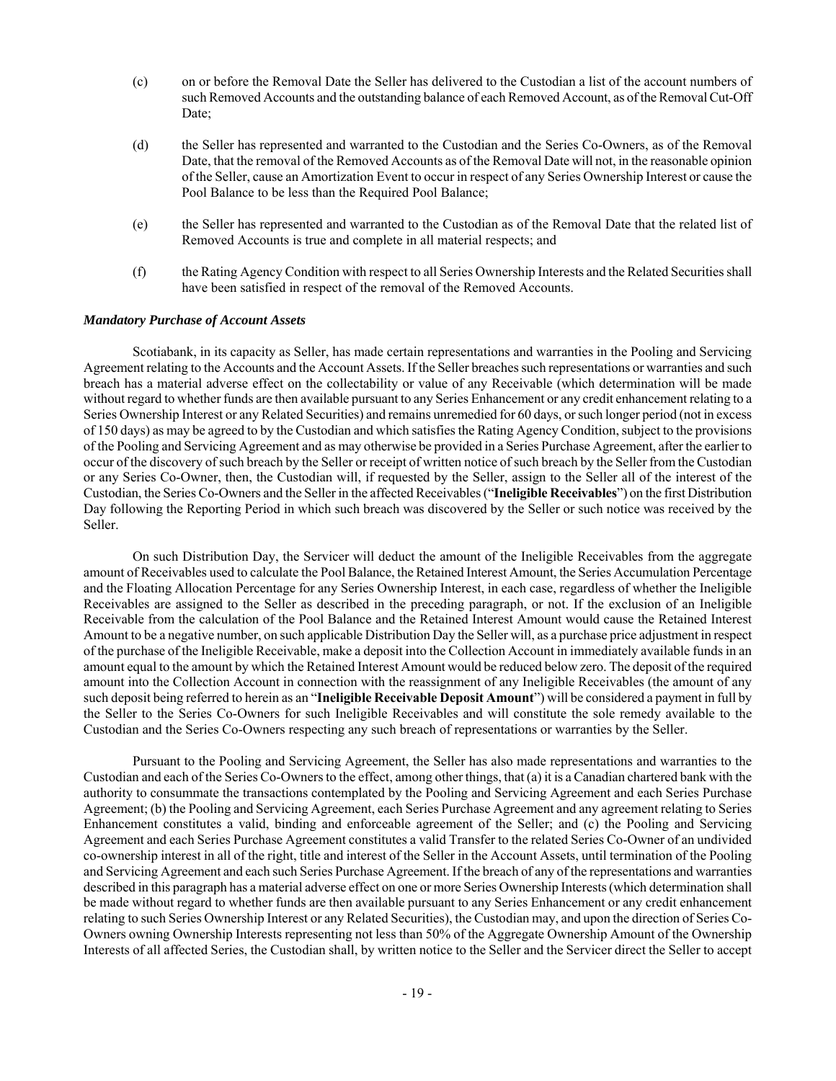- (c) on or before the Removal Date the Seller has delivered to the Custodian a list of the account numbers of such Removed Accounts and the outstanding balance of each Removed Account, as of the Removal Cut-Off Date;
- (d) the Seller has represented and warranted to the Custodian and the Series Co-Owners, as of the Removal Date, that the removal of the Removed Accounts as of the Removal Date will not, in the reasonable opinion of the Seller, cause an Amortization Event to occur in respect of any Series Ownership Interest or cause the Pool Balance to be less than the Required Pool Balance;
- (e) the Seller has represented and warranted to the Custodian as of the Removal Date that the related list of Removed Accounts is true and complete in all material respects; and
- (f) the Rating Agency Condition with respect to all Series Ownership Interests and the Related Securities shall have been satisfied in respect of the removal of the Removed Accounts.

#### *Mandatory Purchase of Account Assets*

Scotiabank, in its capacity as Seller, has made certain representations and warranties in the Pooling and Servicing Agreement relating to the Accounts and the Account Assets. If the Seller breaches such representations or warranties and such breach has a material adverse effect on the collectability or value of any Receivable (which determination will be made without regard to whether funds are then available pursuant to any Series Enhancement or any credit enhancement relating to a Series Ownership Interest or any Related Securities) and remains unremedied for 60 days, or such longer period (not in excess of 150 days) as may be agreed to by the Custodian and which satisfies the Rating Agency Condition, subject to the provisions of the Pooling and Servicing Agreement and as may otherwise be provided in a Series Purchase Agreement, after the earlier to occur of the discovery of such breach by the Seller or receipt of written notice of such breach by the Seller from the Custodian or any Series Co-Owner, then, the Custodian will, if requested by the Seller, assign to the Seller all of the interest of the Custodian, the Series Co-Owners and the Seller in the affected Receivables ("**Ineligible Receivables**") on the first Distribution Day following the Reporting Period in which such breach was discovered by the Seller or such notice was received by the Seller.

On such Distribution Day, the Servicer will deduct the amount of the Ineligible Receivables from the aggregate amount of Receivables used to calculate the Pool Balance, the Retained Interest Amount, the Series Accumulation Percentage and the Floating Allocation Percentage for any Series Ownership Interest, in each case, regardless of whether the Ineligible Receivables are assigned to the Seller as described in the preceding paragraph, or not. If the exclusion of an Ineligible Receivable from the calculation of the Pool Balance and the Retained Interest Amount would cause the Retained Interest Amount to be a negative number, on such applicable Distribution Day the Seller will, as a purchase price adjustment in respect of the purchase of the Ineligible Receivable, make a deposit into the Collection Account in immediately available funds in an amount equal to the amount by which the Retained Interest Amount would be reduced below zero. The deposit of the required amount into the Collection Account in connection with the reassignment of any Ineligible Receivables (the amount of any such deposit being referred to herein as an "**Ineligible Receivable Deposit Amount**") will be considered a payment in full by the Seller to the Series Co-Owners for such Ineligible Receivables and will constitute the sole remedy available to the Custodian and the Series Co-Owners respecting any such breach of representations or warranties by the Seller.

Pursuant to the Pooling and Servicing Agreement, the Seller has also made representations and warranties to the Custodian and each of the Series Co-Owners to the effect, among other things, that (a) it is a Canadian chartered bank with the authority to consummate the transactions contemplated by the Pooling and Servicing Agreement and each Series Purchase Agreement; (b) the Pooling and Servicing Agreement, each Series Purchase Agreement and any agreement relating to Series Enhancement constitutes a valid, binding and enforceable agreement of the Seller; and (c) the Pooling and Servicing Agreement and each Series Purchase Agreement constitutes a valid Transfer to the related Series Co-Owner of an undivided co-ownership interest in all of the right, title and interest of the Seller in the Account Assets, until termination of the Pooling and Servicing Agreement and each such Series Purchase Agreement. If the breach of any of the representations and warranties described in this paragraph has a material adverse effect on one or more Series Ownership Interests (which determination shall be made without regard to whether funds are then available pursuant to any Series Enhancement or any credit enhancement relating to such Series Ownership Interest or any Related Securities), the Custodian may, and upon the direction of Series Co-Owners owning Ownership Interests representing not less than 50% of the Aggregate Ownership Amount of the Ownership Interests of all affected Series, the Custodian shall, by written notice to the Seller and the Servicer direct the Seller to accept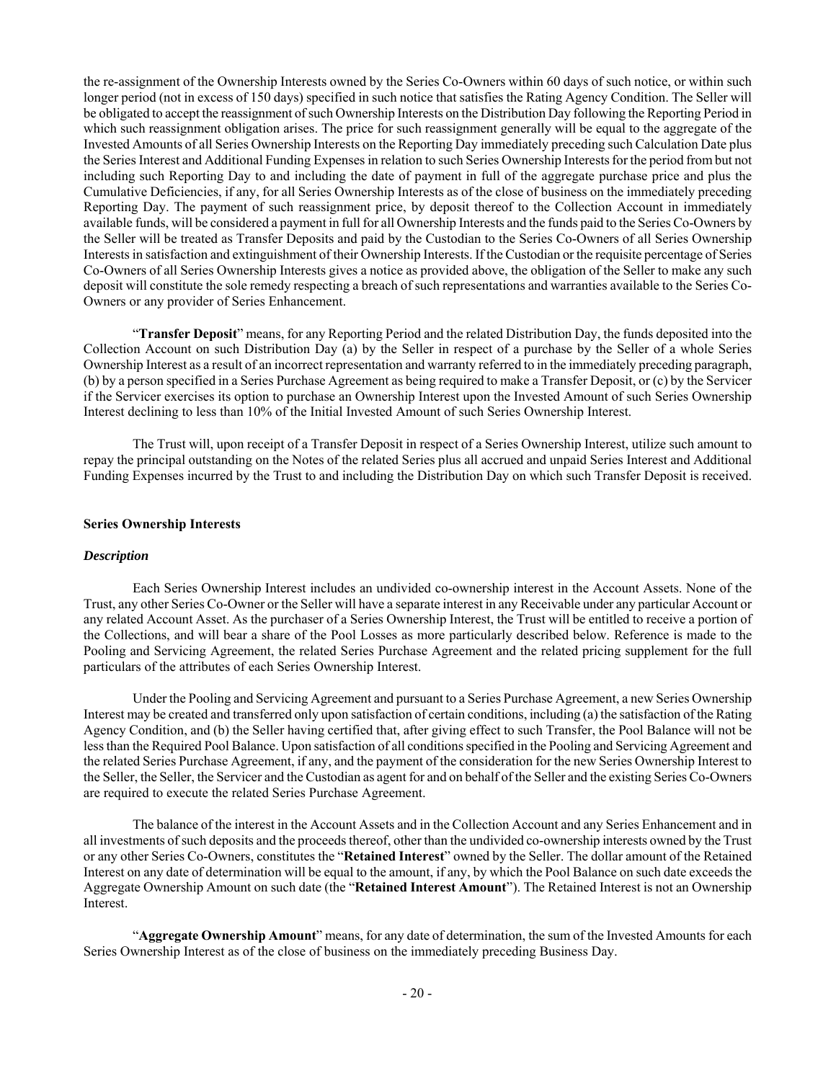the re-assignment of the Ownership Interests owned by the Series Co-Owners within 60 days of such notice, or within such longer period (not in excess of 150 days) specified in such notice that satisfies the Rating Agency Condition. The Seller will be obligated to accept the reassignment of such Ownership Interests on the Distribution Day following the Reporting Period in which such reassignment obligation arises. The price for such reassignment generally will be equal to the aggregate of the Invested Amounts of all Series Ownership Interests on the Reporting Day immediately preceding such Calculation Date plus the Series Interest and Additional Funding Expenses in relation to such Series Ownership Interests for the period from but not including such Reporting Day to and including the date of payment in full of the aggregate purchase price and plus the Cumulative Deficiencies, if any, for all Series Ownership Interests as of the close of business on the immediately preceding Reporting Day. The payment of such reassignment price, by deposit thereof to the Collection Account in immediately available funds, will be considered a payment in full for all Ownership Interests and the funds paid to the Series Co-Owners by the Seller will be treated as Transfer Deposits and paid by the Custodian to the Series Co-Owners of all Series Ownership Interests in satisfaction and extinguishment of their Ownership Interests. If the Custodian or the requisite percentage of Series Co-Owners of all Series Ownership Interests gives a notice as provided above, the obligation of the Seller to make any such deposit will constitute the sole remedy respecting a breach of such representations and warranties available to the Series Co-Owners or any provider of Series Enhancement.

"**Transfer Deposit**" means, for any Reporting Period and the related Distribution Day, the funds deposited into the Collection Account on such Distribution Day (a) by the Seller in respect of a purchase by the Seller of a whole Series Ownership Interest as a result of an incorrect representation and warranty referred to in the immediately preceding paragraph, (b) by a person specified in a Series Purchase Agreement as being required to make a Transfer Deposit, or (c) by the Servicer if the Servicer exercises its option to purchase an Ownership Interest upon the Invested Amount of such Series Ownership Interest declining to less than 10% of the Initial Invested Amount of such Series Ownership Interest.

The Trust will, upon receipt of a Transfer Deposit in respect of a Series Ownership Interest, utilize such amount to repay the principal outstanding on the Notes of the related Series plus all accrued and unpaid Series Interest and Additional Funding Expenses incurred by the Trust to and including the Distribution Day on which such Transfer Deposit is received.

#### **Series Ownership Interests**

#### *Description*

Each Series Ownership Interest includes an undivided co-ownership interest in the Account Assets. None of the Trust, any other Series Co-Owner or the Seller will have a separate interest in any Receivable under any particular Account or any related Account Asset. As the purchaser of a Series Ownership Interest, the Trust will be entitled to receive a portion of the Collections, and will bear a share of the Pool Losses as more particularly described below. Reference is made to the Pooling and Servicing Agreement, the related Series Purchase Agreement and the related pricing supplement for the full particulars of the attributes of each Series Ownership Interest.

Under the Pooling and Servicing Agreement and pursuant to a Series Purchase Agreement, a new Series Ownership Interest may be created and transferred only upon satisfaction of certain conditions, including (a) the satisfaction of the Rating Agency Condition, and (b) the Seller having certified that, after giving effect to such Transfer, the Pool Balance will not be less than the Required Pool Balance. Upon satisfaction of all conditions specified in the Pooling and Servicing Agreement and the related Series Purchase Agreement, if any, and the payment of the consideration for the new Series Ownership Interest to the Seller, the Seller, the Servicer and the Custodian as agent for and on behalf of the Seller and the existing Series Co-Owners are required to execute the related Series Purchase Agreement.

The balance of the interest in the Account Assets and in the Collection Account and any Series Enhancement and in all investments of such deposits and the proceeds thereof, other than the undivided co-ownership interests owned by the Trust or any other Series Co-Owners, constitutes the "**Retained Interest**" owned by the Seller. The dollar amount of the Retained Interest on any date of determination will be equal to the amount, if any, by which the Pool Balance on such date exceeds the Aggregate Ownership Amount on such date (the "**Retained Interest Amount**"). The Retained Interest is not an Ownership Interest.

"**Aggregate Ownership Amount**" means, for any date of determination, the sum of the Invested Amounts for each Series Ownership Interest as of the close of business on the immediately preceding Business Day.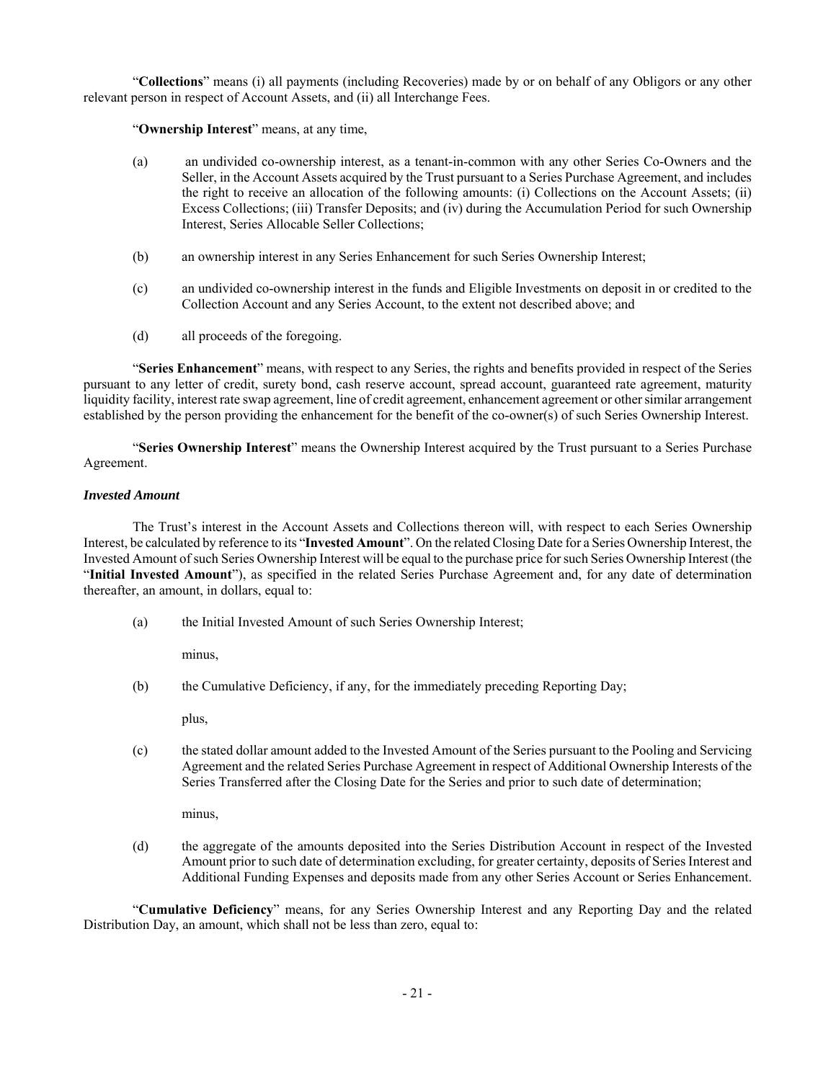"**Collections**" means (i) all payments (including Recoveries) made by or on behalf of any Obligors or any other relevant person in respect of Account Assets, and (ii) all Interchange Fees.

"**Ownership Interest**" means, at any time,

- (a) an undivided co-ownership interest, as a tenant-in-common with any other Series Co-Owners and the Seller, in the Account Assets acquired by the Trust pursuant to a Series Purchase Agreement, and includes the right to receive an allocation of the following amounts: (i) Collections on the Account Assets; (ii) Excess Collections; (iii) Transfer Deposits; and (iv) during the Accumulation Period for such Ownership Interest, Series Allocable Seller Collections;
- (b) an ownership interest in any Series Enhancement for such Series Ownership Interest;
- (c) an undivided co-ownership interest in the funds and Eligible Investments on deposit in or credited to the Collection Account and any Series Account, to the extent not described above; and
- (d) all proceeds of the foregoing.

"**Series Enhancement**" means, with respect to any Series, the rights and benefits provided in respect of the Series pursuant to any letter of credit, surety bond, cash reserve account, spread account, guaranteed rate agreement, maturity liquidity facility, interest rate swap agreement, line of credit agreement, enhancement agreement or other similar arrangement established by the person providing the enhancement for the benefit of the co-owner(s) of such Series Ownership Interest.

"**Series Ownership Interest**" means the Ownership Interest acquired by the Trust pursuant to a Series Purchase Agreement.

## *Invested Amount*

The Trust's interest in the Account Assets and Collections thereon will, with respect to each Series Ownership Interest, be calculated by reference to its "**Invested Amount**". On the related Closing Date for a Series Ownership Interest, the Invested Amount of such Series Ownership Interest will be equal to the purchase price for such Series Ownership Interest (the "**Initial Invested Amount**"), as specified in the related Series Purchase Agreement and, for any date of determination thereafter, an amount, in dollars, equal to:

(a) the Initial Invested Amount of such Series Ownership Interest;

minus,

(b) the Cumulative Deficiency, if any, for the immediately preceding Reporting Day;

plus,

(c) the stated dollar amount added to the Invested Amount of the Series pursuant to the Pooling and Servicing Agreement and the related Series Purchase Agreement in respect of Additional Ownership Interests of the Series Transferred after the Closing Date for the Series and prior to such date of determination;

minus,

(d) the aggregate of the amounts deposited into the Series Distribution Account in respect of the Invested Amount prior to such date of determination excluding, for greater certainty, deposits of Series Interest and Additional Funding Expenses and deposits made from any other Series Account or Series Enhancement.

"**Cumulative Deficiency**" means, for any Series Ownership Interest and any Reporting Day and the related Distribution Day, an amount, which shall not be less than zero, equal to: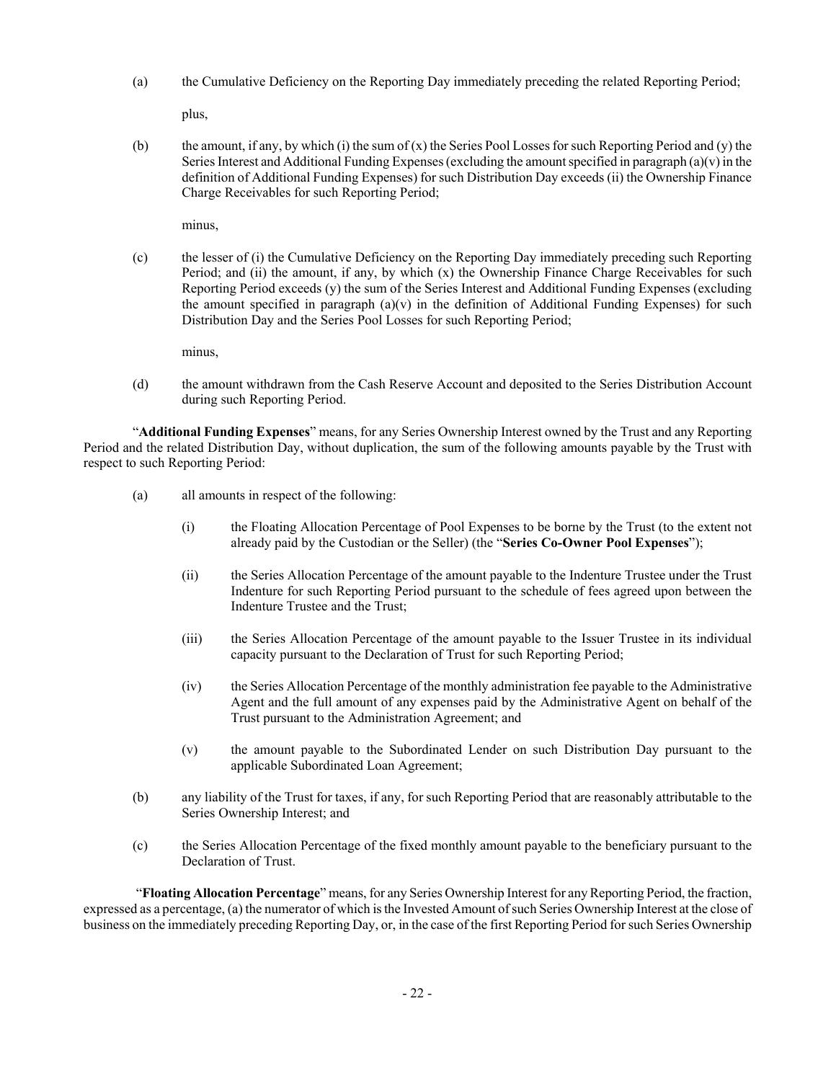(a) the Cumulative Deficiency on the Reporting Day immediately preceding the related Reporting Period;

plus,

(b) the amount, if any, by which (i) the sum of  $(x)$  the Series Pool Losses for such Reporting Period and  $(y)$  the Series Interest and Additional Funding Expenses (excluding the amount specified in paragraph  $(a)(v)$  in the definition of Additional Funding Expenses) for such Distribution Day exceeds (ii) the Ownership Finance Charge Receivables for such Reporting Period;

minus,

(c) the lesser of (i) the Cumulative Deficiency on the Reporting Day immediately preceding such Reporting Period; and (ii) the amount, if any, by which (x) the Ownership Finance Charge Receivables for such Reporting Period exceeds (y) the sum of the Series Interest and Additional Funding Expenses (excluding the amount specified in paragraph  $(a)(v)$  in the definition of Additional Funding Expenses) for such Distribution Day and the Series Pool Losses for such Reporting Period;

minus,

(d) the amount withdrawn from the Cash Reserve Account and deposited to the Series Distribution Account during such Reporting Period.

"**Additional Funding Expenses**" means, for any Series Ownership Interest owned by the Trust and any Reporting Period and the related Distribution Day, without duplication, the sum of the following amounts payable by the Trust with respect to such Reporting Period:

- (a) all amounts in respect of the following:
	- (i) the Floating Allocation Percentage of Pool Expenses to be borne by the Trust (to the extent not already paid by the Custodian or the Seller) (the "**Series Co-Owner Pool Expenses**");
	- (ii) the Series Allocation Percentage of the amount payable to the Indenture Trustee under the Trust Indenture for such Reporting Period pursuant to the schedule of fees agreed upon between the Indenture Trustee and the Trust;
	- (iii) the Series Allocation Percentage of the amount payable to the Issuer Trustee in its individual capacity pursuant to the Declaration of Trust for such Reporting Period;
	- (iv) the Series Allocation Percentage of the monthly administration fee payable to the Administrative Agent and the full amount of any expenses paid by the Administrative Agent on behalf of the Trust pursuant to the Administration Agreement; and
	- (v) the amount payable to the Subordinated Lender on such Distribution Day pursuant to the applicable Subordinated Loan Agreement;
- (b) any liability of the Trust for taxes, if any, for such Reporting Period that are reasonably attributable to the Series Ownership Interest; and
- (c) the Series Allocation Percentage of the fixed monthly amount payable to the beneficiary pursuant to the Declaration of Trust.

 "**Floating Allocation Percentage**" means, for any Series Ownership Interest for any Reporting Period, the fraction, expressed as a percentage, (a) the numerator of which is the Invested Amount of such Series Ownership Interest at the close of business on the immediately preceding Reporting Day, or, in the case of the first Reporting Period for such Series Ownership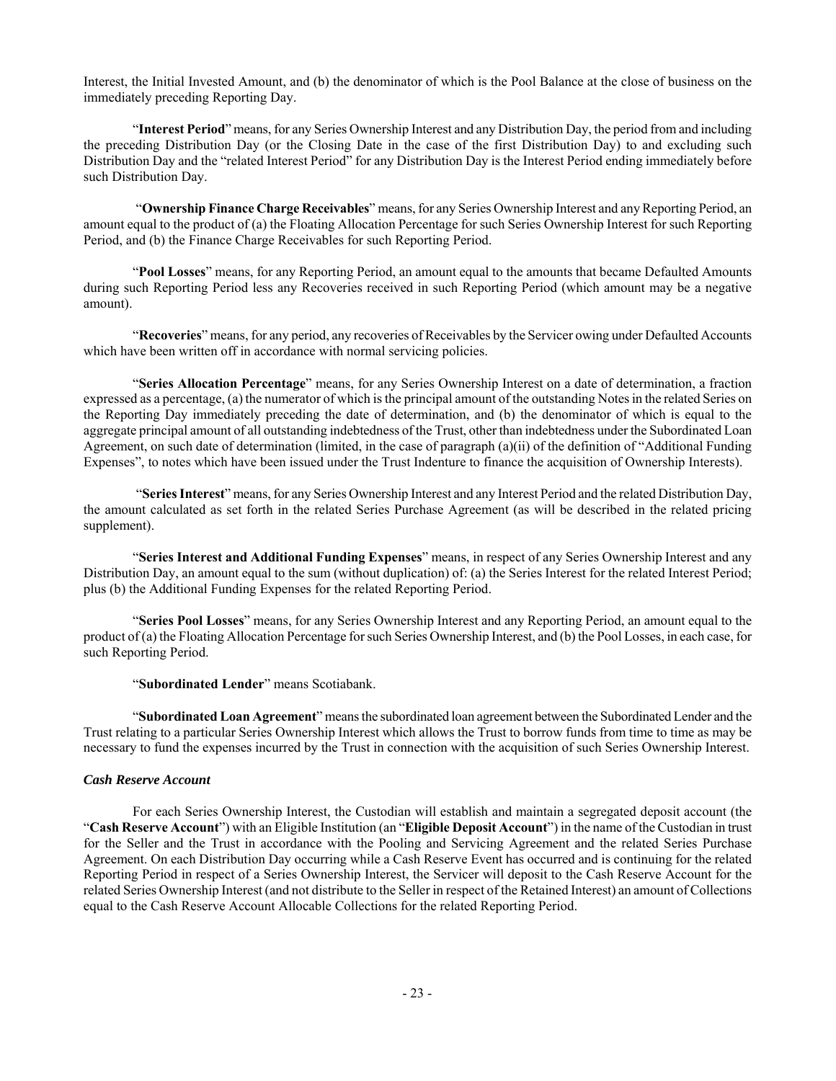Interest, the Initial Invested Amount, and (b) the denominator of which is the Pool Balance at the close of business on the immediately preceding Reporting Day.

"**Interest Period**" means, for any Series Ownership Interest and any Distribution Day, the period from and including the preceding Distribution Day (or the Closing Date in the case of the first Distribution Day) to and excluding such Distribution Day and the "related Interest Period" for any Distribution Day is the Interest Period ending immediately before such Distribution Day.

 "**Ownership Finance Charge Receivables**" means, for any Series Ownership Interest and any Reporting Period, an amount equal to the product of (a) the Floating Allocation Percentage for such Series Ownership Interest for such Reporting Period, and (b) the Finance Charge Receivables for such Reporting Period.

"**Pool Losses**" means, for any Reporting Period, an amount equal to the amounts that became Defaulted Amounts during such Reporting Period less any Recoveries received in such Reporting Period (which amount may be a negative amount).

"**Recoveries**" means, for any period, any recoveries of Receivables by the Servicer owing under Defaulted Accounts which have been written off in accordance with normal servicing policies.

"**Series Allocation Percentage**" means, for any Series Ownership Interest on a date of determination, a fraction expressed as a percentage, (a) the numerator of which is the principal amount of the outstanding Notes in the related Series on the Reporting Day immediately preceding the date of determination, and (b) the denominator of which is equal to the aggregate principal amount of all outstanding indebtedness of the Trust, other than indebtedness under the Subordinated Loan Agreement, on such date of determination (limited, in the case of paragraph (a)(ii) of the definition of "Additional Funding Expenses", to notes which have been issued under the Trust Indenture to finance the acquisition of Ownership Interests).

 "**Series Interest**" means, for any Series Ownership Interest and any Interest Period and the related Distribution Day, the amount calculated as set forth in the related Series Purchase Agreement (as will be described in the related pricing supplement).

"**Series Interest and Additional Funding Expenses**" means, in respect of any Series Ownership Interest and any Distribution Day, an amount equal to the sum (without duplication) of: (a) the Series Interest for the related Interest Period; plus (b) the Additional Funding Expenses for the related Reporting Period.

"**Series Pool Losses**" means, for any Series Ownership Interest and any Reporting Period, an amount equal to the product of (a) the Floating Allocation Percentage for such Series Ownership Interest, and (b) the Pool Losses, in each case, for such Reporting Period.

"**Subordinated Lender**" means Scotiabank.

"**Subordinated Loan Agreement**" means the subordinated loan agreement between the Subordinated Lender and the Trust relating to a particular Series Ownership Interest which allows the Trust to borrow funds from time to time as may be necessary to fund the expenses incurred by the Trust in connection with the acquisition of such Series Ownership Interest.

## *Cash Reserve Account*

For each Series Ownership Interest, the Custodian will establish and maintain a segregated deposit account (the "**Cash Reserve Account**") with an Eligible Institution (an "**Eligible Deposit Account**") in the name of the Custodian in trust for the Seller and the Trust in accordance with the Pooling and Servicing Agreement and the related Series Purchase Agreement. On each Distribution Day occurring while a Cash Reserve Event has occurred and is continuing for the related Reporting Period in respect of a Series Ownership Interest, the Servicer will deposit to the Cash Reserve Account for the related Series Ownership Interest (and not distribute to the Seller in respect of the Retained Interest) an amount of Collections equal to the Cash Reserve Account Allocable Collections for the related Reporting Period.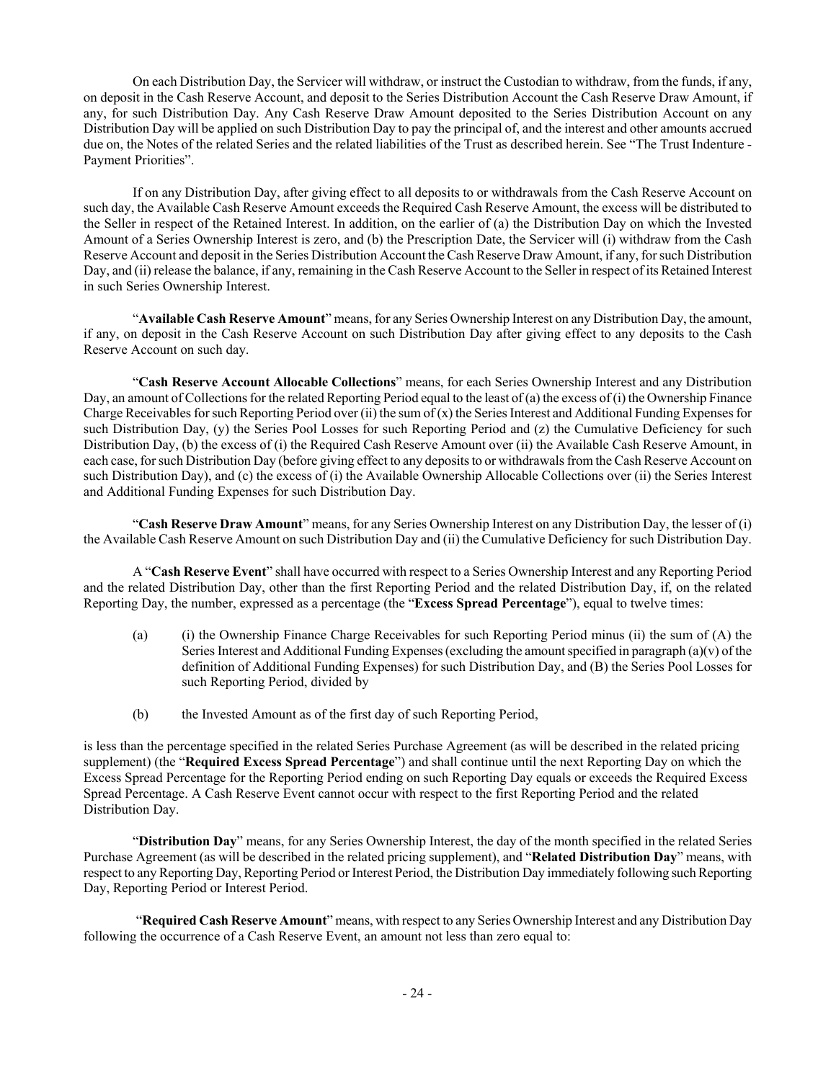On each Distribution Day, the Servicer will withdraw, or instruct the Custodian to withdraw, from the funds, if any, on deposit in the Cash Reserve Account, and deposit to the Series Distribution Account the Cash Reserve Draw Amount, if any, for such Distribution Day. Any Cash Reserve Draw Amount deposited to the Series Distribution Account on any Distribution Day will be applied on such Distribution Day to pay the principal of, and the interest and other amounts accrued due on, the Notes of the related Series and the related liabilities of the Trust as described herein. See "The Trust Indenture - Payment Priorities".

If on any Distribution Day, after giving effect to all deposits to or withdrawals from the Cash Reserve Account on such day, the Available Cash Reserve Amount exceeds the Required Cash Reserve Amount, the excess will be distributed to the Seller in respect of the Retained Interest. In addition, on the earlier of (a) the Distribution Day on which the Invested Amount of a Series Ownership Interest is zero, and (b) the Prescription Date, the Servicer will (i) withdraw from the Cash Reserve Account and deposit in the Series Distribution Account the Cash Reserve Draw Amount, if any, for such Distribution Day, and (ii) release the balance, if any, remaining in the Cash Reserve Account to the Seller in respect of its Retained Interest in such Series Ownership Interest.

"**Available Cash Reserve Amount**" means, for any Series Ownership Interest on any Distribution Day, the amount, if any, on deposit in the Cash Reserve Account on such Distribution Day after giving effect to any deposits to the Cash Reserve Account on such day.

"**Cash Reserve Account Allocable Collections**" means, for each Series Ownership Interest and any Distribution Day, an amount of Collections for the related Reporting Period equal to the least of (a) the excess of (i) the Ownership Finance Charge Receivables for such Reporting Period over (ii) the sum of  $(x)$  the Series Interest and Additional Funding Expenses for such Distribution Day, (y) the Series Pool Losses for such Reporting Period and (z) the Cumulative Deficiency for such Distribution Day, (b) the excess of (i) the Required Cash Reserve Amount over (ii) the Available Cash Reserve Amount, in each case, for such Distribution Day (before giving effect to any deposits to or withdrawals from the Cash Reserve Account on such Distribution Day), and (c) the excess of (i) the Available Ownership Allocable Collections over (ii) the Series Interest and Additional Funding Expenses for such Distribution Day.

"**Cash Reserve Draw Amount**" means, for any Series Ownership Interest on any Distribution Day, the lesser of (i) the Available Cash Reserve Amount on such Distribution Day and (ii) the Cumulative Deficiency for such Distribution Day.

A "**Cash Reserve Event**" shall have occurred with respect to a Series Ownership Interest and any Reporting Period and the related Distribution Day, other than the first Reporting Period and the related Distribution Day, if, on the related Reporting Day, the number, expressed as a percentage (the "**Excess Spread Percentage**"), equal to twelve times:

- (a) (i) the Ownership Finance Charge Receivables for such Reporting Period minus (ii) the sum of (A) the Series Interest and Additional Funding Expenses (excluding the amount specified in paragraph  $(a)(v)$  of the definition of Additional Funding Expenses) for such Distribution Day, and (B) the Series Pool Losses for such Reporting Period, divided by
- (b) the Invested Amount as of the first day of such Reporting Period,

is less than the percentage specified in the related Series Purchase Agreement (as will be described in the related pricing supplement) (the "**Required Excess Spread Percentage**") and shall continue until the next Reporting Day on which the Excess Spread Percentage for the Reporting Period ending on such Reporting Day equals or exceeds the Required Excess Spread Percentage. A Cash Reserve Event cannot occur with respect to the first Reporting Period and the related Distribution Day.

"**Distribution Day**" means, for any Series Ownership Interest, the day of the month specified in the related Series Purchase Agreement (as will be described in the related pricing supplement), and "**Related Distribution Day**" means, with respect to any Reporting Day, Reporting Period or Interest Period, the Distribution Day immediately following such Reporting Day, Reporting Period or Interest Period.

 "**Required Cash Reserve Amount**" means, with respect to any Series Ownership Interest and any Distribution Day following the occurrence of a Cash Reserve Event, an amount not less than zero equal to: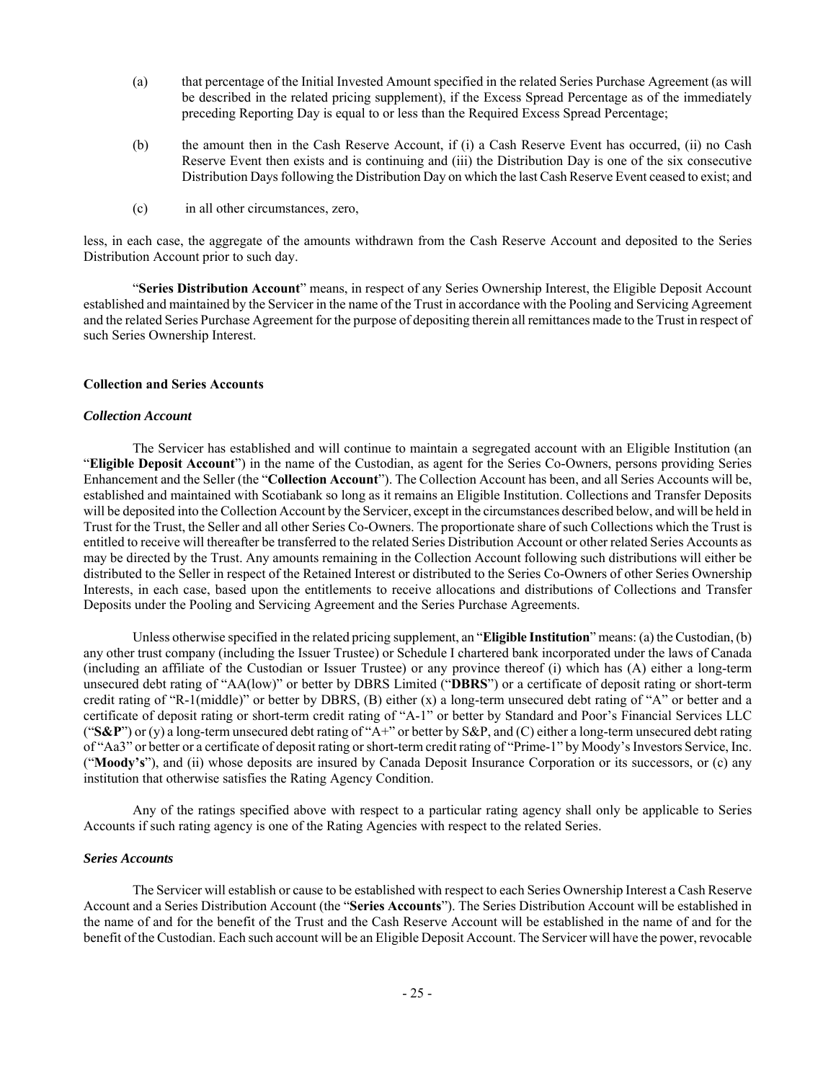- (a) that percentage of the Initial Invested Amount specified in the related Series Purchase Agreement (as will be described in the related pricing supplement), if the Excess Spread Percentage as of the immediately preceding Reporting Day is equal to or less than the Required Excess Spread Percentage;
- (b) the amount then in the Cash Reserve Account, if (i) a Cash Reserve Event has occurred, (ii) no Cash Reserve Event then exists and is continuing and (iii) the Distribution Day is one of the six consecutive Distribution Days following the Distribution Day on which the last Cash Reserve Event ceased to exist; and
- (c) in all other circumstances, zero,

less, in each case, the aggregate of the amounts withdrawn from the Cash Reserve Account and deposited to the Series Distribution Account prior to such day.

"**Series Distribution Account**" means, in respect of any Series Ownership Interest, the Eligible Deposit Account established and maintained by the Servicer in the name of the Trust in accordance with the Pooling and Servicing Agreement and the related Series Purchase Agreement for the purpose of depositing therein all remittances made to the Trust in respect of such Series Ownership Interest.

#### **Collection and Series Accounts**

#### *Collection Account*

The Servicer has established and will continue to maintain a segregated account with an Eligible Institution (an "**Eligible Deposit Account**") in the name of the Custodian, as agent for the Series Co-Owners, persons providing Series Enhancement and the Seller (the "**Collection Account**"). The Collection Account has been, and all Series Accounts will be, established and maintained with Scotiabank so long as it remains an Eligible Institution. Collections and Transfer Deposits will be deposited into the Collection Account by the Servicer, except in the circumstances described below, and will be held in Trust for the Trust, the Seller and all other Series Co-Owners. The proportionate share of such Collections which the Trust is entitled to receive will thereafter be transferred to the related Series Distribution Account or other related Series Accounts as may be directed by the Trust. Any amounts remaining in the Collection Account following such distributions will either be distributed to the Seller in respect of the Retained Interest or distributed to the Series Co-Owners of other Series Ownership Interests, in each case, based upon the entitlements to receive allocations and distributions of Collections and Transfer Deposits under the Pooling and Servicing Agreement and the Series Purchase Agreements.

Unless otherwise specified in the related pricing supplement, an "**Eligible Institution**" means: (a) the Custodian, (b) any other trust company (including the Issuer Trustee) or Schedule I chartered bank incorporated under the laws of Canada (including an affiliate of the Custodian or Issuer Trustee) or any province thereof (i) which has (A) either a long-term unsecured debt rating of "AA(low)" or better by DBRS Limited ("**DBRS**") or a certificate of deposit rating or short-term credit rating of "R-1(middle)" or better by DBRS, (B) either (x) a long-term unsecured debt rating of "A" or better and a certificate of deposit rating or short-term credit rating of "A-1" or better by Standard and Poor's Financial Services LLC (" $S\&P$ ") or (y) a long-term unsecured debt rating of "A+" or better by  $S\&P$ , and (C) either a long-term unsecured debt rating of "Aa3" or better or a certificate of deposit rating or short-term credit rating of "Prime-1" by Moody's Investors Service, Inc. ("**Moody's**"), and (ii) whose deposits are insured by Canada Deposit Insurance Corporation or its successors, or (c) any institution that otherwise satisfies the Rating Agency Condition.

Any of the ratings specified above with respect to a particular rating agency shall only be applicable to Series Accounts if such rating agency is one of the Rating Agencies with respect to the related Series.

#### *Series Accounts*

The Servicer will establish or cause to be established with respect to each Series Ownership Interest a Cash Reserve Account and a Series Distribution Account (the "**Series Accounts**"). The Series Distribution Account will be established in the name of and for the benefit of the Trust and the Cash Reserve Account will be established in the name of and for the benefit of the Custodian. Each such account will be an Eligible Deposit Account. The Servicer will have the power, revocable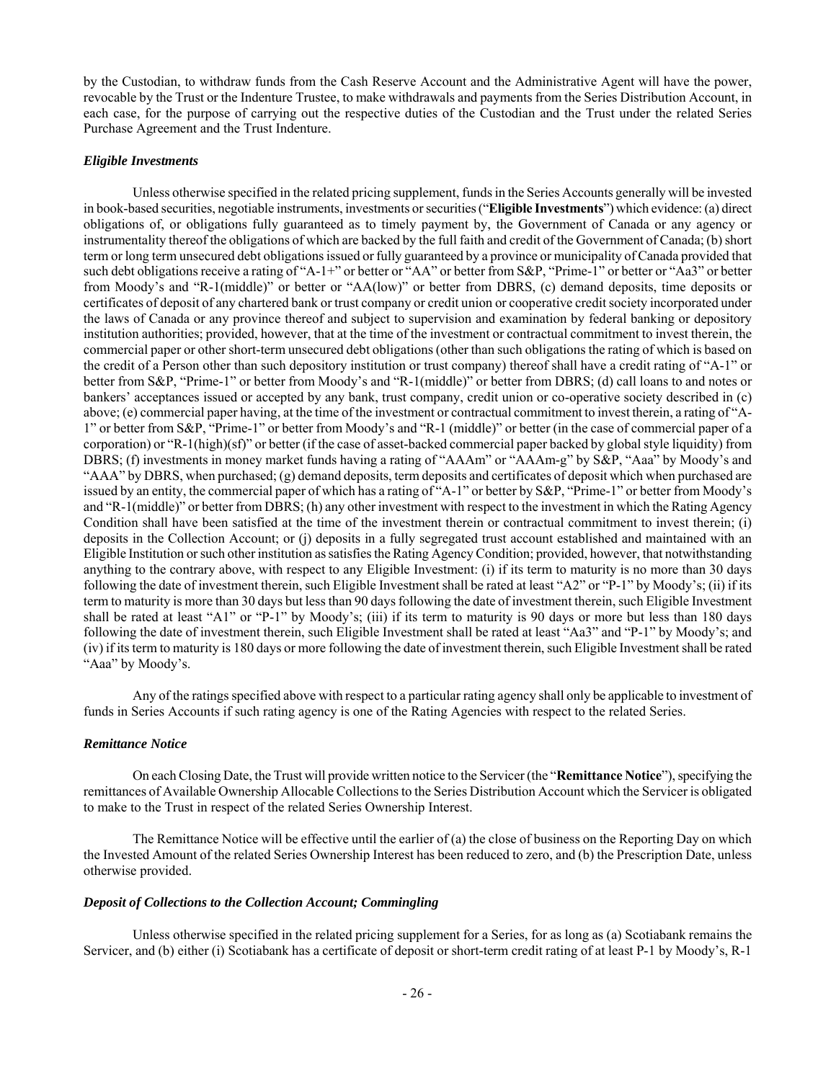by the Custodian, to withdraw funds from the Cash Reserve Account and the Administrative Agent will have the power, revocable by the Trust or the Indenture Trustee, to make withdrawals and payments from the Series Distribution Account, in each case, for the purpose of carrying out the respective duties of the Custodian and the Trust under the related Series Purchase Agreement and the Trust Indenture.

#### *Eligible Investments*

Unless otherwise specified in the related pricing supplement, funds in the Series Accounts generally will be invested in book-based securities, negotiable instruments, investments or securities ("**Eligible Investments**") which evidence: (a) direct obligations of, or obligations fully guaranteed as to timely payment by, the Government of Canada or any agency or instrumentality thereof the obligations of which are backed by the full faith and credit of the Government of Canada; (b) short term or long term unsecured debt obligations issued or fully guaranteed by a province or municipality of Canada provided that such debt obligations receive a rating of "A-1+" or better or "AA" or better from S&P, "Prime-1" or better or "Aa3" or better from Moody's and "R-1(middle)" or better or "AA(low)" or better from DBRS, (c) demand deposits, time deposits or certificates of deposit of any chartered bank or trust company or credit union or cooperative credit society incorporated under the laws of Canada or any province thereof and subject to supervision and examination by federal banking or depository institution authorities; provided, however, that at the time of the investment or contractual commitment to invest therein, the commercial paper or other short-term unsecured debt obligations (other than such obligations the rating of which is based on the credit of a Person other than such depository institution or trust company) thereof shall have a credit rating of "A-1" or better from S&P, "Prime-1" or better from Moody's and "R-1(middle)" or better from DBRS; (d) call loans to and notes or bankers' acceptances issued or accepted by any bank, trust company, credit union or co-operative society described in (c) above; (e) commercial paper having, at the time of the investment or contractual commitment to invest therein, a rating of "A-1" or better from S&P, "Prime-1" or better from Moody's and "R-1 (middle)" or better (in the case of commercial paper of a corporation) or "R-1(high)(sf)" or better (if the case of asset-backed commercial paper backed by global style liquidity) from DBRS; (f) investments in money market funds having a rating of "AAAm" or "AAAm-g" by S&P, "Aaa" by Moody's and "AAA" by DBRS, when purchased; (g) demand deposits, term deposits and certificates of deposit which when purchased are issued by an entity, the commercial paper of which has a rating of "A-1" or better by S&P, "Prime-1" or better from Moody's and "R-1(middle)" or better from DBRS; (h) any other investment with respect to the investment in which the Rating Agency Condition shall have been satisfied at the time of the investment therein or contractual commitment to invest therein; (i) deposits in the Collection Account; or (j) deposits in a fully segregated trust account established and maintained with an Eligible Institution or such other institution as satisfies the Rating Agency Condition; provided, however, that notwithstanding anything to the contrary above, with respect to any Eligible Investment: (i) if its term to maturity is no more than 30 days following the date of investment therein, such Eligible Investment shall be rated at least "A2" or "P-1" by Moody's; (ii) if its term to maturity is more than 30 days but less than 90 days following the date of investment therein, such Eligible Investment shall be rated at least "A1" or "P-1" by Moody's; (iii) if its term to maturity is 90 days or more but less than 180 days following the date of investment therein, such Eligible Investment shall be rated at least "Aa3" and "P-1" by Moody's; and (iv) if its term to maturity is 180 days or more following the date of investment therein, such Eligible Investment shall be rated "Aaa" by Moody's.

Any of the ratings specified above with respect to a particular rating agency shall only be applicable to investment of funds in Series Accounts if such rating agency is one of the Rating Agencies with respect to the related Series.

#### *Remittance Notice*

On each Closing Date, the Trust will provide written notice to the Servicer (the "**Remittance Notice**"), specifying the remittances of Available Ownership Allocable Collections to the Series Distribution Account which the Servicer is obligated to make to the Trust in respect of the related Series Ownership Interest.

The Remittance Notice will be effective until the earlier of (a) the close of business on the Reporting Day on which the Invested Amount of the related Series Ownership Interest has been reduced to zero, and (b) the Prescription Date, unless otherwise provided.

#### *Deposit of Collections to the Collection Account; Commingling*

Unless otherwise specified in the related pricing supplement for a Series, for as long as (a) Scotiabank remains the Servicer, and (b) either (i) Scotiabank has a certificate of deposit or short-term credit rating of at least P-1 by Moody's, R-1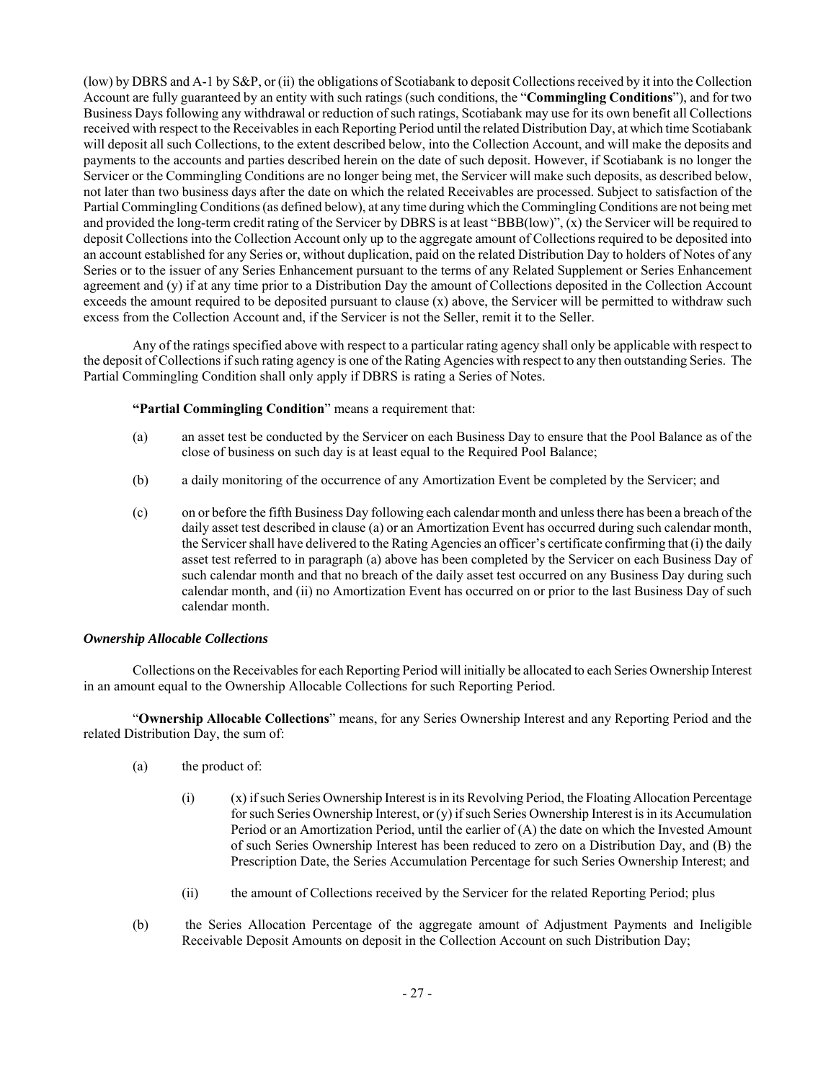(low) by DBRS and A-1 by S&P, or (ii) the obligations of Scotiabank to deposit Collections received by it into the Collection Account are fully guaranteed by an entity with such ratings (such conditions, the "**Commingling Conditions**"), and for two Business Days following any withdrawal or reduction of such ratings, Scotiabank may use for its own benefit all Collections received with respect to the Receivables in each Reporting Period until the related Distribution Day, at which time Scotiabank will deposit all such Collections, to the extent described below, into the Collection Account, and will make the deposits and payments to the accounts and parties described herein on the date of such deposit. However, if Scotiabank is no longer the Servicer or the Commingling Conditions are no longer being met, the Servicer will make such deposits, as described below, not later than two business days after the date on which the related Receivables are processed. Subject to satisfaction of the Partial Commingling Conditions (as defined below), at any time during which the Commingling Conditions are not being met and provided the long-term credit rating of the Servicer by DBRS is at least "BBB(low)", (x) the Servicer will be required to deposit Collections into the Collection Account only up to the aggregate amount of Collections required to be deposited into an account established for any Series or, without duplication, paid on the related Distribution Day to holders of Notes of any Series or to the issuer of any Series Enhancement pursuant to the terms of any Related Supplement or Series Enhancement agreement and (y) if at any time prior to a Distribution Day the amount of Collections deposited in the Collection Account exceeds the amount required to be deposited pursuant to clause  $(x)$  above, the Servicer will be permitted to withdraw such excess from the Collection Account and, if the Servicer is not the Seller, remit it to the Seller.

Any of the ratings specified above with respect to a particular rating agency shall only be applicable with respect to the deposit of Collections if such rating agency is one of the Rating Agencies with respect to any then outstanding Series. The Partial Commingling Condition shall only apply if DBRS is rating a Series of Notes.

## **"Partial Commingling Condition**" means a requirement that:

- (a) an asset test be conducted by the Servicer on each Business Day to ensure that the Pool Balance as of the close of business on such day is at least equal to the Required Pool Balance;
- (b) a daily monitoring of the occurrence of any Amortization Event be completed by the Servicer; and
- (c) on or before the fifth Business Day following each calendar month and unless there has been a breach of the daily asset test described in clause (a) or an Amortization Event has occurred during such calendar month, the Servicer shall have delivered to the Rating Agencies an officer's certificate confirming that (i) the daily asset test referred to in paragraph (a) above has been completed by the Servicer on each Business Day of such calendar month and that no breach of the daily asset test occurred on any Business Day during such calendar month, and (ii) no Amortization Event has occurred on or prior to the last Business Day of such calendar month.

## *Ownership Allocable Collections*

Collections on the Receivables for each Reporting Period will initially be allocated to each Series Ownership Interest in an amount equal to the Ownership Allocable Collections for such Reporting Period.

"**Ownership Allocable Collections**" means, for any Series Ownership Interest and any Reporting Period and the related Distribution Day, the sum of:

- (a) the product of:
	- (i) (x) if such Series Ownership Interest is in its Revolving Period, the Floating Allocation Percentage for such Series Ownership Interest, or (y) if such Series Ownership Interest is in its Accumulation Period or an Amortization Period, until the earlier of (A) the date on which the Invested Amount of such Series Ownership Interest has been reduced to zero on a Distribution Day, and (B) the Prescription Date, the Series Accumulation Percentage for such Series Ownership Interest; and
	- (ii) the amount of Collections received by the Servicer for the related Reporting Period; plus
- (b) the Series Allocation Percentage of the aggregate amount of Adjustment Payments and Ineligible Receivable Deposit Amounts on deposit in the Collection Account on such Distribution Day;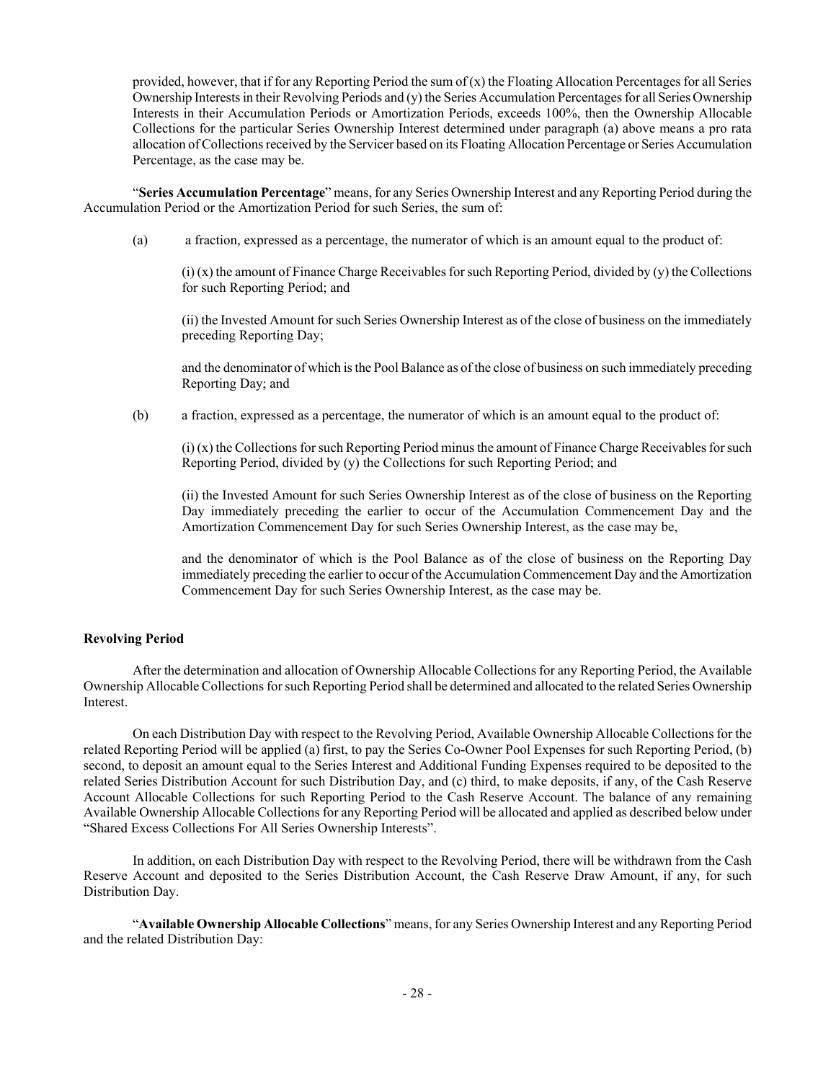provided, however, that if for any Reporting Period the sum of  $(x)$  the Floating Allocation Percentages for all Series Ownership Interests in their Revolving Periods and (y) the Series Accumulation Percentages for all Series Ownership Interests in their Accumulation Periods or Amortization Periods, exceeds 100%, then the Ownership Allocable Collections for the particular Series Ownership Interest determined under paragraph (a) above means a pro rata allocation of Collections received by the Servicer based on its Floating Allocation Percentage or Series Accumulation Percentage, as the case may be.

"**Series Accumulation Percentage**" means, for any Series Ownership Interest and any Reporting Period during the Accumulation Period or the Amortization Period for such Series, the sum of:

(a) a fraction, expressed as a percentage, the numerator of which is an amount equal to the product of:

 $(i)$  (x) the amount of Finance Charge Receivables for such Reporting Period, divided by (y) the Collections for such Reporting Period; and

(ii) the Invested Amount for such Series Ownership Interest as of the close of business on the immediately preceding Reporting Day;

and the denominator of which is the Pool Balance as of the close of business on such immediately preceding Reporting Day; and

(b) a fraction, expressed as a percentage, the numerator of which is an amount equal to the product of:

(i) (x) the Collections for such Reporting Period minus the amount of Finance Charge Receivables for such Reporting Period, divided by (y) the Collections for such Reporting Period; and

(ii) the Invested Amount for such Series Ownership Interest as of the close of business on the Reporting Day immediately preceding the earlier to occur of the Accumulation Commencement Day and the Amortization Commencement Day for such Series Ownership Interest, as the case may be,

and the denominator of which is the Pool Balance as of the close of business on the Reporting Day immediately preceding the earlier to occur of the Accumulation Commencement Day and the Amortization Commencement Day for such Series Ownership Interest, as the case may be.

## **Revolving Period**

After the determination and allocation of Ownership Allocable Collections for any Reporting Period, the Available Ownership Allocable Collections for such Reporting Period shall be determined and allocated to the related Series Ownership Interest.

On each Distribution Day with respect to the Revolving Period, Available Ownership Allocable Collections for the related Reporting Period will be applied (a) first, to pay the Series Co-Owner Pool Expenses for such Reporting Period, (b) second, to deposit an amount equal to the Series Interest and Additional Funding Expenses required to be deposited to the related Series Distribution Account for such Distribution Day, and (c) third, to make deposits, if any, of the Cash Reserve Account Allocable Collections for such Reporting Period to the Cash Reserve Account. The balance of any remaining Available Ownership Allocable Collections for any Reporting Period will be allocated and applied as described below under "Shared Excess Collections For All Series Ownership Interests".

In addition, on each Distribution Day with respect to the Revolving Period, there will be withdrawn from the Cash Reserve Account and deposited to the Series Distribution Account, the Cash Reserve Draw Amount, if any, for such Distribution Day.

"**Available Ownership Allocable Collections**" means, for any Series Ownership Interest and any Reporting Period and the related Distribution Day: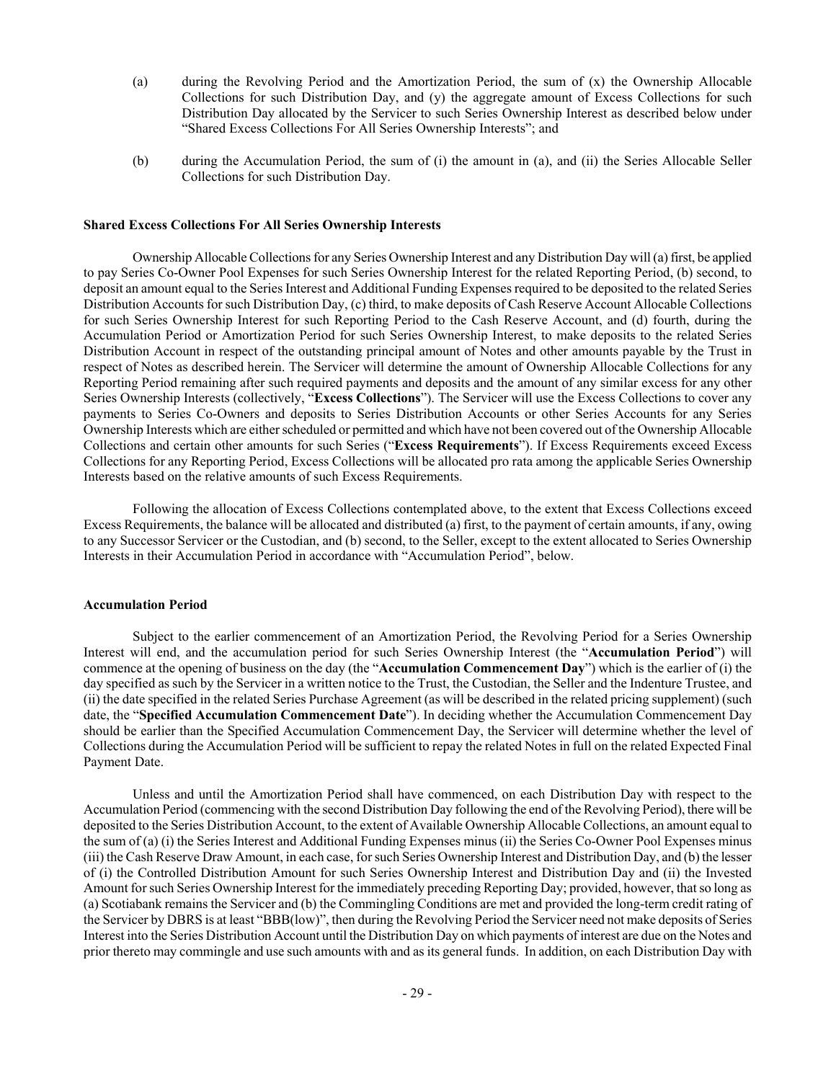- (a) during the Revolving Period and the Amortization Period, the sum of (x) the Ownership Allocable Collections for such Distribution Day, and (y) the aggregate amount of Excess Collections for such Distribution Day allocated by the Servicer to such Series Ownership Interest as described below under "Shared Excess Collections For All Series Ownership Interests"; and
- (b) during the Accumulation Period, the sum of (i) the amount in (a), and (ii) the Series Allocable Seller Collections for such Distribution Day.

## **Shared Excess Collections For All Series Ownership Interests**

Ownership Allocable Collections for any Series Ownership Interest and any Distribution Day will (a) first, be applied to pay Series Co-Owner Pool Expenses for such Series Ownership Interest for the related Reporting Period, (b) second, to deposit an amount equal to the Series Interest and Additional Funding Expenses required to be deposited to the related Series Distribution Accounts for such Distribution Day, (c) third, to make deposits of Cash Reserve Account Allocable Collections for such Series Ownership Interest for such Reporting Period to the Cash Reserve Account, and (d) fourth, during the Accumulation Period or Amortization Period for such Series Ownership Interest, to make deposits to the related Series Distribution Account in respect of the outstanding principal amount of Notes and other amounts payable by the Trust in respect of Notes as described herein. The Servicer will determine the amount of Ownership Allocable Collections for any Reporting Period remaining after such required payments and deposits and the amount of any similar excess for any other Series Ownership Interests (collectively, "**Excess Collections**"). The Servicer will use the Excess Collections to cover any payments to Series Co-Owners and deposits to Series Distribution Accounts or other Series Accounts for any Series Ownership Interests which are either scheduled or permitted and which have not been covered out of the Ownership Allocable Collections and certain other amounts for such Series ("**Excess Requirements**"). If Excess Requirements exceed Excess Collections for any Reporting Period, Excess Collections will be allocated pro rata among the applicable Series Ownership Interests based on the relative amounts of such Excess Requirements.

Following the allocation of Excess Collections contemplated above, to the extent that Excess Collections exceed Excess Requirements, the balance will be allocated and distributed (a) first, to the payment of certain amounts, if any, owing to any Successor Servicer or the Custodian, and (b) second, to the Seller, except to the extent allocated to Series Ownership Interests in their Accumulation Period in accordance with "Accumulation Period", below.

#### **Accumulation Period**

Subject to the earlier commencement of an Amortization Period, the Revolving Period for a Series Ownership Interest will end, and the accumulation period for such Series Ownership Interest (the "**Accumulation Period**") will commence at the opening of business on the day (the "**Accumulation Commencement Day**") which is the earlier of (i) the day specified as such by the Servicer in a written notice to the Trust, the Custodian, the Seller and the Indenture Trustee, and (ii) the date specified in the related Series Purchase Agreement (as will be described in the related pricing supplement) (such date, the "**Specified Accumulation Commencement Date**"). In deciding whether the Accumulation Commencement Day should be earlier than the Specified Accumulation Commencement Day, the Servicer will determine whether the level of Collections during the Accumulation Period will be sufficient to repay the related Notes in full on the related Expected Final Payment Date.

Unless and until the Amortization Period shall have commenced, on each Distribution Day with respect to the Accumulation Period (commencing with the second Distribution Day following the end of the Revolving Period), there will be deposited to the Series Distribution Account, to the extent of Available Ownership Allocable Collections, an amount equal to the sum of (a) (i) the Series Interest and Additional Funding Expenses minus (ii) the Series Co-Owner Pool Expenses minus (iii) the Cash Reserve Draw Amount, in each case, for such Series Ownership Interest and Distribution Day, and (b) the lesser of (i) the Controlled Distribution Amount for such Series Ownership Interest and Distribution Day and (ii) the Invested Amount for such Series Ownership Interest for the immediately preceding Reporting Day; provided, however, that so long as (a) Scotiabank remains the Servicer and (b) the Commingling Conditions are met and provided the long-term credit rating of the Servicer by DBRS is at least "BBB(low)", then during the Revolving Period the Servicer need not make deposits of Series Interest into the Series Distribution Account until the Distribution Day on which payments of interest are due on the Notes and prior thereto may commingle and use such amounts with and as its general funds. In addition, on each Distribution Day with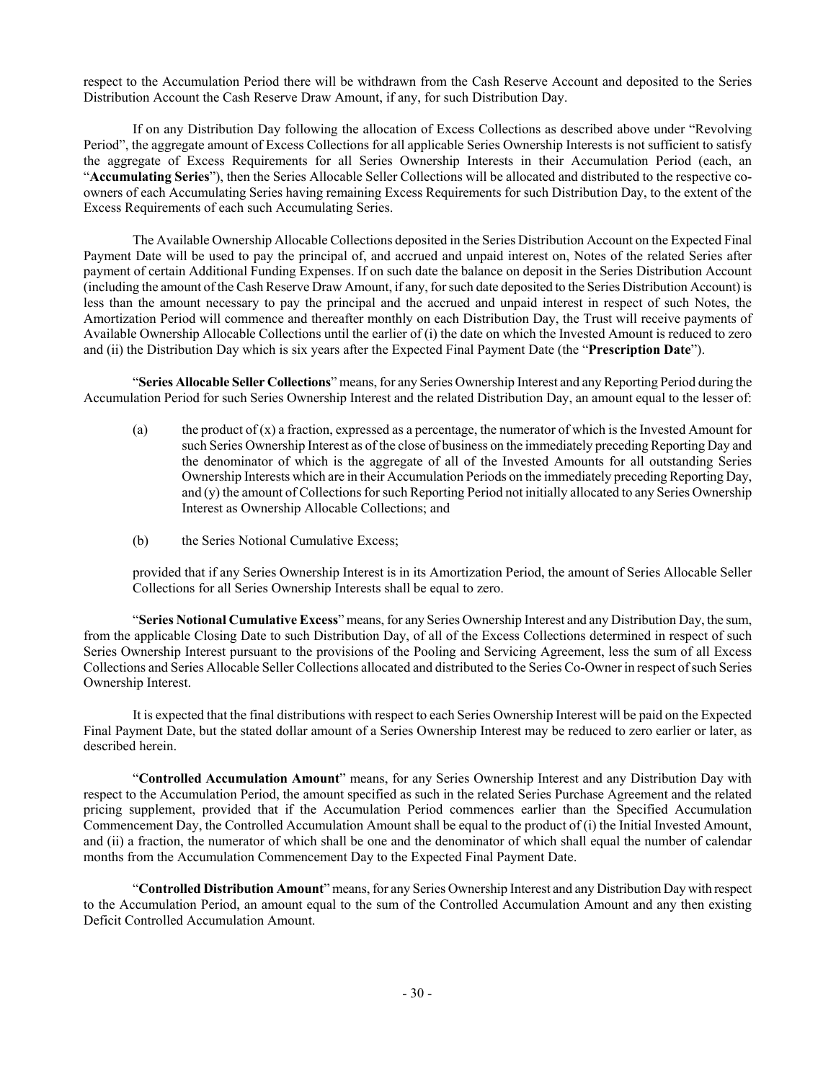respect to the Accumulation Period there will be withdrawn from the Cash Reserve Account and deposited to the Series Distribution Account the Cash Reserve Draw Amount, if any, for such Distribution Day.

If on any Distribution Day following the allocation of Excess Collections as described above under "Revolving Period", the aggregate amount of Excess Collections for all applicable Series Ownership Interests is not sufficient to satisfy the aggregate of Excess Requirements for all Series Ownership Interests in their Accumulation Period (each, an "**Accumulating Series**"), then the Series Allocable Seller Collections will be allocated and distributed to the respective coowners of each Accumulating Series having remaining Excess Requirements for such Distribution Day, to the extent of the Excess Requirements of each such Accumulating Series.

The Available Ownership Allocable Collections deposited in the Series Distribution Account on the Expected Final Payment Date will be used to pay the principal of, and accrued and unpaid interest on, Notes of the related Series after payment of certain Additional Funding Expenses. If on such date the balance on deposit in the Series Distribution Account (including the amount of the Cash Reserve Draw Amount, if any, for such date deposited to the Series Distribution Account) is less than the amount necessary to pay the principal and the accrued and unpaid interest in respect of such Notes, the Amortization Period will commence and thereafter monthly on each Distribution Day, the Trust will receive payments of Available Ownership Allocable Collections until the earlier of (i) the date on which the Invested Amount is reduced to zero and (ii) the Distribution Day which is six years after the Expected Final Payment Date (the "**Prescription Date**").

"**Series Allocable Seller Collections**" means, for any Series Ownership Interest and any Reporting Period during the Accumulation Period for such Series Ownership Interest and the related Distribution Day, an amount equal to the lesser of:

- (a) the product of  $(x)$  a fraction, expressed as a percentage, the numerator of which is the Invested Amount for such Series Ownership Interest as of the close of business on the immediately preceding Reporting Day and the denominator of which is the aggregate of all of the Invested Amounts for all outstanding Series Ownership Interests which are in their Accumulation Periods on the immediately preceding Reporting Day, and (y) the amount of Collections for such Reporting Period not initially allocated to any Series Ownership Interest as Ownership Allocable Collections; and
- (b) the Series Notional Cumulative Excess;

provided that if any Series Ownership Interest is in its Amortization Period, the amount of Series Allocable Seller Collections for all Series Ownership Interests shall be equal to zero.

"**Series Notional Cumulative Excess**" means, for any Series Ownership Interest and any Distribution Day, the sum, from the applicable Closing Date to such Distribution Day, of all of the Excess Collections determined in respect of such Series Ownership Interest pursuant to the provisions of the Pooling and Servicing Agreement, less the sum of all Excess Collections and Series Allocable Seller Collections allocated and distributed to the Series Co-Owner in respect of such Series Ownership Interest.

It is expected that the final distributions with respect to each Series Ownership Interest will be paid on the Expected Final Payment Date, but the stated dollar amount of a Series Ownership Interest may be reduced to zero earlier or later, as described herein.

"**Controlled Accumulation Amount**" means, for any Series Ownership Interest and any Distribution Day with respect to the Accumulation Period, the amount specified as such in the related Series Purchase Agreement and the related pricing supplement, provided that if the Accumulation Period commences earlier than the Specified Accumulation Commencement Day, the Controlled Accumulation Amount shall be equal to the product of (i) the Initial Invested Amount, and (ii) a fraction, the numerator of which shall be one and the denominator of which shall equal the number of calendar months from the Accumulation Commencement Day to the Expected Final Payment Date.

"**Controlled Distribution Amount**" means, for any Series Ownership Interest and any Distribution Day with respect to the Accumulation Period, an amount equal to the sum of the Controlled Accumulation Amount and any then existing Deficit Controlled Accumulation Amount.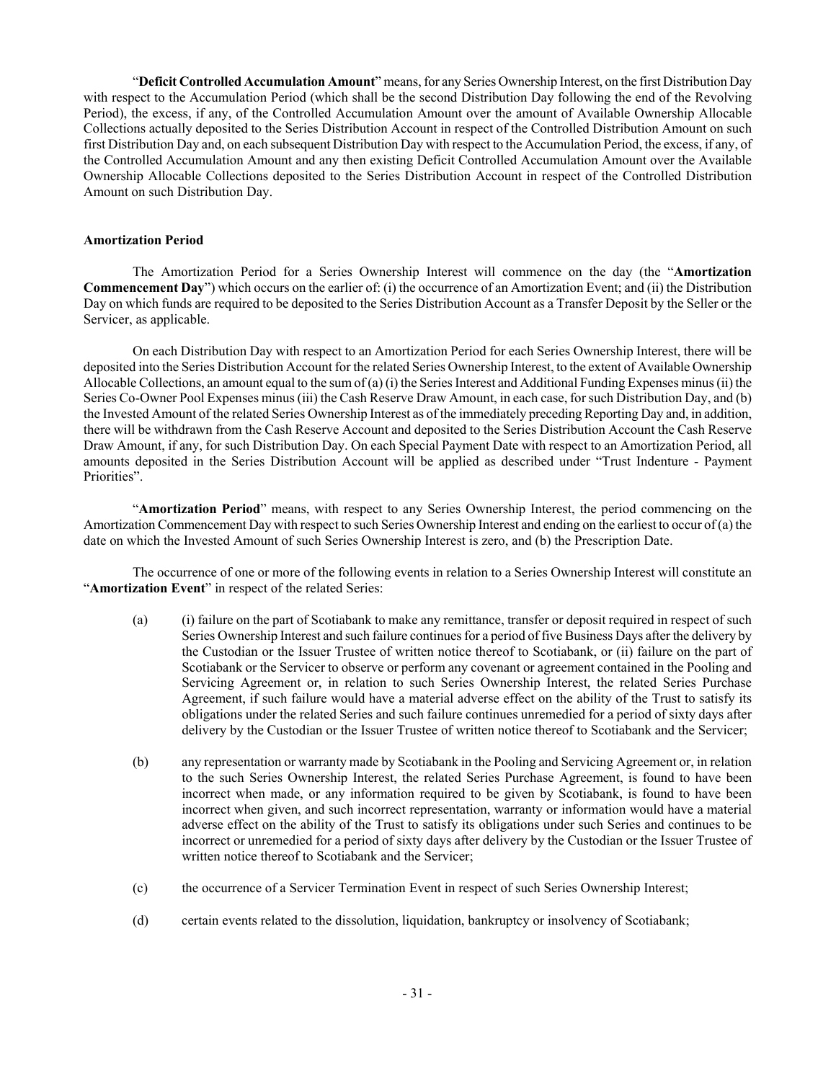"**Deficit Controlled Accumulation Amount**" means, for any Series Ownership Interest, on the first Distribution Day with respect to the Accumulation Period (which shall be the second Distribution Day following the end of the Revolving Period), the excess, if any, of the Controlled Accumulation Amount over the amount of Available Ownership Allocable Collections actually deposited to the Series Distribution Account in respect of the Controlled Distribution Amount on such first Distribution Day and, on each subsequent Distribution Day with respect to the Accumulation Period, the excess, if any, of the Controlled Accumulation Amount and any then existing Deficit Controlled Accumulation Amount over the Available Ownership Allocable Collections deposited to the Series Distribution Account in respect of the Controlled Distribution Amount on such Distribution Day.

## **Amortization Period**

The Amortization Period for a Series Ownership Interest will commence on the day (the "**Amortization Commencement Day**") which occurs on the earlier of: (i) the occurrence of an Amortization Event; and (ii) the Distribution Day on which funds are required to be deposited to the Series Distribution Account as a Transfer Deposit by the Seller or the Servicer, as applicable.

On each Distribution Day with respect to an Amortization Period for each Series Ownership Interest, there will be deposited into the Series Distribution Account for the related Series Ownership Interest, to the extent of Available Ownership Allocable Collections, an amount equal to the sum of (a) (i) the Series Interest and Additional Funding Expenses minus (ii) the Series Co-Owner Pool Expenses minus (iii) the Cash Reserve Draw Amount, in each case, for such Distribution Day, and (b) the Invested Amount of the related Series Ownership Interest as of the immediately preceding Reporting Day and, in addition, there will be withdrawn from the Cash Reserve Account and deposited to the Series Distribution Account the Cash Reserve Draw Amount, if any, for such Distribution Day. On each Special Payment Date with respect to an Amortization Period, all amounts deposited in the Series Distribution Account will be applied as described under "Trust Indenture - Payment Priorities".

"**Amortization Period**" means, with respect to any Series Ownership Interest, the period commencing on the Amortization Commencement Day with respect to such Series Ownership Interest and ending on the earliest to occur of (a) the date on which the Invested Amount of such Series Ownership Interest is zero, and (b) the Prescription Date.

The occurrence of one or more of the following events in relation to a Series Ownership Interest will constitute an "**Amortization Event**" in respect of the related Series:

- (a) (i) failure on the part of Scotiabank to make any remittance, transfer or deposit required in respect of such Series Ownership Interest and such failure continues for a period of five Business Days after the delivery by the Custodian or the Issuer Trustee of written notice thereof to Scotiabank, or (ii) failure on the part of Scotiabank or the Servicer to observe or perform any covenant or agreement contained in the Pooling and Servicing Agreement or, in relation to such Series Ownership Interest, the related Series Purchase Agreement, if such failure would have a material adverse effect on the ability of the Trust to satisfy its obligations under the related Series and such failure continues unremedied for a period of sixty days after delivery by the Custodian or the Issuer Trustee of written notice thereof to Scotiabank and the Servicer;
- (b) any representation or warranty made by Scotiabank in the Pooling and Servicing Agreement or, in relation to the such Series Ownership Interest, the related Series Purchase Agreement, is found to have been incorrect when made, or any information required to be given by Scotiabank, is found to have been incorrect when given, and such incorrect representation, warranty or information would have a material adverse effect on the ability of the Trust to satisfy its obligations under such Series and continues to be incorrect or unremedied for a period of sixty days after delivery by the Custodian or the Issuer Trustee of written notice thereof to Scotiabank and the Servicer;
- (c) the occurrence of a Servicer Termination Event in respect of such Series Ownership Interest;
- (d) certain events related to the dissolution, liquidation, bankruptcy or insolvency of Scotiabank;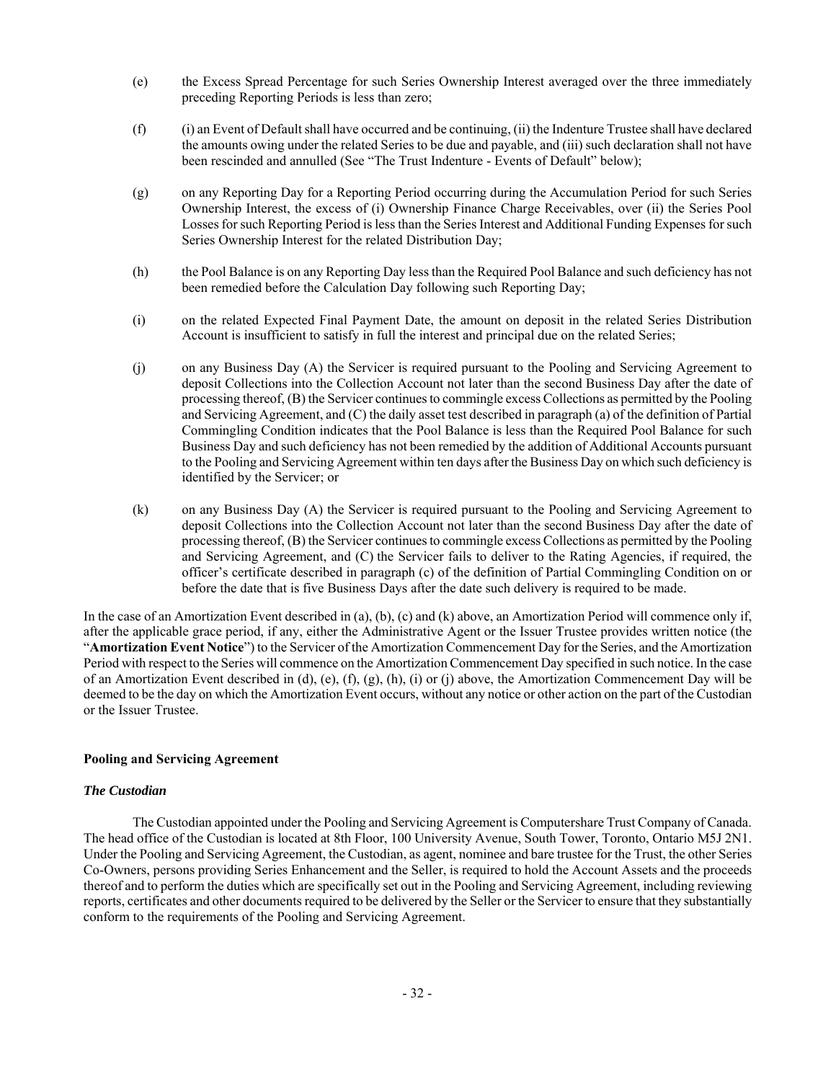- (e) the Excess Spread Percentage for such Series Ownership Interest averaged over the three immediately preceding Reporting Periods is less than zero;
- (f) (i) an Event of Default shall have occurred and be continuing, (ii) the Indenture Trustee shall have declared the amounts owing under the related Series to be due and payable, and (iii) such declaration shall not have been rescinded and annulled (See "The Trust Indenture - Events of Default" below);
- (g) on any Reporting Day for a Reporting Period occurring during the Accumulation Period for such Series Ownership Interest, the excess of (i) Ownership Finance Charge Receivables, over (ii) the Series Pool Losses for such Reporting Period is less than the Series Interest and Additional Funding Expenses for such Series Ownership Interest for the related Distribution Day;
- (h) the Pool Balance is on any Reporting Day less than the Required Pool Balance and such deficiency has not been remedied before the Calculation Day following such Reporting Day;
- (i) on the related Expected Final Payment Date, the amount on deposit in the related Series Distribution Account is insufficient to satisfy in full the interest and principal due on the related Series;
- (j) on any Business Day (A) the Servicer is required pursuant to the Pooling and Servicing Agreement to deposit Collections into the Collection Account not later than the second Business Day after the date of processing thereof, (B) the Servicer continues to commingle excess Collections as permitted by the Pooling and Servicing Agreement, and (C) the daily asset test described in paragraph (a) of the definition of Partial Commingling Condition indicates that the Pool Balance is less than the Required Pool Balance for such Business Day and such deficiency has not been remedied by the addition of Additional Accounts pursuant to the Pooling and Servicing Agreement within ten days after the Business Day on which such deficiency is identified by the Servicer; or
- (k) on any Business Day (A) the Servicer is required pursuant to the Pooling and Servicing Agreement to deposit Collections into the Collection Account not later than the second Business Day after the date of processing thereof, (B) the Servicer continues to commingle excess Collections as permitted by the Pooling and Servicing Agreement, and (C) the Servicer fails to deliver to the Rating Agencies, if required, the officer's certificate described in paragraph (c) of the definition of Partial Commingling Condition on or before the date that is five Business Days after the date such delivery is required to be made.

In the case of an Amortization Event described in (a), (b), (c) and (k) above, an Amortization Period will commence only if, after the applicable grace period, if any, either the Administrative Agent or the Issuer Trustee provides written notice (the "**Amortization Event Notice**") to the Servicer of the Amortization Commencement Day for the Series, and the Amortization Period with respect to the Series will commence on the Amortization Commencement Day specified in such notice. In the case of an Amortization Event described in (d), (e), (f), (g), (h), (i) or (j) above, the Amortization Commencement Day will be deemed to be the day on which the Amortization Event occurs, without any notice or other action on the part of the Custodian or the Issuer Trustee.

## **Pooling and Servicing Agreement**

## *The Custodian*

The Custodian appointed under the Pooling and Servicing Agreement is Computershare Trust Company of Canada. The head office of the Custodian is located at 8th Floor, 100 University Avenue, South Tower, Toronto, Ontario M5J 2N1. Under the Pooling and Servicing Agreement, the Custodian, as agent, nominee and bare trustee for the Trust, the other Series Co-Owners, persons providing Series Enhancement and the Seller, is required to hold the Account Assets and the proceeds thereof and to perform the duties which are specifically set out in the Pooling and Servicing Agreement, including reviewing reports, certificates and other documents required to be delivered by the Seller or the Servicer to ensure that they substantially conform to the requirements of the Pooling and Servicing Agreement.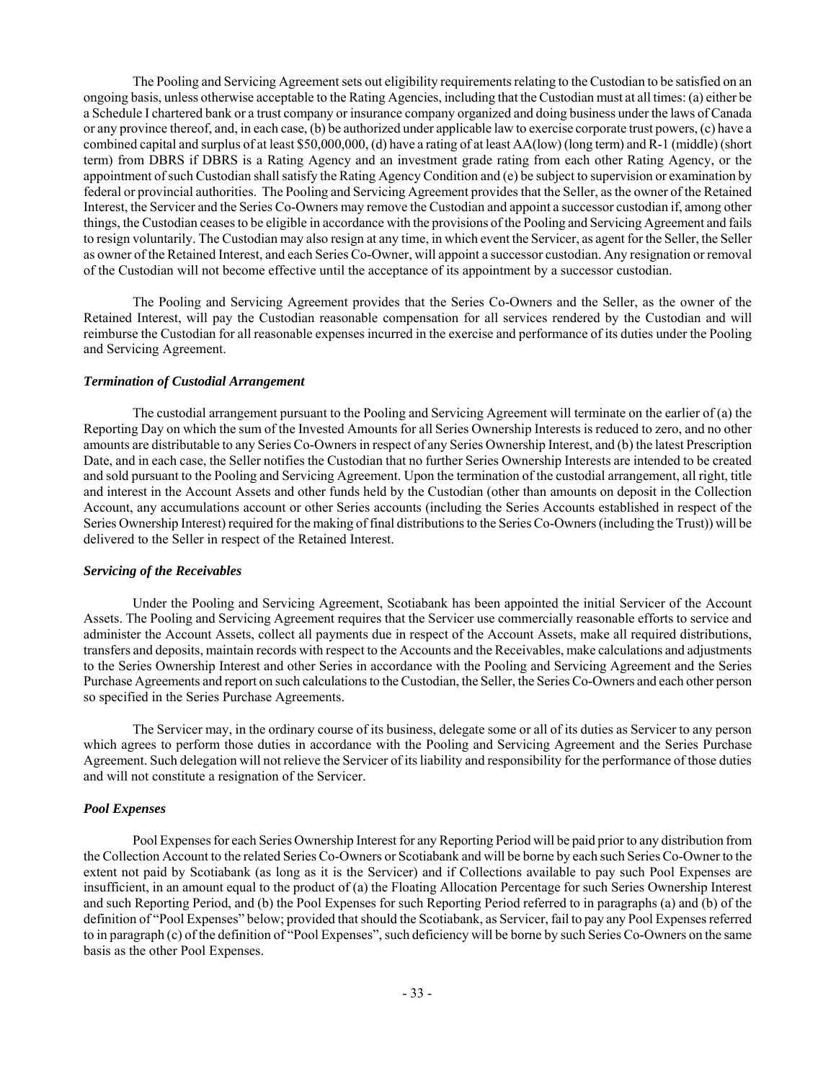The Pooling and Servicing Agreement sets out eligibility requirements relating to the Custodian to be satisfied on an ongoing basis, unless otherwise acceptable to the Rating Agencies, including that the Custodian must at all times: (a) either be a Schedule I chartered bank or a trust company or insurance company organized and doing business under the laws of Canada or any province thereof, and, in each case, (b) be authorized under applicable law to exercise corporate trust powers, (c) have a combined capital and surplus of at least \$50,000,000, (d) have a rating of at least AA(low) (long term) and R-1 (middle) (short term) from DBRS if DBRS is a Rating Agency and an investment grade rating from each other Rating Agency, or the appointment of such Custodian shall satisfy the Rating Agency Condition and (e) be subject to supervision or examination by federal or provincial authorities. The Pooling and Servicing Agreement provides that the Seller, as the owner of the Retained Interest, the Servicer and the Series Co-Owners may remove the Custodian and appoint a successor custodian if, among other things, the Custodian ceases to be eligible in accordance with the provisions of the Pooling and Servicing Agreement and fails to resign voluntarily. The Custodian may also resign at any time, in which event the Servicer, as agent for the Seller, the Seller as owner of the Retained Interest, and each Series Co-Owner, will appoint a successor custodian. Any resignation or removal of the Custodian will not become effective until the acceptance of its appointment by a successor custodian.

The Pooling and Servicing Agreement provides that the Series Co-Owners and the Seller, as the owner of the Retained Interest, will pay the Custodian reasonable compensation for all services rendered by the Custodian and will reimburse the Custodian for all reasonable expenses incurred in the exercise and performance of its duties under the Pooling and Servicing Agreement.

#### *Termination of Custodial Arrangement*

The custodial arrangement pursuant to the Pooling and Servicing Agreement will terminate on the earlier of (a) the Reporting Day on which the sum of the Invested Amounts for all Series Ownership Interests is reduced to zero, and no other amounts are distributable to any Series Co-Owners in respect of any Series Ownership Interest, and (b) the latest Prescription Date, and in each case, the Seller notifies the Custodian that no further Series Ownership Interests are intended to be created and sold pursuant to the Pooling and Servicing Agreement. Upon the termination of the custodial arrangement, all right, title and interest in the Account Assets and other funds held by the Custodian (other than amounts on deposit in the Collection Account, any accumulations account or other Series accounts (including the Series Accounts established in respect of the Series Ownership Interest) required for the making of final distributions to the Series Co-Owners (including the Trust)) will be delivered to the Seller in respect of the Retained Interest.

#### *Servicing of the Receivables*

Under the Pooling and Servicing Agreement, Scotiabank has been appointed the initial Servicer of the Account Assets. The Pooling and Servicing Agreement requires that the Servicer use commercially reasonable efforts to service and administer the Account Assets, collect all payments due in respect of the Account Assets, make all required distributions, transfers and deposits, maintain records with respect to the Accounts and the Receivables, make calculations and adjustments to the Series Ownership Interest and other Series in accordance with the Pooling and Servicing Agreement and the Series Purchase Agreements and report on such calculations to the Custodian, the Seller, the Series Co-Owners and each other person so specified in the Series Purchase Agreements.

The Servicer may, in the ordinary course of its business, delegate some or all of its duties as Servicer to any person which agrees to perform those duties in accordance with the Pooling and Servicing Agreement and the Series Purchase Agreement. Such delegation will not relieve the Servicer of its liability and responsibility for the performance of those duties and will not constitute a resignation of the Servicer.

#### *Pool Expenses*

Pool Expenses for each Series Ownership Interest for any Reporting Period will be paid prior to any distribution from the Collection Account to the related Series Co-Owners or Scotiabank and will be borne by each such Series Co-Owner to the extent not paid by Scotiabank (as long as it is the Servicer) and if Collections available to pay such Pool Expenses are insufficient, in an amount equal to the product of (a) the Floating Allocation Percentage for such Series Ownership Interest and such Reporting Period, and (b) the Pool Expenses for such Reporting Period referred to in paragraphs (a) and (b) of the definition of "Pool Expenses" below; provided that should the Scotiabank, as Servicer, fail to pay any Pool Expenses referred to in paragraph (c) of the definition of "Pool Expenses", such deficiency will be borne by such Series Co-Owners on the same basis as the other Pool Expenses.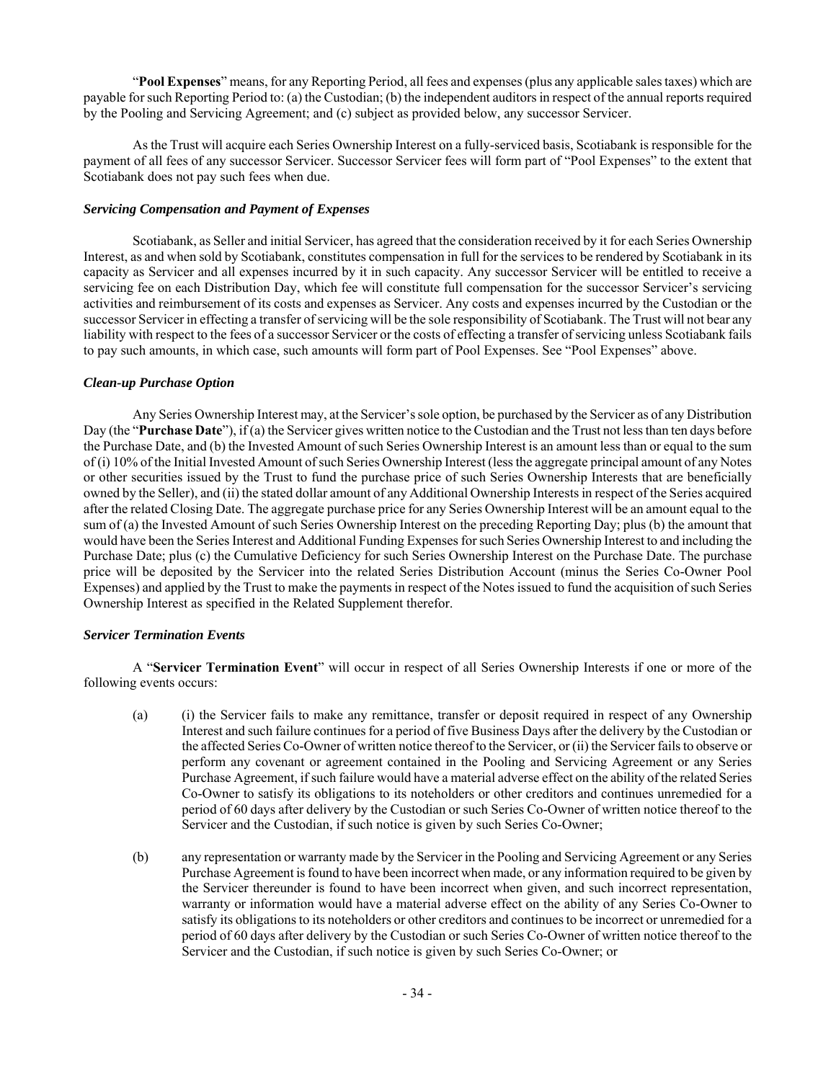"**Pool Expenses**" means, for any Reporting Period, all fees and expenses (plus any applicable sales taxes) which are payable for such Reporting Period to: (a) the Custodian; (b) the independent auditors in respect of the annual reports required by the Pooling and Servicing Agreement; and (c) subject as provided below, any successor Servicer.

As the Trust will acquire each Series Ownership Interest on a fully-serviced basis, Scotiabank is responsible for the payment of all fees of any successor Servicer. Successor Servicer fees will form part of "Pool Expenses" to the extent that Scotiabank does not pay such fees when due.

#### *Servicing Compensation and Payment of Expenses*

Scotiabank, as Seller and initial Servicer, has agreed that the consideration received by it for each Series Ownership Interest, as and when sold by Scotiabank, constitutes compensation in full for the services to be rendered by Scotiabank in its capacity as Servicer and all expenses incurred by it in such capacity. Any successor Servicer will be entitled to receive a servicing fee on each Distribution Day, which fee will constitute full compensation for the successor Servicer's servicing activities and reimbursement of its costs and expenses as Servicer. Any costs and expenses incurred by the Custodian or the successor Servicer in effecting a transfer of servicing will be the sole responsibility of Scotiabank. The Trust will not bear any liability with respect to the fees of a successor Servicer or the costs of effecting a transfer of servicing unless Scotiabank fails to pay such amounts, in which case, such amounts will form part of Pool Expenses. See "Pool Expenses" above.

## *Clean-up Purchase Option*

Any Series Ownership Interest may, at the Servicer's sole option, be purchased by the Servicer as of any Distribution Day (the "**Purchase Date**"), if (a) the Servicer gives written notice to the Custodian and the Trust not less than ten days before the Purchase Date, and (b) the Invested Amount of such Series Ownership Interest is an amount less than or equal to the sum of (i) 10% of the Initial Invested Amount of such Series Ownership Interest (less the aggregate principal amount of any Notes or other securities issued by the Trust to fund the purchase price of such Series Ownership Interests that are beneficially owned by the Seller), and (ii) the stated dollar amount of any Additional Ownership Interests in respect of the Series acquired after the related Closing Date. The aggregate purchase price for any Series Ownership Interest will be an amount equal to the sum of (a) the Invested Amount of such Series Ownership Interest on the preceding Reporting Day; plus (b) the amount that would have been the Series Interest and Additional Funding Expenses for such Series Ownership Interest to and including the Purchase Date; plus (c) the Cumulative Deficiency for such Series Ownership Interest on the Purchase Date. The purchase price will be deposited by the Servicer into the related Series Distribution Account (minus the Series Co-Owner Pool Expenses) and applied by the Trust to make the payments in respect of the Notes issued to fund the acquisition of such Series Ownership Interest as specified in the Related Supplement therefor.

## *Servicer Termination Events*

A "**Servicer Termination Event**" will occur in respect of all Series Ownership Interests if one or more of the following events occurs:

- (a) (i) the Servicer fails to make any remittance, transfer or deposit required in respect of any Ownership Interest and such failure continues for a period of five Business Days after the delivery by the Custodian or the affected Series Co-Owner of written notice thereof to the Servicer, or (ii) the Servicer fails to observe or perform any covenant or agreement contained in the Pooling and Servicing Agreement or any Series Purchase Agreement, if such failure would have a material adverse effect on the ability of the related Series Co-Owner to satisfy its obligations to its noteholders or other creditors and continues unremedied for a period of 60 days after delivery by the Custodian or such Series Co-Owner of written notice thereof to the Servicer and the Custodian, if such notice is given by such Series Co-Owner;
- (b) any representation or warranty made by the Servicer in the Pooling and Servicing Agreement or any Series Purchase Agreement is found to have been incorrect when made, or any information required to be given by the Servicer thereunder is found to have been incorrect when given, and such incorrect representation, warranty or information would have a material adverse effect on the ability of any Series Co-Owner to satisfy its obligations to its noteholders or other creditors and continues to be incorrect or unremedied for a period of 60 days after delivery by the Custodian or such Series Co-Owner of written notice thereof to the Servicer and the Custodian, if such notice is given by such Series Co-Owner; or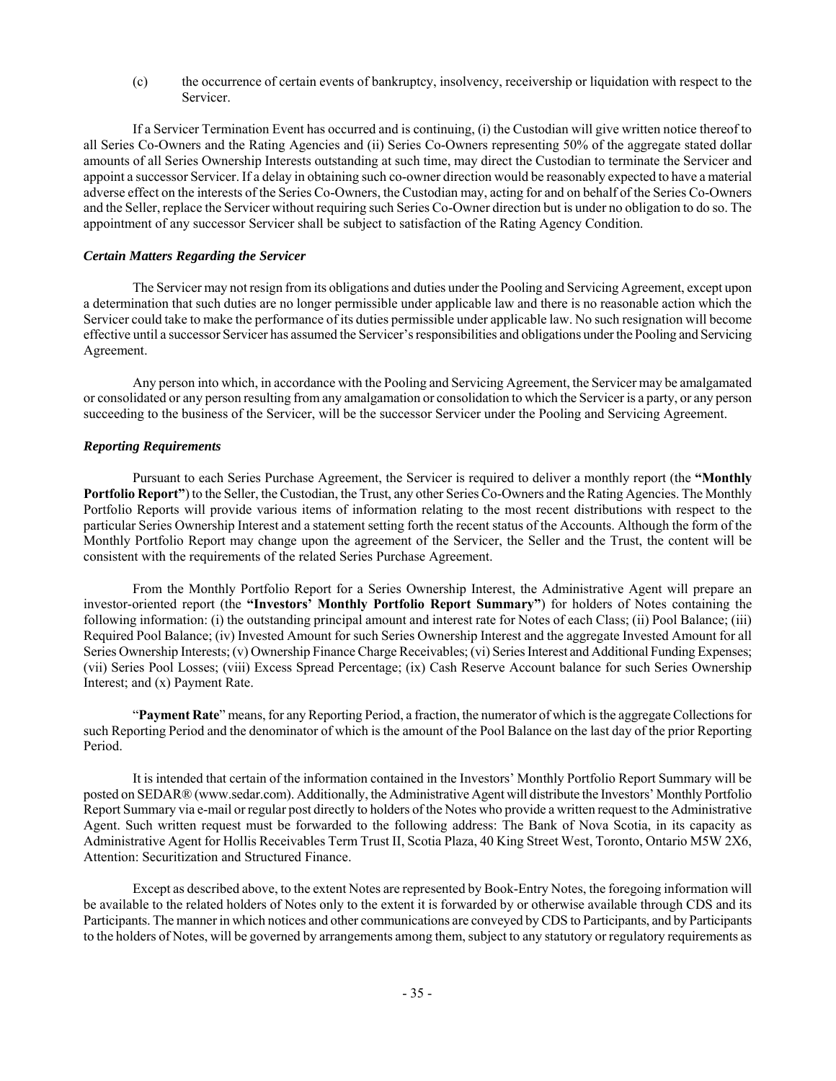(c) the occurrence of certain events of bankruptcy, insolvency, receivership or liquidation with respect to the Servicer.

If a Servicer Termination Event has occurred and is continuing, (i) the Custodian will give written notice thereof to all Series Co-Owners and the Rating Agencies and (ii) Series Co-Owners representing 50% of the aggregate stated dollar amounts of all Series Ownership Interests outstanding at such time, may direct the Custodian to terminate the Servicer and appoint a successor Servicer. If a delay in obtaining such co-owner direction would be reasonably expected to have a material adverse effect on the interests of the Series Co-Owners, the Custodian may, acting for and on behalf of the Series Co-Owners and the Seller, replace the Servicer without requiring such Series Co-Owner direction but is under no obligation to do so. The appointment of any successor Servicer shall be subject to satisfaction of the Rating Agency Condition.

## *Certain Matters Regarding the Servicer*

The Servicer may not resign from its obligations and duties under the Pooling and Servicing Agreement, except upon a determination that such duties are no longer permissible under applicable law and there is no reasonable action which the Servicer could take to make the performance of its duties permissible under applicable law. No such resignation will become effective until a successor Servicer has assumed the Servicer's responsibilities and obligations under the Pooling and Servicing Agreement.

Any person into which, in accordance with the Pooling and Servicing Agreement, the Servicer may be amalgamated or consolidated or any person resulting from any amalgamation or consolidation to which the Servicer is a party, or any person succeeding to the business of the Servicer, will be the successor Servicer under the Pooling and Servicing Agreement.

#### *Reporting Requirements*

Pursuant to each Series Purchase Agreement, the Servicer is required to deliver a monthly report (the **"Monthly Portfolio Report"**) to the Seller, the Custodian, the Trust, any other Series Co-Owners and the Rating Agencies. The Monthly Portfolio Reports will provide various items of information relating to the most recent distributions with respect to the particular Series Ownership Interest and a statement setting forth the recent status of the Accounts. Although the form of the Monthly Portfolio Report may change upon the agreement of the Servicer, the Seller and the Trust, the content will be consistent with the requirements of the related Series Purchase Agreement.

From the Monthly Portfolio Report for a Series Ownership Interest, the Administrative Agent will prepare an investor-oriented report (the **"Investors' Monthly Portfolio Report Summary"**) for holders of Notes containing the following information: (i) the outstanding principal amount and interest rate for Notes of each Class; (ii) Pool Balance; (iii) Required Pool Balance; (iv) Invested Amount for such Series Ownership Interest and the aggregate Invested Amount for all Series Ownership Interests; (v) Ownership Finance Charge Receivables; (vi) Series Interest and Additional Funding Expenses; (vii) Series Pool Losses; (viii) Excess Spread Percentage; (ix) Cash Reserve Account balance for such Series Ownership Interest; and (x) Payment Rate.

"**Payment Rate**" means, for any Reporting Period, a fraction, the numerator of which is the aggregate Collections for such Reporting Period and the denominator of which is the amount of the Pool Balance on the last day of the prior Reporting Period.

It is intended that certain of the information contained in the Investors' Monthly Portfolio Report Summary will be posted on SEDAR® (www.sedar.com). Additionally, the Administrative Agent will distribute the Investors' Monthly Portfolio Report Summary via e-mail or regular post directly to holders of the Notes who provide a written request to the Administrative Agent. Such written request must be forwarded to the following address: The Bank of Nova Scotia, in its capacity as Administrative Agent for Hollis Receivables Term Trust II, Scotia Plaza, 40 King Street West, Toronto, Ontario M5W 2X6, Attention: Securitization and Structured Finance.

Except as described above, to the extent Notes are represented by Book-Entry Notes, the foregoing information will be available to the related holders of Notes only to the extent it is forwarded by or otherwise available through CDS and its Participants. The manner in which notices and other communications are conveyed by CDS to Participants, and by Participants to the holders of Notes, will be governed by arrangements among them, subject to any statutory or regulatory requirements as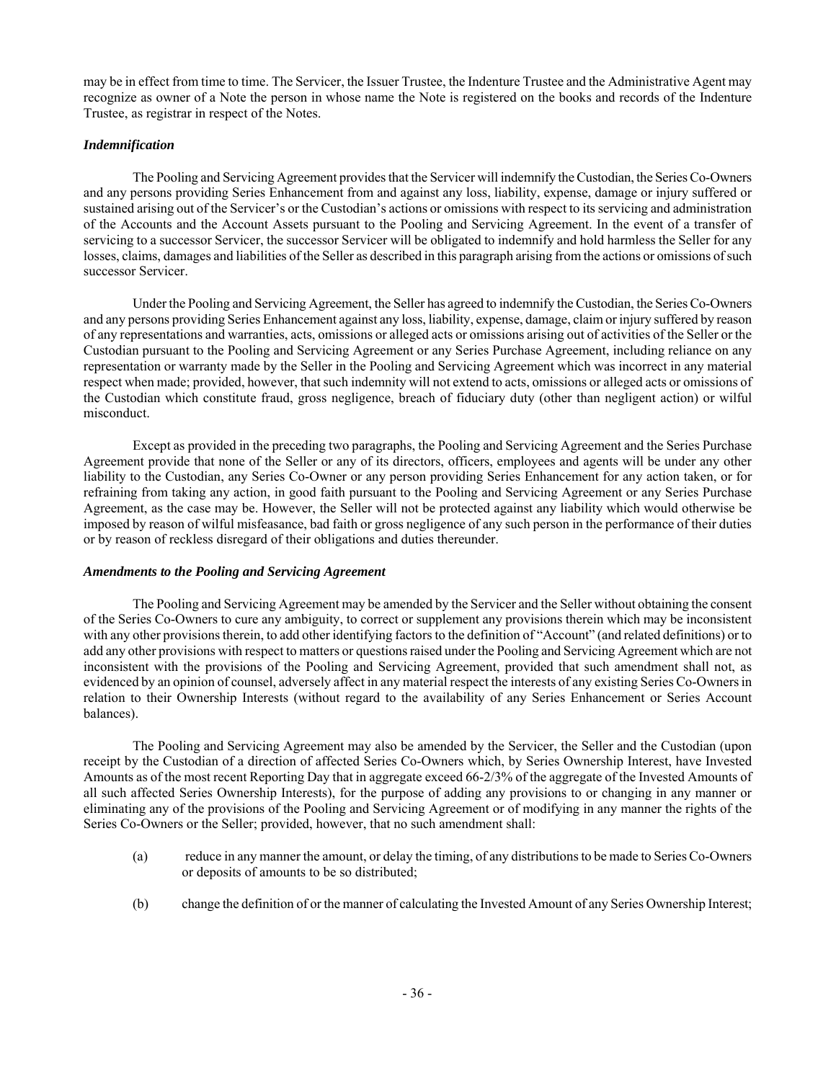may be in effect from time to time. The Servicer, the Issuer Trustee, the Indenture Trustee and the Administrative Agent may recognize as owner of a Note the person in whose name the Note is registered on the books and records of the Indenture Trustee, as registrar in respect of the Notes.

## *Indemnification*

The Pooling and Servicing Agreement provides that the Servicer will indemnify the Custodian, the Series Co-Owners and any persons providing Series Enhancement from and against any loss, liability, expense, damage or injury suffered or sustained arising out of the Servicer's or the Custodian's actions or omissions with respect to its servicing and administration of the Accounts and the Account Assets pursuant to the Pooling and Servicing Agreement. In the event of a transfer of servicing to a successor Servicer, the successor Servicer will be obligated to indemnify and hold harmless the Seller for any losses, claims, damages and liabilities of the Seller as described in this paragraph arising from the actions or omissions of such successor Servicer.

Under the Pooling and Servicing Agreement, the Seller has agreed to indemnify the Custodian, the Series Co-Owners and any persons providing Series Enhancement against any loss, liability, expense, damage, claim or injury suffered by reason of any representations and warranties, acts, omissions or alleged acts or omissions arising out of activities of the Seller or the Custodian pursuant to the Pooling and Servicing Agreement or any Series Purchase Agreement, including reliance on any representation or warranty made by the Seller in the Pooling and Servicing Agreement which was incorrect in any material respect when made; provided, however, that such indemnity will not extend to acts, omissions or alleged acts or omissions of the Custodian which constitute fraud, gross negligence, breach of fiduciary duty (other than negligent action) or wilful misconduct.

Except as provided in the preceding two paragraphs, the Pooling and Servicing Agreement and the Series Purchase Agreement provide that none of the Seller or any of its directors, officers, employees and agents will be under any other liability to the Custodian, any Series Co-Owner or any person providing Series Enhancement for any action taken, or for refraining from taking any action, in good faith pursuant to the Pooling and Servicing Agreement or any Series Purchase Agreement, as the case may be. However, the Seller will not be protected against any liability which would otherwise be imposed by reason of wilful misfeasance, bad faith or gross negligence of any such person in the performance of their duties or by reason of reckless disregard of their obligations and duties thereunder.

## *Amendments to the Pooling and Servicing Agreement*

The Pooling and Servicing Agreement may be amended by the Servicer and the Seller without obtaining the consent of the Series Co-Owners to cure any ambiguity, to correct or supplement any provisions therein which may be inconsistent with any other provisions therein, to add other identifying factors to the definition of "Account" (and related definitions) or to add any other provisions with respect to matters or questions raised under the Pooling and Servicing Agreement which are not inconsistent with the provisions of the Pooling and Servicing Agreement, provided that such amendment shall not, as evidenced by an opinion of counsel, adversely affect in any material respect the interests of any existing Series Co-Owners in relation to their Ownership Interests (without regard to the availability of any Series Enhancement or Series Account balances).

The Pooling and Servicing Agreement may also be amended by the Servicer, the Seller and the Custodian (upon receipt by the Custodian of a direction of affected Series Co-Owners which, by Series Ownership Interest, have Invested Amounts as of the most recent Reporting Day that in aggregate exceed 66-2/3% of the aggregate of the Invested Amounts of all such affected Series Ownership Interests), for the purpose of adding any provisions to or changing in any manner or eliminating any of the provisions of the Pooling and Servicing Agreement or of modifying in any manner the rights of the Series Co-Owners or the Seller; provided, however, that no such amendment shall:

- (a) reduce in any manner the amount, or delay the timing, of any distributions to be made to Series Co-Owners or deposits of amounts to be so distributed;
- (b) change the definition of or the manner of calculating the Invested Amount of any Series Ownership Interest;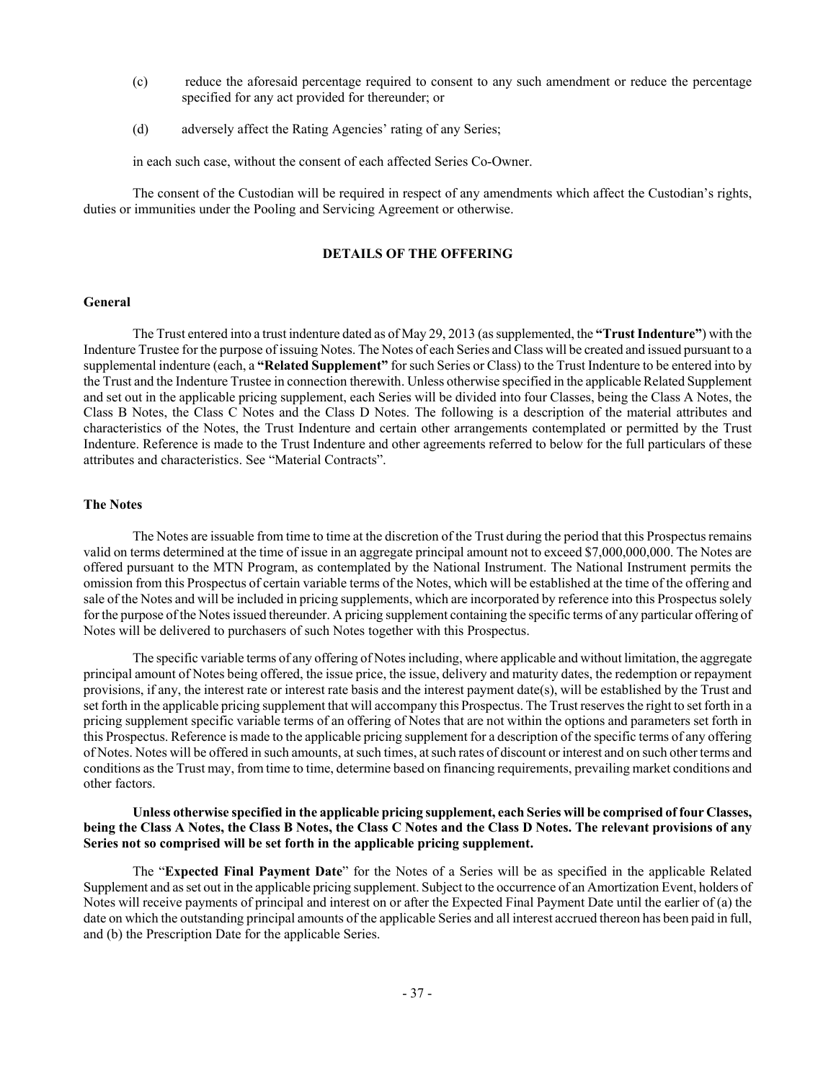- (c) reduce the aforesaid percentage required to consent to any such amendment or reduce the percentage specified for any act provided for thereunder; or
- (d) adversely affect the Rating Agencies' rating of any Series;

in each such case, without the consent of each affected Series Co-Owner.

The consent of the Custodian will be required in respect of any amendments which affect the Custodian's rights, duties or immunities under the Pooling and Servicing Agreement or otherwise.

#### **DETAILS OF THE OFFERING**

#### **General**

The Trust entered into a trust indenture dated as of May 29, 2013 (as supplemented, the **"Trust Indenture"**) with the Indenture Trustee for the purpose of issuing Notes. The Notes of each Series and Class will be created and issued pursuant to a supplemental indenture (each, a **"Related Supplement"** for such Series or Class) to the Trust Indenture to be entered into by the Trust and the Indenture Trustee in connection therewith. Unless otherwise specified in the applicable Related Supplement and set out in the applicable pricing supplement, each Series will be divided into four Classes, being the Class A Notes, the Class B Notes, the Class C Notes and the Class D Notes. The following is a description of the material attributes and characteristics of the Notes, the Trust Indenture and certain other arrangements contemplated or permitted by the Trust Indenture. Reference is made to the Trust Indenture and other agreements referred to below for the full particulars of these attributes and characteristics. See "Material Contracts".

#### **The Notes**

The Notes are issuable from time to time at the discretion of the Trust during the period that this Prospectus remains valid on terms determined at the time of issue in an aggregate principal amount not to exceed \$7,000,000,000. The Notes are offered pursuant to the MTN Program, as contemplated by the National Instrument. The National Instrument permits the omission from this Prospectus of certain variable terms of the Notes, which will be established at the time of the offering and sale of the Notes and will be included in pricing supplements, which are incorporated by reference into this Prospectus solely for the purpose of the Notes issued thereunder. A pricing supplement containing the specific terms of any particular offering of Notes will be delivered to purchasers of such Notes together with this Prospectus.

The specific variable terms of any offering of Notes including, where applicable and without limitation, the aggregate principal amount of Notes being offered, the issue price, the issue, delivery and maturity dates, the redemption or repayment provisions, if any, the interest rate or interest rate basis and the interest payment date(s), will be established by the Trust and set forth in the applicable pricing supplement that will accompany this Prospectus. The Trust reserves the right to set forth in a pricing supplement specific variable terms of an offering of Notes that are not within the options and parameters set forth in this Prospectus. Reference is made to the applicable pricing supplement for a description of the specific terms of any offering of Notes. Notes will be offered in such amounts, at such times, at such rates of discount or interest and on such other terms and conditions as the Trust may, from time to time, determine based on financing requirements, prevailing market conditions and other factors.

## **Unless otherwise specified in the applicable pricing supplement, each Series will be comprised of four Classes, being the Class A Notes, the Class B Notes, the Class C Notes and the Class D Notes. The relevant provisions of any Series not so comprised will be set forth in the applicable pricing supplement.**

The "**Expected Final Payment Date**" for the Notes of a Series will be as specified in the applicable Related Supplement and as set out in the applicable pricing supplement. Subject to the occurrence of an Amortization Event, holders of Notes will receive payments of principal and interest on or after the Expected Final Payment Date until the earlier of (a) the date on which the outstanding principal amounts of the applicable Series and all interest accrued thereon has been paid in full, and (b) the Prescription Date for the applicable Series.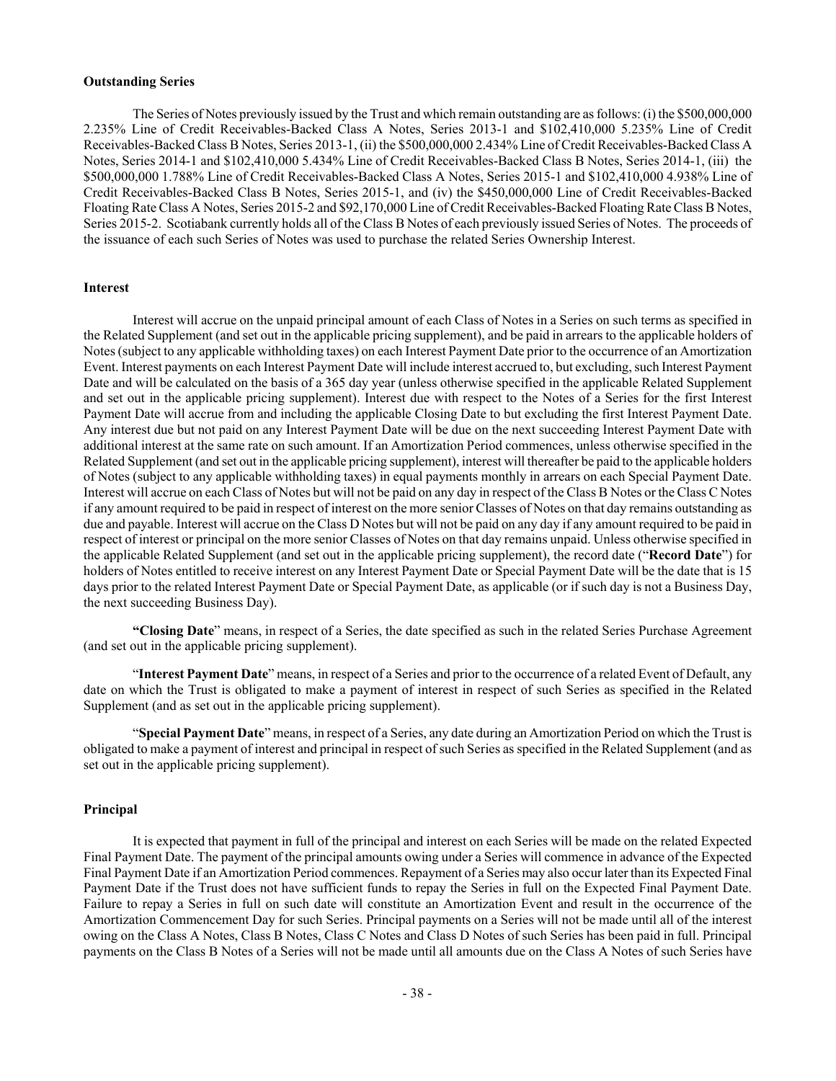## **Outstanding Series**

The Series of Notes previously issued by the Trust and which remain outstanding are as follows: (i) the \$500,000,000 2.235% Line of Credit Receivables-Backed Class A Notes, Series 2013-1 and \$102,410,000 5.235% Line of Credit Receivables-Backed Class B Notes, Series 2013-1, (ii) the \$500,000,000 2.434% Line of Credit Receivables-Backed Class A Notes, Series 2014-1 and \$102,410,000 5.434% Line of Credit Receivables-Backed Class B Notes, Series 2014-1, (iii) the \$500,000,000 1.788% Line of Credit Receivables-Backed Class A Notes, Series 2015-1 and \$102,410,000 4.938% Line of Credit Receivables-Backed Class B Notes, Series 2015-1, and (iv) the \$450,000,000 Line of Credit Receivables-Backed Floating Rate Class A Notes, Series 2015-2 and \$92,170,000 Line of Credit Receivables-Backed Floating Rate Class B Notes, Series 2015-2. Scotiabank currently holds all of the Class B Notes of each previously issued Series of Notes. The proceeds of the issuance of each such Series of Notes was used to purchase the related Series Ownership Interest.

#### **Interest**

Interest will accrue on the unpaid principal amount of each Class of Notes in a Series on such terms as specified in the Related Supplement (and set out in the applicable pricing supplement), and be paid in arrears to the applicable holders of Notes (subject to any applicable withholding taxes) on each Interest Payment Date prior to the occurrence of an Amortization Event. Interest payments on each Interest Payment Date will include interest accrued to, but excluding, such Interest Payment Date and will be calculated on the basis of a 365 day year (unless otherwise specified in the applicable Related Supplement and set out in the applicable pricing supplement). Interest due with respect to the Notes of a Series for the first Interest Payment Date will accrue from and including the applicable Closing Date to but excluding the first Interest Payment Date. Any interest due but not paid on any Interest Payment Date will be due on the next succeeding Interest Payment Date with additional interest at the same rate on such amount. If an Amortization Period commences, unless otherwise specified in the Related Supplement (and set out in the applicable pricing supplement), interest will thereafter be paid to the applicable holders of Notes (subject to any applicable withholding taxes) in equal payments monthly in arrears on each Special Payment Date. Interest will accrue on each Class of Notes but will not be paid on any day in respect of the Class B Notes or the Class C Notes if any amount required to be paid in respect of interest on the more senior Classes of Notes on that day remains outstanding as due and payable. Interest will accrue on the Class D Notes but will not be paid on any day if any amount required to be paid in respect of interest or principal on the more senior Classes of Notes on that day remains unpaid. Unless otherwise specified in the applicable Related Supplement (and set out in the applicable pricing supplement), the record date ("**Record Date**") for holders of Notes entitled to receive interest on any Interest Payment Date or Special Payment Date will be the date that is 15 days prior to the related Interest Payment Date or Special Payment Date, as applicable (or if such day is not a Business Day, the next succeeding Business Day).

**"Closing Date**" means, in respect of a Series, the date specified as such in the related Series Purchase Agreement (and set out in the applicable pricing supplement).

"**Interest Payment Date**" means, in respect of a Series and prior to the occurrence of a related Event of Default, any date on which the Trust is obligated to make a payment of interest in respect of such Series as specified in the Related Supplement (and as set out in the applicable pricing supplement).

"**Special Payment Date**" means, in respect of a Series, any date during an Amortization Period on which the Trust is obligated to make a payment of interest and principal in respect of such Series as specified in the Related Supplement (and as set out in the applicable pricing supplement).

## **Principal**

It is expected that payment in full of the principal and interest on each Series will be made on the related Expected Final Payment Date. The payment of the principal amounts owing under a Series will commence in advance of the Expected Final Payment Date if an Amortization Period commences. Repayment of a Series may also occur later than its Expected Final Payment Date if the Trust does not have sufficient funds to repay the Series in full on the Expected Final Payment Date. Failure to repay a Series in full on such date will constitute an Amortization Event and result in the occurrence of the Amortization Commencement Day for such Series. Principal payments on a Series will not be made until all of the interest owing on the Class A Notes, Class B Notes, Class C Notes and Class D Notes of such Series has been paid in full. Principal payments on the Class B Notes of a Series will not be made until all amounts due on the Class A Notes of such Series have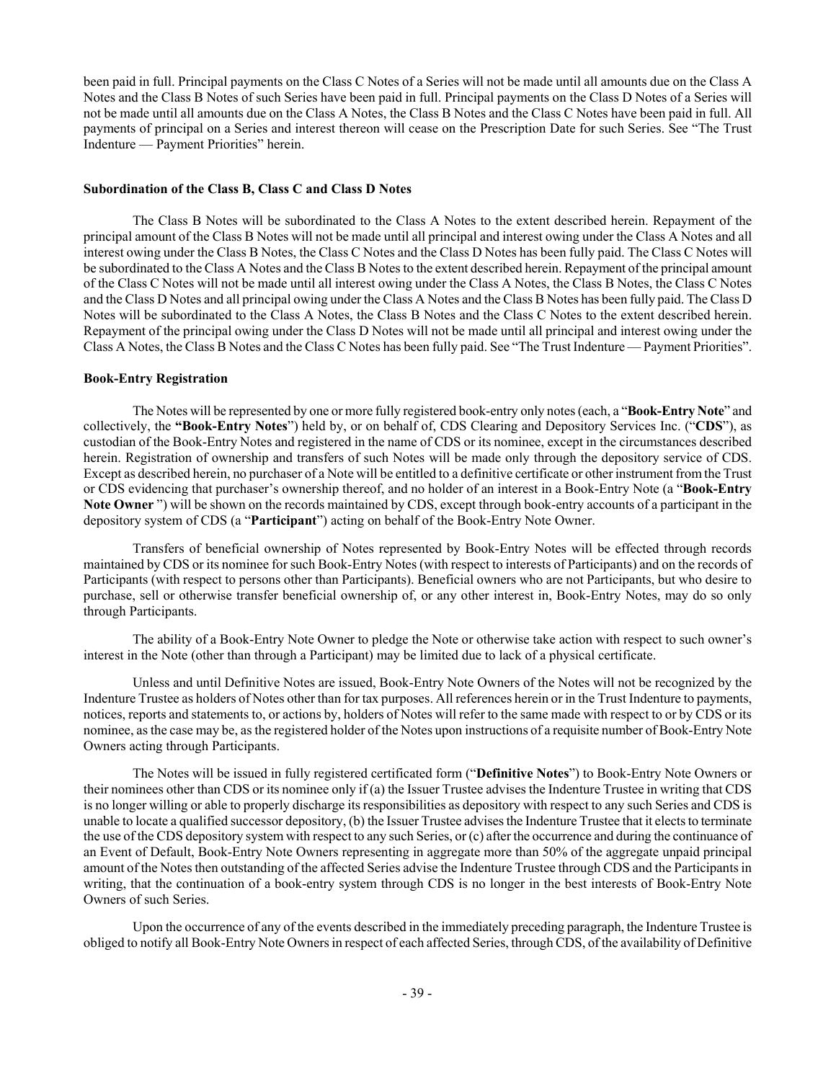been paid in full. Principal payments on the Class C Notes of a Series will not be made until all amounts due on the Class A Notes and the Class B Notes of such Series have been paid in full. Principal payments on the Class D Notes of a Series will not be made until all amounts due on the Class A Notes, the Class B Notes and the Class C Notes have been paid in full. All payments of principal on a Series and interest thereon will cease on the Prescription Date for such Series. See "The Trust Indenture — Payment Priorities" herein.

## **Subordination of the Class B, Class C and Class D Notes**

The Class B Notes will be subordinated to the Class A Notes to the extent described herein. Repayment of the principal amount of the Class B Notes will not be made until all principal and interest owing under the Class A Notes and all interest owing under the Class B Notes, the Class C Notes and the Class D Notes has been fully paid. The Class C Notes will be subordinated to the Class A Notes and the Class B Notes to the extent described herein. Repayment of the principal amount of the Class C Notes will not be made until all interest owing under the Class A Notes, the Class B Notes, the Class C Notes and the Class D Notes and all principal owing under the Class A Notes and the Class B Notes has been fully paid. The Class D Notes will be subordinated to the Class A Notes, the Class B Notes and the Class C Notes to the extent described herein. Repayment of the principal owing under the Class D Notes will not be made until all principal and interest owing under the Class A Notes, the Class B Notes and the Class C Notes has been fully paid. See "The Trust Indenture — Payment Priorities".

#### **Book-Entry Registration**

The Notes will be represented by one or more fully registered book-entry only notes (each, a "**Book-Entry Note**" and collectively, the **"Book-Entry Notes**") held by, or on behalf of, CDS Clearing and Depository Services Inc. ("**CDS**"), as custodian of the Book-Entry Notes and registered in the name of CDS or its nominee, except in the circumstances described herein. Registration of ownership and transfers of such Notes will be made only through the depository service of CDS. Except as described herein, no purchaser of a Note will be entitled to a definitive certificate or other instrument from the Trust or CDS evidencing that purchaser's ownership thereof, and no holder of an interest in a Book-Entry Note (a "**Book-Entry Note Owner** ") will be shown on the records maintained by CDS, except through book-entry accounts of a participant in the depository system of CDS (a "**Participant**") acting on behalf of the Book-Entry Note Owner.

Transfers of beneficial ownership of Notes represented by Book-Entry Notes will be effected through records maintained by CDS or its nominee for such Book-Entry Notes (with respect to interests of Participants) and on the records of Participants (with respect to persons other than Participants). Beneficial owners who are not Participants, but who desire to purchase, sell or otherwise transfer beneficial ownership of, or any other interest in, Book-Entry Notes, may do so only through Participants.

The ability of a Book-Entry Note Owner to pledge the Note or otherwise take action with respect to such owner's interest in the Note (other than through a Participant) may be limited due to lack of a physical certificate.

Unless and until Definitive Notes are issued, Book-Entry Note Owners of the Notes will not be recognized by the Indenture Trustee as holders of Notes other than for tax purposes. All references herein or in the Trust Indenture to payments, notices, reports and statements to, or actions by, holders of Notes will refer to the same made with respect to or by CDS or its nominee, as the case may be, as the registered holder of the Notes upon instructions of a requisite number of Book-Entry Note Owners acting through Participants.

The Notes will be issued in fully registered certificated form ("**Definitive Notes**") to Book-Entry Note Owners or their nominees other than CDS or its nominee only if (a) the Issuer Trustee advises the Indenture Trustee in writing that CDS is no longer willing or able to properly discharge its responsibilities as depository with respect to any such Series and CDS is unable to locate a qualified successor depository, (b) the Issuer Trustee advises the Indenture Trustee that it elects to terminate the use of the CDS depository system with respect to any such Series, or (c) after the occurrence and during the continuance of an Event of Default, Book-Entry Note Owners representing in aggregate more than 50% of the aggregate unpaid principal amount of the Notes then outstanding of the affected Series advise the Indenture Trustee through CDS and the Participants in writing, that the continuation of a book-entry system through CDS is no longer in the best interests of Book-Entry Note Owners of such Series.

Upon the occurrence of any of the events described in the immediately preceding paragraph, the Indenture Trustee is obliged to notify all Book-Entry Note Owners in respect of each affected Series, through CDS, of the availability of Definitive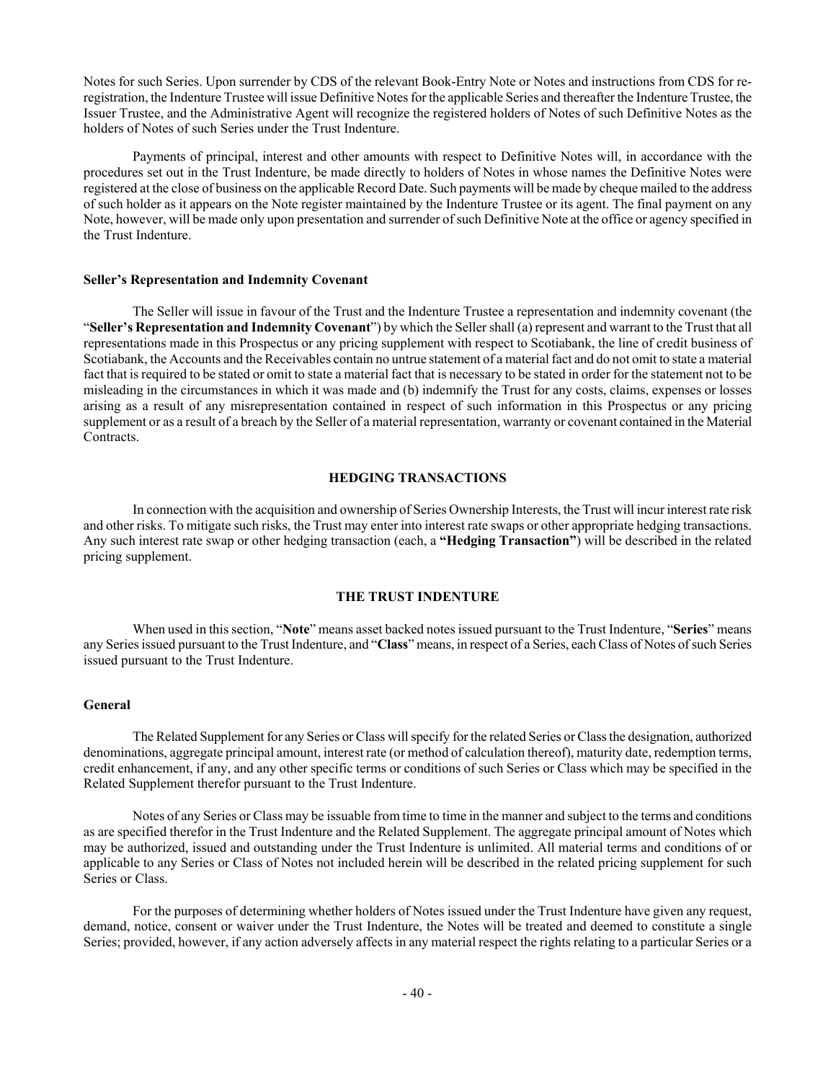Notes for such Series. Upon surrender by CDS of the relevant Book-Entry Note or Notes and instructions from CDS for reregistration, the Indenture Trustee will issue Definitive Notes for the applicable Series and thereafter the Indenture Trustee, the Issuer Trustee, and the Administrative Agent will recognize the registered holders of Notes of such Definitive Notes as the holders of Notes of such Series under the Trust Indenture.

Payments of principal, interest and other amounts with respect to Definitive Notes will, in accordance with the procedures set out in the Trust Indenture, be made directly to holders of Notes in whose names the Definitive Notes were registered at the close of business on the applicable Record Date. Such payments will be made by cheque mailed to the address of such holder as it appears on the Note register maintained by the Indenture Trustee or its agent. The final payment on any Note, however, will be made only upon presentation and surrender of such Definitive Note at the office or agency specified in the Trust Indenture.

#### **Seller's Representation and Indemnity Covenant**

The Seller will issue in favour of the Trust and the Indenture Trustee a representation and indemnity covenant (the "**Seller's Representation and Indemnity Covenant**") by which the Seller shall (a) represent and warrant to the Trust that all representations made in this Prospectus or any pricing supplement with respect to Scotiabank, the line of credit business of Scotiabank, the Accounts and the Receivables contain no untrue statement of a material fact and do not omit to state a material fact that is required to be stated or omit to state a material fact that is necessary to be stated in order for the statement not to be misleading in the circumstances in which it was made and (b) indemnify the Trust for any costs, claims, expenses or losses arising as a result of any misrepresentation contained in respect of such information in this Prospectus or any pricing supplement or as a result of a breach by the Seller of a material representation, warranty or covenant contained in the Material Contracts.

#### **HEDGING TRANSACTIONS**

In connection with the acquisition and ownership of Series Ownership Interests, the Trust will incur interest rate risk and other risks. To mitigate such risks, the Trust may enter into interest rate swaps or other appropriate hedging transactions. Any such interest rate swap or other hedging transaction (each, a **"Hedging Transaction"**) will be described in the related pricing supplement.

#### **THE TRUST INDENTURE**

When used in this section, "**Note**" means asset backed notes issued pursuant to the Trust Indenture, "**Series**" means any Series issued pursuant to the Trust Indenture, and "**Class**" means, in respect of a Series, each Class of Notes of such Series issued pursuant to the Trust Indenture.

## **General**

The Related Supplement for any Series or Class will specify for the related Series or Class the designation, authorized denominations, aggregate principal amount, interest rate (or method of calculation thereof), maturity date, redemption terms, credit enhancement, if any, and any other specific terms or conditions of such Series or Class which may be specified in the Related Supplement therefor pursuant to the Trust Indenture.

Notes of any Series or Class may be issuable from time to time in the manner and subject to the terms and conditions as are specified therefor in the Trust Indenture and the Related Supplement. The aggregate principal amount of Notes which may be authorized, issued and outstanding under the Trust Indenture is unlimited. All material terms and conditions of or applicable to any Series or Class of Notes not included herein will be described in the related pricing supplement for such Series or Class.

For the purposes of determining whether holders of Notes issued under the Trust Indenture have given any request, demand, notice, consent or waiver under the Trust Indenture, the Notes will be treated and deemed to constitute a single Series; provided, however, if any action adversely affects in any material respect the rights relating to a particular Series or a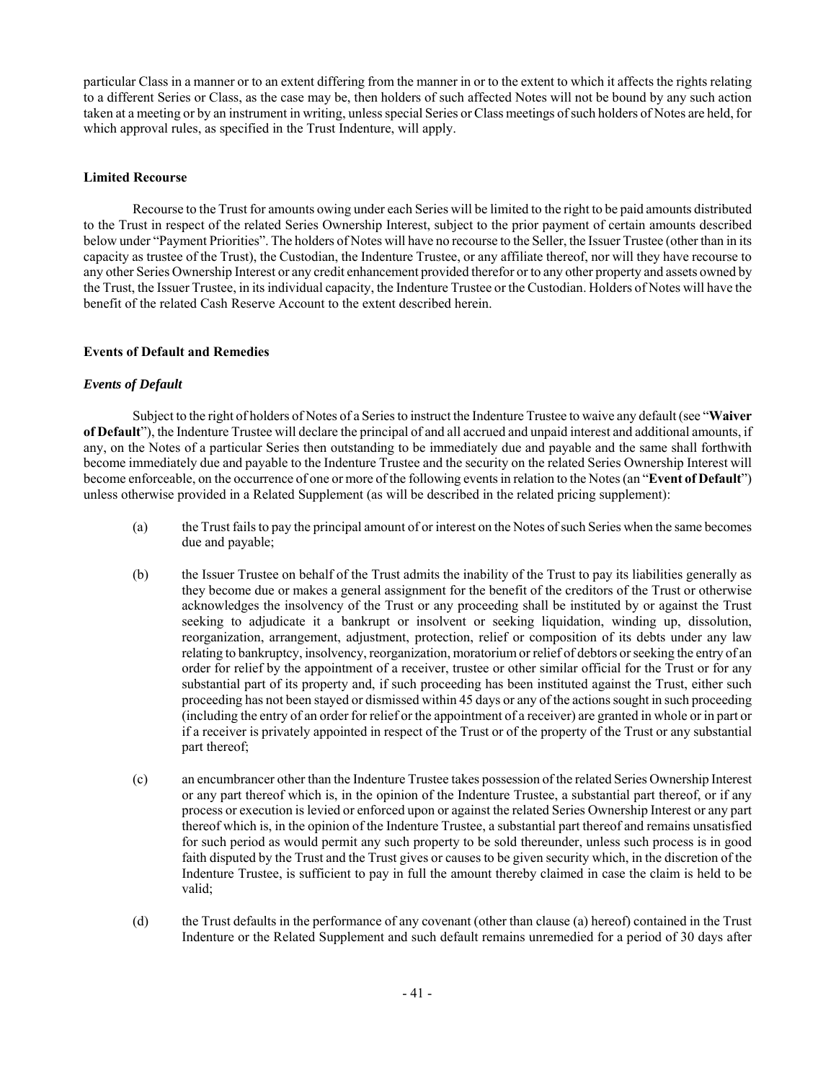particular Class in a manner or to an extent differing from the manner in or to the extent to which it affects the rights relating to a different Series or Class, as the case may be, then holders of such affected Notes will not be bound by any such action taken at a meeting or by an instrument in writing, unless special Series or Class meetings of such holders of Notes are held, for which approval rules, as specified in the Trust Indenture, will apply.

## **Limited Recourse**

Recourse to the Trust for amounts owing under each Series will be limited to the right to be paid amounts distributed to the Trust in respect of the related Series Ownership Interest, subject to the prior payment of certain amounts described below under "Payment Priorities". The holders of Notes will have no recourse to the Seller, the Issuer Trustee (other than in its capacity as trustee of the Trust), the Custodian, the Indenture Trustee, or any affiliate thereof, nor will they have recourse to any other Series Ownership Interest or any credit enhancement provided therefor or to any other property and assets owned by the Trust, the Issuer Trustee, in its individual capacity, the Indenture Trustee or the Custodian. Holders of Notes will have the benefit of the related Cash Reserve Account to the extent described herein.

## **Events of Default and Remedies**

## *Events of Default*

Subject to the right of holders of Notes of a Series to instruct the Indenture Trustee to waive any default (see "**Waiver of Default**"), the Indenture Trustee will declare the principal of and all accrued and unpaid interest and additional amounts, if any, on the Notes of a particular Series then outstanding to be immediately due and payable and the same shall forthwith become immediately due and payable to the Indenture Trustee and the security on the related Series Ownership Interest will become enforceable, on the occurrence of one or more of the following events in relation to the Notes (an "**Event of Default**") unless otherwise provided in a Related Supplement (as will be described in the related pricing supplement):

- (a) the Trust fails to pay the principal amount of or interest on the Notes of such Series when the same becomes due and payable;
- (b) the Issuer Trustee on behalf of the Trust admits the inability of the Trust to pay its liabilities generally as they become due or makes a general assignment for the benefit of the creditors of the Trust or otherwise acknowledges the insolvency of the Trust or any proceeding shall be instituted by or against the Trust seeking to adjudicate it a bankrupt or insolvent or seeking liquidation, winding up, dissolution, reorganization, arrangement, adjustment, protection, relief or composition of its debts under any law relating to bankruptcy, insolvency, reorganization, moratorium or relief of debtors or seeking the entry of an order for relief by the appointment of a receiver, trustee or other similar official for the Trust or for any substantial part of its property and, if such proceeding has been instituted against the Trust, either such proceeding has not been stayed or dismissed within 45 days or any of the actions sought in such proceeding (including the entry of an order for relief or the appointment of a receiver) are granted in whole or in part or if a receiver is privately appointed in respect of the Trust or of the property of the Trust or any substantial part thereof;
- (c) an encumbrancer other than the Indenture Trustee takes possession of the related Series Ownership Interest or any part thereof which is, in the opinion of the Indenture Trustee, a substantial part thereof, or if any process or execution is levied or enforced upon or against the related Series Ownership Interest or any part thereof which is, in the opinion of the Indenture Trustee, a substantial part thereof and remains unsatisfied for such period as would permit any such property to be sold thereunder, unless such process is in good faith disputed by the Trust and the Trust gives or causes to be given security which, in the discretion of the Indenture Trustee, is sufficient to pay in full the amount thereby claimed in case the claim is held to be valid;
- (d) the Trust defaults in the performance of any covenant (other than clause (a) hereof) contained in the Trust Indenture or the Related Supplement and such default remains unremedied for a period of 30 days after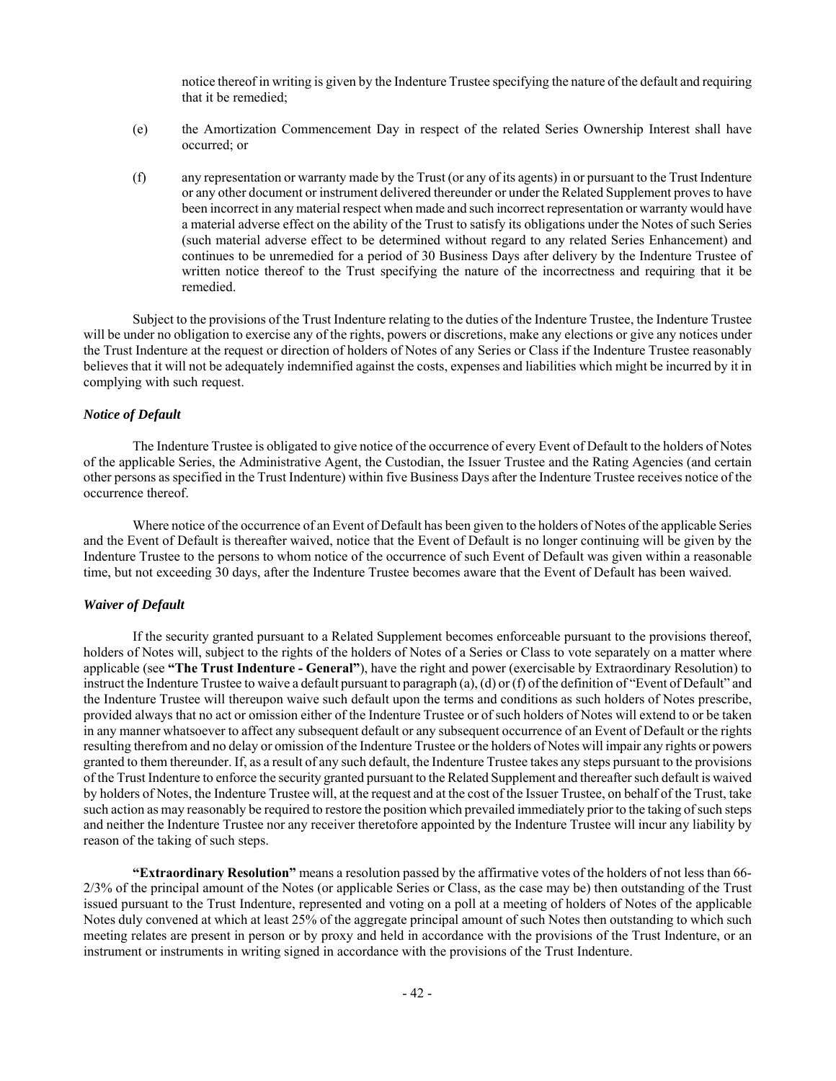notice thereof in writing is given by the Indenture Trustee specifying the nature of the default and requiring that it be remedied;

- (e) the Amortization Commencement Day in respect of the related Series Ownership Interest shall have occurred; or
- (f) any representation or warranty made by the Trust (or any of its agents) in or pursuant to the Trust Indenture or any other document or instrument delivered thereunder or under the Related Supplement proves to have been incorrect in any material respect when made and such incorrect representation or warranty would have a material adverse effect on the ability of the Trust to satisfy its obligations under the Notes of such Series (such material adverse effect to be determined without regard to any related Series Enhancement) and continues to be unremedied for a period of 30 Business Days after delivery by the Indenture Trustee of written notice thereof to the Trust specifying the nature of the incorrectness and requiring that it be remedied.

Subject to the provisions of the Trust Indenture relating to the duties of the Indenture Trustee, the Indenture Trustee will be under no obligation to exercise any of the rights, powers or discretions, make any elections or give any notices under the Trust Indenture at the request or direction of holders of Notes of any Series or Class if the Indenture Trustee reasonably believes that it will not be adequately indemnified against the costs, expenses and liabilities which might be incurred by it in complying with such request.

## *Notice of Default*

The Indenture Trustee is obligated to give notice of the occurrence of every Event of Default to the holders of Notes of the applicable Series, the Administrative Agent, the Custodian, the Issuer Trustee and the Rating Agencies (and certain other persons as specified in the Trust Indenture) within five Business Days after the Indenture Trustee receives notice of the occurrence thereof.

Where notice of the occurrence of an Event of Default has been given to the holders of Notes of the applicable Series and the Event of Default is thereafter waived, notice that the Event of Default is no longer continuing will be given by the Indenture Trustee to the persons to whom notice of the occurrence of such Event of Default was given within a reasonable time, but not exceeding 30 days, after the Indenture Trustee becomes aware that the Event of Default has been waived.

#### *Waiver of Default*

If the security granted pursuant to a Related Supplement becomes enforceable pursuant to the provisions thereof, holders of Notes will, subject to the rights of the holders of Notes of a Series or Class to vote separately on a matter where applicable (see **"The Trust Indenture - General"**), have the right and power (exercisable by Extraordinary Resolution) to instruct the Indenture Trustee to waive a default pursuant to paragraph (a), (d) or (f) of the definition of "Event of Default" and the Indenture Trustee will thereupon waive such default upon the terms and conditions as such holders of Notes prescribe, provided always that no act or omission either of the Indenture Trustee or of such holders of Notes will extend to or be taken in any manner whatsoever to affect any subsequent default or any subsequent occurrence of an Event of Default or the rights resulting therefrom and no delay or omission of the Indenture Trustee or the holders of Notes will impair any rights or powers granted to them thereunder. If, as a result of any such default, the Indenture Trustee takes any steps pursuant to the provisions of the Trust Indenture to enforce the security granted pursuant to the Related Supplement and thereafter such default is waived by holders of Notes, the Indenture Trustee will, at the request and at the cost of the Issuer Trustee, on behalf of the Trust, take such action as may reasonably be required to restore the position which prevailed immediately prior to the taking of such steps and neither the Indenture Trustee nor any receiver theretofore appointed by the Indenture Trustee will incur any liability by reason of the taking of such steps.

**"Extraordinary Resolution"** means a resolution passed by the affirmative votes of the holders of not less than 66- 2/3% of the principal amount of the Notes (or applicable Series or Class, as the case may be) then outstanding of the Trust issued pursuant to the Trust Indenture, represented and voting on a poll at a meeting of holders of Notes of the applicable Notes duly convened at which at least 25% of the aggregate principal amount of such Notes then outstanding to which such meeting relates are present in person or by proxy and held in accordance with the provisions of the Trust Indenture, or an instrument or instruments in writing signed in accordance with the provisions of the Trust Indenture.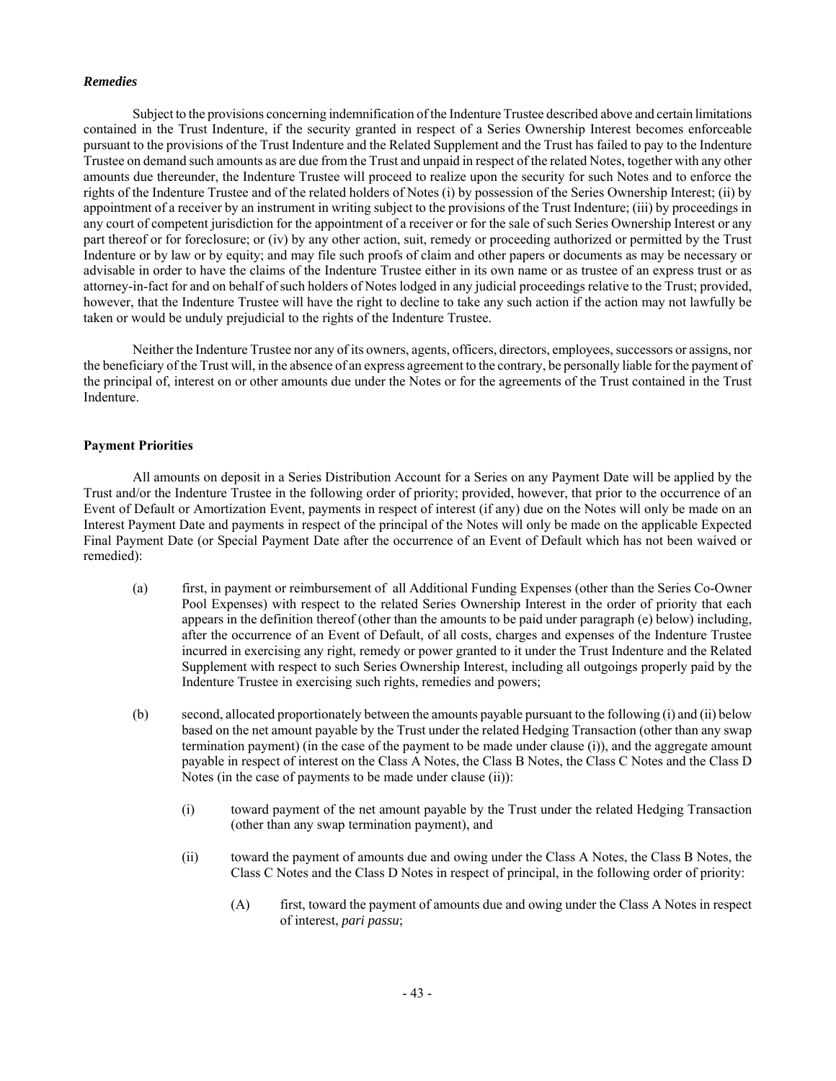## *Remedies*

Subject to the provisions concerning indemnification of the Indenture Trustee described above and certain limitations contained in the Trust Indenture, if the security granted in respect of a Series Ownership Interest becomes enforceable pursuant to the provisions of the Trust Indenture and the Related Supplement and the Trust has failed to pay to the Indenture Trustee on demand such amounts as are due from the Trust and unpaid in respect of the related Notes, together with any other amounts due thereunder, the Indenture Trustee will proceed to realize upon the security for such Notes and to enforce the rights of the Indenture Trustee and of the related holders of Notes (i) by possession of the Series Ownership Interest; (ii) by appointment of a receiver by an instrument in writing subject to the provisions of the Trust Indenture; (iii) by proceedings in any court of competent jurisdiction for the appointment of a receiver or for the sale of such Series Ownership Interest or any part thereof or for foreclosure; or (iv) by any other action, suit, remedy or proceeding authorized or permitted by the Trust Indenture or by law or by equity; and may file such proofs of claim and other papers or documents as may be necessary or advisable in order to have the claims of the Indenture Trustee either in its own name or as trustee of an express trust or as attorney-in-fact for and on behalf of such holders of Notes lodged in any judicial proceedings relative to the Trust; provided, however, that the Indenture Trustee will have the right to decline to take any such action if the action may not lawfully be taken or would be unduly prejudicial to the rights of the Indenture Trustee.

Neither the Indenture Trustee nor any of its owners, agents, officers, directors, employees, successors or assigns, nor the beneficiary of the Trust will, in the absence of an express agreement to the contrary, be personally liable for the payment of the principal of, interest on or other amounts due under the Notes or for the agreements of the Trust contained in the Trust Indenture.

## **Payment Priorities**

All amounts on deposit in a Series Distribution Account for a Series on any Payment Date will be applied by the Trust and/or the Indenture Trustee in the following order of priority; provided, however, that prior to the occurrence of an Event of Default or Amortization Event, payments in respect of interest (if any) due on the Notes will only be made on an Interest Payment Date and payments in respect of the principal of the Notes will only be made on the applicable Expected Final Payment Date (or Special Payment Date after the occurrence of an Event of Default which has not been waived or remedied):

- (a) first, in payment or reimbursement of all Additional Funding Expenses (other than the Series Co-Owner Pool Expenses) with respect to the related Series Ownership Interest in the order of priority that each appears in the definition thereof (other than the amounts to be paid under paragraph (e) below) including, after the occurrence of an Event of Default, of all costs, charges and expenses of the Indenture Trustee incurred in exercising any right, remedy or power granted to it under the Trust Indenture and the Related Supplement with respect to such Series Ownership Interest, including all outgoings properly paid by the Indenture Trustee in exercising such rights, remedies and powers;
- (b) second, allocated proportionately between the amounts payable pursuant to the following (i) and (ii) below based on the net amount payable by the Trust under the related Hedging Transaction (other than any swap termination payment) (in the case of the payment to be made under clause (i)), and the aggregate amount payable in respect of interest on the Class A Notes, the Class B Notes, the Class C Notes and the Class D Notes (in the case of payments to be made under clause (ii)):
	- (i) toward payment of the net amount payable by the Trust under the related Hedging Transaction (other than any swap termination payment), and
	- (ii) toward the payment of amounts due and owing under the Class A Notes, the Class B Notes, the Class C Notes and the Class D Notes in respect of principal, in the following order of priority:
		- (A) first, toward the payment of amounts due and owing under the Class A Notes in respect of interest, *pari passu*;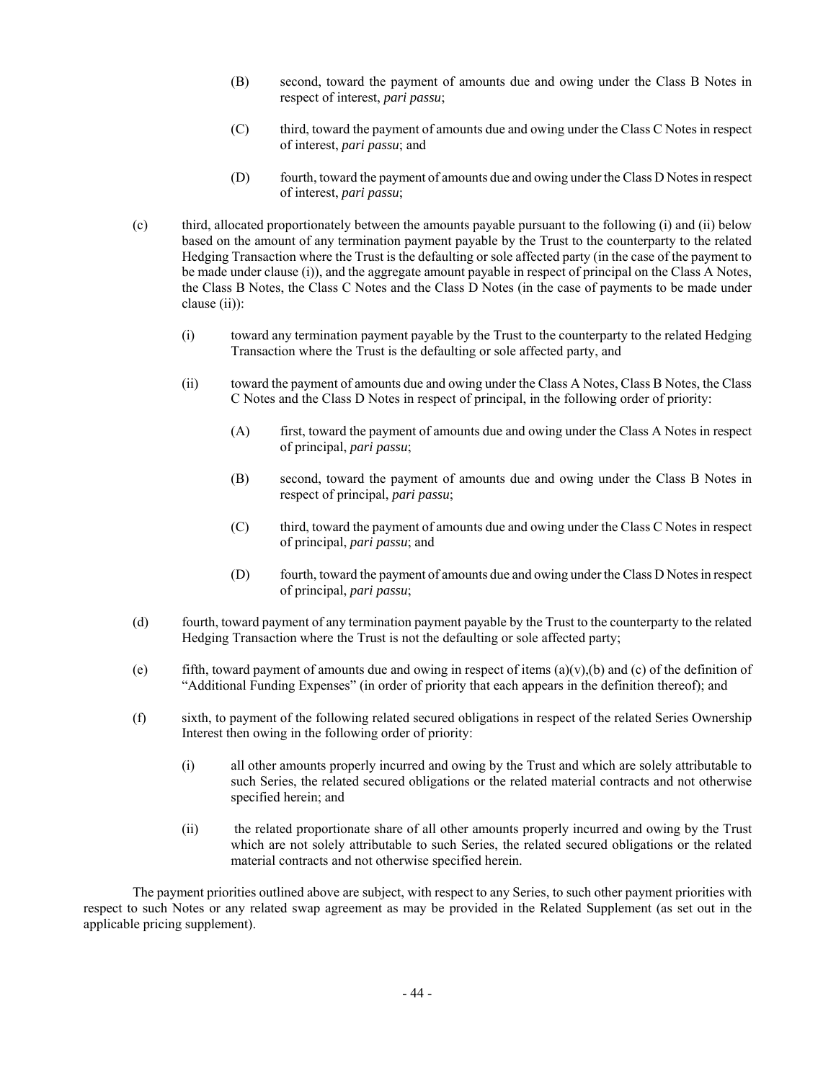- (B) second, toward the payment of amounts due and owing under the Class B Notes in respect of interest, *pari passu*;
- (C) third, toward the payment of amounts due and owing under the Class C Notes in respect of interest, *pari passu*; and
- (D) fourth, toward the payment of amounts due and owing under the Class D Notes in respect of interest, *pari passu*;
- (c) third, allocated proportionately between the amounts payable pursuant to the following (i) and (ii) below based on the amount of any termination payment payable by the Trust to the counterparty to the related Hedging Transaction where the Trust is the defaulting or sole affected party (in the case of the payment to be made under clause (i)), and the aggregate amount payable in respect of principal on the Class A Notes, the Class B Notes, the Class C Notes and the Class D Notes (in the case of payments to be made under clause (ii)):
	- (i) toward any termination payment payable by the Trust to the counterparty to the related Hedging Transaction where the Trust is the defaulting or sole affected party, and
	- (ii) toward the payment of amounts due and owing under the Class A Notes, Class B Notes, the Class C Notes and the Class D Notes in respect of principal, in the following order of priority:
		- (A) first, toward the payment of amounts due and owing under the Class A Notes in respect of principal, *pari passu*;
		- (B) second, toward the payment of amounts due and owing under the Class B Notes in respect of principal, *pari passu*;
		- (C) third, toward the payment of amounts due and owing under the Class C Notes in respect of principal, *pari passu*; and
		- (D) fourth, toward the payment of amounts due and owing under the Class D Notes in respect of principal, *pari passu*;
- (d) fourth, toward payment of any termination payment payable by the Trust to the counterparty to the related Hedging Transaction where the Trust is not the defaulting or sole affected party;
- (e) fifth, toward payment of amounts due and owing in respect of items  $(a)(v)$ ,(b) and (c) of the definition of "Additional Funding Expenses" (in order of priority that each appears in the definition thereof); and
- (f) sixth, to payment of the following related secured obligations in respect of the related Series Ownership Interest then owing in the following order of priority:
	- (i) all other amounts properly incurred and owing by the Trust and which are solely attributable to such Series, the related secured obligations or the related material contracts and not otherwise specified herein; and
	- (ii) the related proportionate share of all other amounts properly incurred and owing by the Trust which are not solely attributable to such Series, the related secured obligations or the related material contracts and not otherwise specified herein.

The payment priorities outlined above are subject, with respect to any Series, to such other payment priorities with respect to such Notes or any related swap agreement as may be provided in the Related Supplement (as set out in the applicable pricing supplement).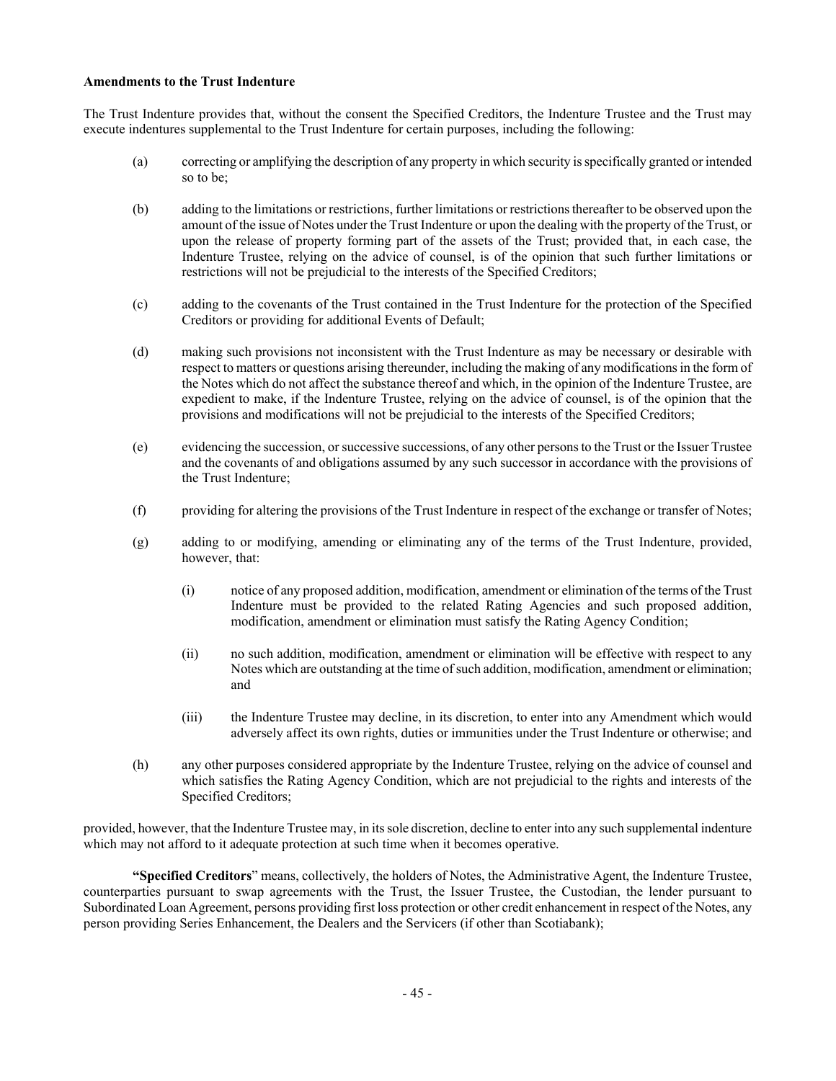## **Amendments to the Trust Indenture**

The Trust Indenture provides that, without the consent the Specified Creditors, the Indenture Trustee and the Trust may execute indentures supplemental to the Trust Indenture for certain purposes, including the following:

- (a) correcting or amplifying the description of any property in which security is specifically granted or intended so to be;
- (b) adding to the limitations or restrictions, further limitations or restrictions thereafter to be observed upon the amount of the issue of Notes under the Trust Indenture or upon the dealing with the property of the Trust, or upon the release of property forming part of the assets of the Trust; provided that, in each case, the Indenture Trustee, relying on the advice of counsel, is of the opinion that such further limitations or restrictions will not be prejudicial to the interests of the Specified Creditors;
- (c) adding to the covenants of the Trust contained in the Trust Indenture for the protection of the Specified Creditors or providing for additional Events of Default;
- (d) making such provisions not inconsistent with the Trust Indenture as may be necessary or desirable with respect to matters or questions arising thereunder, including the making of any modifications in the form of the Notes which do not affect the substance thereof and which, in the opinion of the Indenture Trustee, are expedient to make, if the Indenture Trustee, relying on the advice of counsel, is of the opinion that the provisions and modifications will not be prejudicial to the interests of the Specified Creditors;
- (e) evidencing the succession, or successive successions, of any other persons to the Trust or the Issuer Trustee and the covenants of and obligations assumed by any such successor in accordance with the provisions of the Trust Indenture;
- (f) providing for altering the provisions of the Trust Indenture in respect of the exchange or transfer of Notes;
- (g) adding to or modifying, amending or eliminating any of the terms of the Trust Indenture, provided, however, that:
	- (i) notice of any proposed addition, modification, amendment or elimination of the terms of the Trust Indenture must be provided to the related Rating Agencies and such proposed addition, modification, amendment or elimination must satisfy the Rating Agency Condition;
	- (ii) no such addition, modification, amendment or elimination will be effective with respect to any Notes which are outstanding at the time of such addition, modification, amendment or elimination; and
	- (iii) the Indenture Trustee may decline, in its discretion, to enter into any Amendment which would adversely affect its own rights, duties or immunities under the Trust Indenture or otherwise; and
- (h) any other purposes considered appropriate by the Indenture Trustee, relying on the advice of counsel and which satisfies the Rating Agency Condition, which are not prejudicial to the rights and interests of the Specified Creditors;

provided, however, that the Indenture Trustee may, in its sole discretion, decline to enter into any such supplemental indenture which may not afford to it adequate protection at such time when it becomes operative.

**"Specified Creditors**" means, collectively, the holders of Notes, the Administrative Agent, the Indenture Trustee, counterparties pursuant to swap agreements with the Trust, the Issuer Trustee, the Custodian, the lender pursuant to Subordinated Loan Agreement, persons providing first loss protection or other credit enhancement in respect of the Notes, any person providing Series Enhancement, the Dealers and the Servicers (if other than Scotiabank);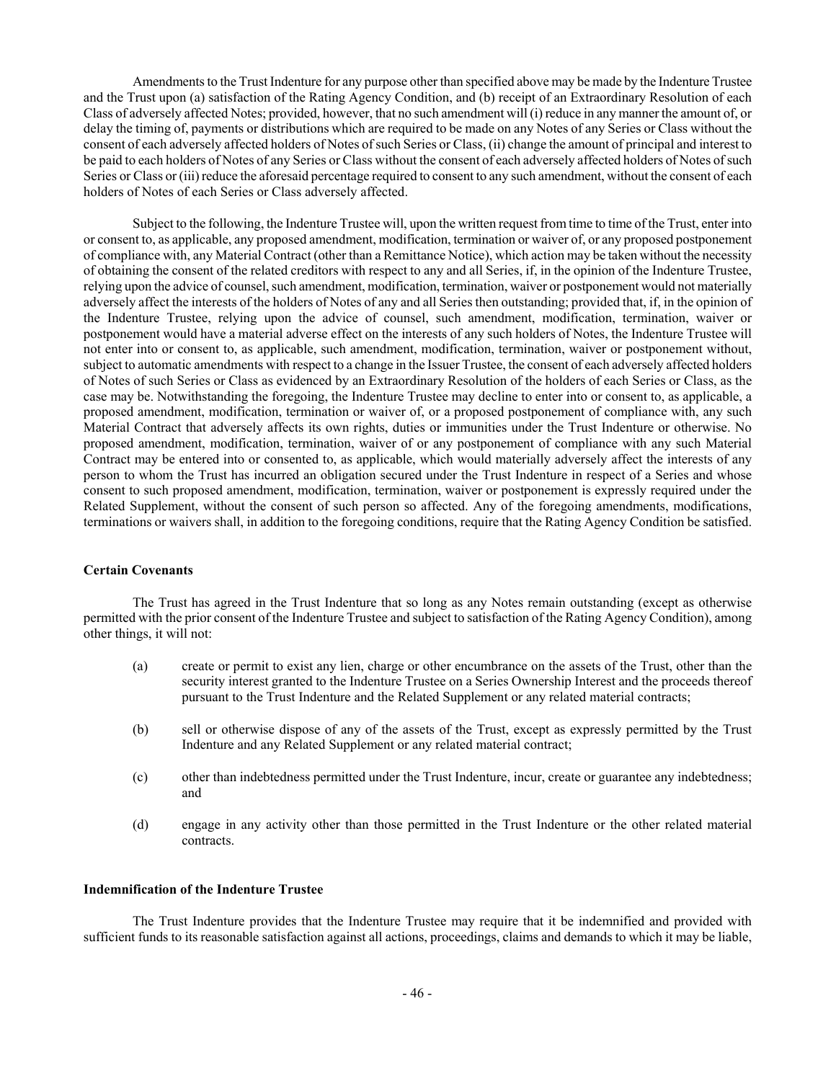Amendments to the Trust Indenture for any purpose other than specified above may be made by the Indenture Trustee and the Trust upon (a) satisfaction of the Rating Agency Condition, and (b) receipt of an Extraordinary Resolution of each Class of adversely affected Notes; provided, however, that no such amendment will (i) reduce in any manner the amount of, or delay the timing of, payments or distributions which are required to be made on any Notes of any Series or Class without the consent of each adversely affected holders of Notes of such Series or Class, (ii) change the amount of principal and interest to be paid to each holders of Notes of any Series or Class without the consent of each adversely affected holders of Notes of such Series or Class or (iii) reduce the aforesaid percentage required to consent to any such amendment, without the consent of each holders of Notes of each Series or Class adversely affected.

Subject to the following, the Indenture Trustee will, upon the written request from time to time of the Trust, enter into or consent to, as applicable, any proposed amendment, modification, termination or waiver of, or any proposed postponement of compliance with, any Material Contract (other than a Remittance Notice), which action may be taken without the necessity of obtaining the consent of the related creditors with respect to any and all Series, if, in the opinion of the Indenture Trustee, relying upon the advice of counsel, such amendment, modification, termination, waiver or postponement would not materially adversely affect the interests of the holders of Notes of any and all Series then outstanding; provided that, if, in the opinion of the Indenture Trustee, relying upon the advice of counsel, such amendment, modification, termination, waiver or postponement would have a material adverse effect on the interests of any such holders of Notes, the Indenture Trustee will not enter into or consent to, as applicable, such amendment, modification, termination, waiver or postponement without, subject to automatic amendments with respect to a change in the Issuer Trustee, the consent of each adversely affected holders of Notes of such Series or Class as evidenced by an Extraordinary Resolution of the holders of each Series or Class, as the case may be. Notwithstanding the foregoing, the Indenture Trustee may decline to enter into or consent to, as applicable, a proposed amendment, modification, termination or waiver of, or a proposed postponement of compliance with, any such Material Contract that adversely affects its own rights, duties or immunities under the Trust Indenture or otherwise. No proposed amendment, modification, termination, waiver of or any postponement of compliance with any such Material Contract may be entered into or consented to, as applicable, which would materially adversely affect the interests of any person to whom the Trust has incurred an obligation secured under the Trust Indenture in respect of a Series and whose consent to such proposed amendment, modification, termination, waiver or postponement is expressly required under the Related Supplement, without the consent of such person so affected. Any of the foregoing amendments, modifications, terminations or waivers shall, in addition to the foregoing conditions, require that the Rating Agency Condition be satisfied.

## **Certain Covenants**

The Trust has agreed in the Trust Indenture that so long as any Notes remain outstanding (except as otherwise permitted with the prior consent of the Indenture Trustee and subject to satisfaction of the Rating Agency Condition), among other things, it will not:

- (a) create or permit to exist any lien, charge or other encumbrance on the assets of the Trust, other than the security interest granted to the Indenture Trustee on a Series Ownership Interest and the proceeds thereof pursuant to the Trust Indenture and the Related Supplement or any related material contracts;
- (b) sell or otherwise dispose of any of the assets of the Trust, except as expressly permitted by the Trust Indenture and any Related Supplement or any related material contract;
- (c) other than indebtedness permitted under the Trust Indenture, incur, create or guarantee any indebtedness; and
- (d) engage in any activity other than those permitted in the Trust Indenture or the other related material contracts.

#### **Indemnification of the Indenture Trustee**

The Trust Indenture provides that the Indenture Trustee may require that it be indemnified and provided with sufficient funds to its reasonable satisfaction against all actions, proceedings, claims and demands to which it may be liable,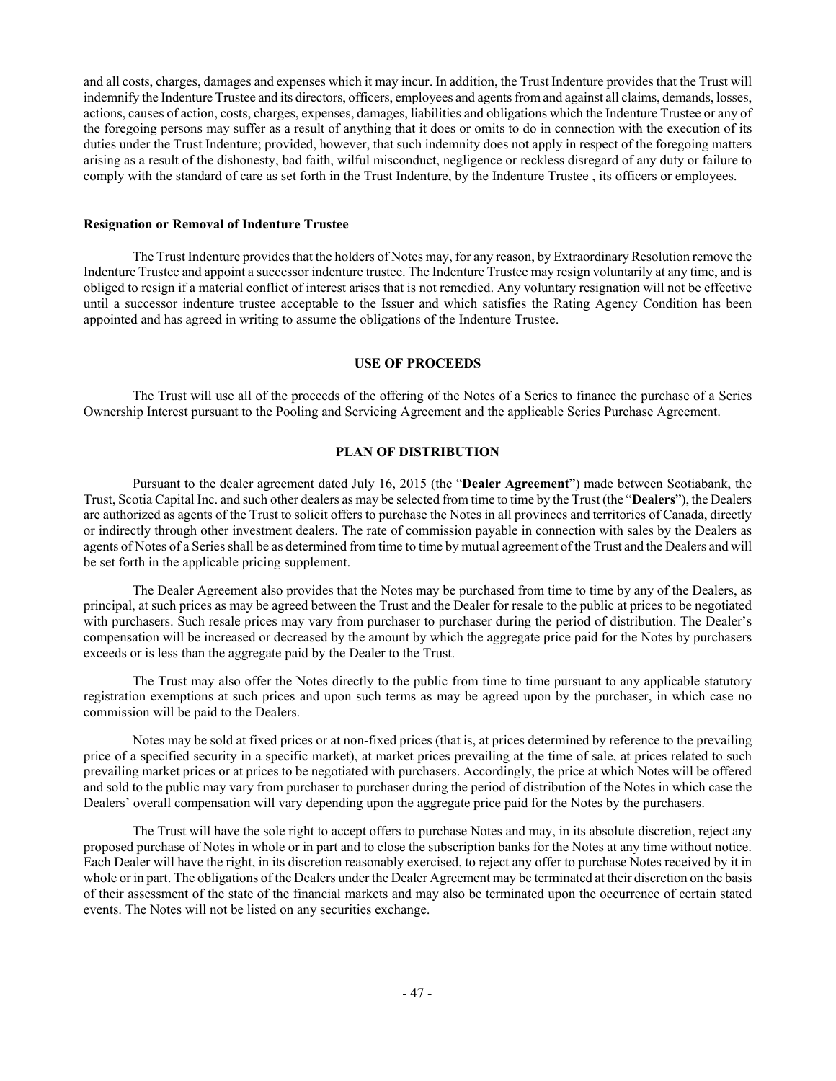and all costs, charges, damages and expenses which it may incur. In addition, the Trust Indenture provides that the Trust will indemnify the Indenture Trustee and its directors, officers, employees and agents from and against all claims, demands, losses, actions, causes of action, costs, charges, expenses, damages, liabilities and obligations which the Indenture Trustee or any of the foregoing persons may suffer as a result of anything that it does or omits to do in connection with the execution of its duties under the Trust Indenture; provided, however, that such indemnity does not apply in respect of the foregoing matters arising as a result of the dishonesty, bad faith, wilful misconduct, negligence or reckless disregard of any duty or failure to comply with the standard of care as set forth in the Trust Indenture, by the Indenture Trustee , its officers or employees.

## **Resignation or Removal of Indenture Trustee**

The Trust Indenture provides that the holders of Notes may, for any reason, by Extraordinary Resolution remove the Indenture Trustee and appoint a successor indenture trustee. The Indenture Trustee may resign voluntarily at any time, and is obliged to resign if a material conflict of interest arises that is not remedied. Any voluntary resignation will not be effective until a successor indenture trustee acceptable to the Issuer and which satisfies the Rating Agency Condition has been appointed and has agreed in writing to assume the obligations of the Indenture Trustee.

#### **USE OF PROCEEDS**

The Trust will use all of the proceeds of the offering of the Notes of a Series to finance the purchase of a Series Ownership Interest pursuant to the Pooling and Servicing Agreement and the applicable Series Purchase Agreement.

## **PLAN OF DISTRIBUTION**

Pursuant to the dealer agreement dated July 16, 2015 (the "**Dealer Agreement**") made between Scotiabank, the Trust, Scotia Capital Inc. and such other dealers as may be selected from time to time by the Trust (the "**Dealers**"), the Dealers are authorized as agents of the Trust to solicit offers to purchase the Notes in all provinces and territories of Canada, directly or indirectly through other investment dealers. The rate of commission payable in connection with sales by the Dealers as agents of Notes of a Series shall be as determined from time to time by mutual agreement of the Trust and the Dealers and will be set forth in the applicable pricing supplement.

The Dealer Agreement also provides that the Notes may be purchased from time to time by any of the Dealers, as principal, at such prices as may be agreed between the Trust and the Dealer for resale to the public at prices to be negotiated with purchasers. Such resale prices may vary from purchaser to purchaser during the period of distribution. The Dealer's compensation will be increased or decreased by the amount by which the aggregate price paid for the Notes by purchasers exceeds or is less than the aggregate paid by the Dealer to the Trust.

The Trust may also offer the Notes directly to the public from time to time pursuant to any applicable statutory registration exemptions at such prices and upon such terms as may be agreed upon by the purchaser, in which case no commission will be paid to the Dealers.

Notes may be sold at fixed prices or at non-fixed prices (that is, at prices determined by reference to the prevailing price of a specified security in a specific market), at market prices prevailing at the time of sale, at prices related to such prevailing market prices or at prices to be negotiated with purchasers. Accordingly, the price at which Notes will be offered and sold to the public may vary from purchaser to purchaser during the period of distribution of the Notes in which case the Dealers' overall compensation will vary depending upon the aggregate price paid for the Notes by the purchasers.

The Trust will have the sole right to accept offers to purchase Notes and may, in its absolute discretion, reject any proposed purchase of Notes in whole or in part and to close the subscription banks for the Notes at any time without notice. Each Dealer will have the right, in its discretion reasonably exercised, to reject any offer to purchase Notes received by it in whole or in part. The obligations of the Dealers under the Dealer Agreement may be terminated at their discretion on the basis of their assessment of the state of the financial markets and may also be terminated upon the occurrence of certain stated events. The Notes will not be listed on any securities exchange.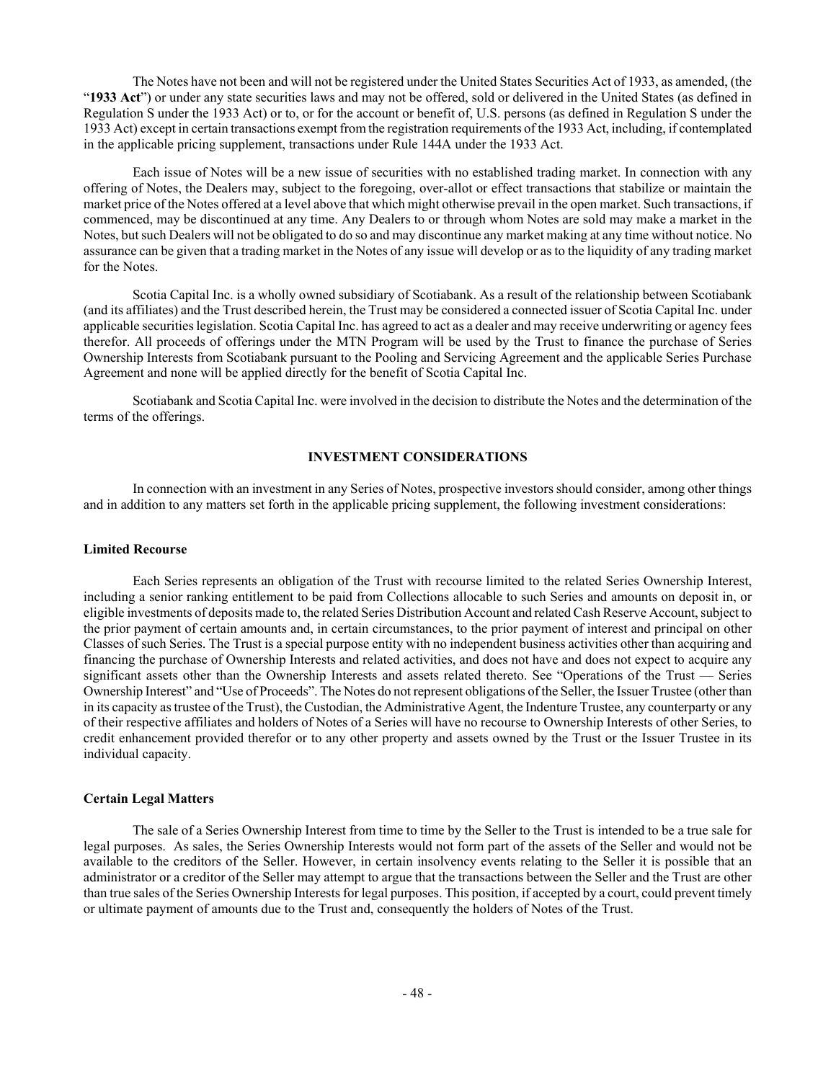The Notes have not been and will not be registered under the United States Securities Act of 1933, as amended, (the "**1933 Act**") or under any state securities laws and may not be offered, sold or delivered in the United States (as defined in Regulation S under the 1933 Act) or to, or for the account or benefit of, U.S. persons (as defined in Regulation S under the 1933 Act) except in certain transactions exempt from the registration requirements of the 1933 Act, including, if contemplated in the applicable pricing supplement, transactions under Rule 144A under the 1933 Act.

Each issue of Notes will be a new issue of securities with no established trading market. In connection with any offering of Notes, the Dealers may, subject to the foregoing, over-allot or effect transactions that stabilize or maintain the market price of the Notes offered at a level above that which might otherwise prevail in the open market. Such transactions, if commenced, may be discontinued at any time. Any Dealers to or through whom Notes are sold may make a market in the Notes, but such Dealers will not be obligated to do so and may discontinue any market making at any time without notice. No assurance can be given that a trading market in the Notes of any issue will develop or as to the liquidity of any trading market for the Notes.

Scotia Capital Inc. is a wholly owned subsidiary of Scotiabank. As a result of the relationship between Scotiabank (and its affiliates) and the Trust described herein, the Trust may be considered a connected issuer of Scotia Capital Inc. under applicable securities legislation. Scotia Capital Inc. has agreed to act as a dealer and may receive underwriting or agency fees therefor. All proceeds of offerings under the MTN Program will be used by the Trust to finance the purchase of Series Ownership Interests from Scotiabank pursuant to the Pooling and Servicing Agreement and the applicable Series Purchase Agreement and none will be applied directly for the benefit of Scotia Capital Inc.

Scotiabank and Scotia Capital Inc. were involved in the decision to distribute the Notes and the determination of the terms of the offerings.

## **INVESTMENT CONSIDERATIONS**

In connection with an investment in any Series of Notes, prospective investors should consider, among other things and in addition to any matters set forth in the applicable pricing supplement, the following investment considerations:

## **Limited Recourse**

Each Series represents an obligation of the Trust with recourse limited to the related Series Ownership Interest, including a senior ranking entitlement to be paid from Collections allocable to such Series and amounts on deposit in, or eligible investments of deposits made to, the related Series Distribution Account and related Cash Reserve Account, subject to the prior payment of certain amounts and, in certain circumstances, to the prior payment of interest and principal on other Classes of such Series. The Trust is a special purpose entity with no independent business activities other than acquiring and financing the purchase of Ownership Interests and related activities, and does not have and does not expect to acquire any significant assets other than the Ownership Interests and assets related thereto. See "Operations of the Trust — Series Ownership Interest" and "Use of Proceeds". The Notes do not represent obligations of the Seller, the Issuer Trustee (other than in its capacity as trustee of the Trust), the Custodian, the Administrative Agent, the Indenture Trustee, any counterparty or any of their respective affiliates and holders of Notes of a Series will have no recourse to Ownership Interests of other Series, to credit enhancement provided therefor or to any other property and assets owned by the Trust or the Issuer Trustee in its individual capacity.

#### **Certain Legal Matters**

The sale of a Series Ownership Interest from time to time by the Seller to the Trust is intended to be a true sale for legal purposes. As sales, the Series Ownership Interests would not form part of the assets of the Seller and would not be available to the creditors of the Seller. However, in certain insolvency events relating to the Seller it is possible that an administrator or a creditor of the Seller may attempt to argue that the transactions between the Seller and the Trust are other than true sales of the Series Ownership Interests for legal purposes. This position, if accepted by a court, could prevent timely or ultimate payment of amounts due to the Trust and, consequently the holders of Notes of the Trust.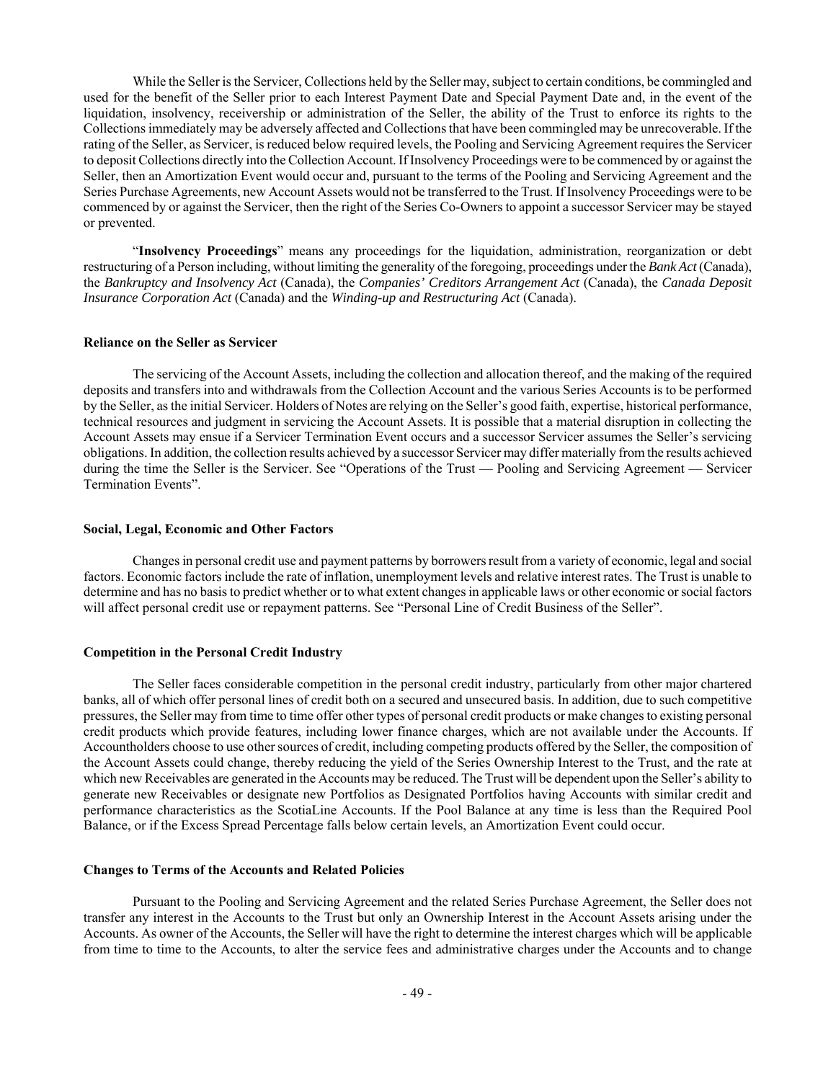While the Seller is the Servicer, Collections held by the Seller may, subject to certain conditions, be commingled and used for the benefit of the Seller prior to each Interest Payment Date and Special Payment Date and, in the event of the liquidation, insolvency, receivership or administration of the Seller, the ability of the Trust to enforce its rights to the Collections immediately may be adversely affected and Collections that have been commingled may be unrecoverable. If the rating of the Seller, as Servicer, is reduced below required levels, the Pooling and Servicing Agreement requires the Servicer to deposit Collections directly into the Collection Account. If Insolvency Proceedings were to be commenced by or against the Seller, then an Amortization Event would occur and, pursuant to the terms of the Pooling and Servicing Agreement and the Series Purchase Agreements, new Account Assets would not be transferred to the Trust. If Insolvency Proceedings were to be commenced by or against the Servicer, then the right of the Series Co-Owners to appoint a successor Servicer may be stayed or prevented.

"**Insolvency Proceedings**" means any proceedings for the liquidation, administration, reorganization or debt restructuring of a Person including, without limiting the generality of the foregoing, proceedings under the *Bank Act* (Canada), the *Bankruptcy and Insolvency Act* (Canada), the *Companies' Creditors Arrangement Act* (Canada), the *Canada Deposit Insurance Corporation Act* (Canada) and the *Winding-up and Restructuring Act* (Canada).

#### **Reliance on the Seller as Servicer**

The servicing of the Account Assets, including the collection and allocation thereof, and the making of the required deposits and transfers into and withdrawals from the Collection Account and the various Series Accounts is to be performed by the Seller, as the initial Servicer. Holders of Notes are relying on the Seller's good faith, expertise, historical performance, technical resources and judgment in servicing the Account Assets. It is possible that a material disruption in collecting the Account Assets may ensue if a Servicer Termination Event occurs and a successor Servicer assumes the Seller's servicing obligations. In addition, the collection results achieved by a successor Servicer may differ materially from the results achieved during the time the Seller is the Servicer. See "Operations of the Trust — Pooling and Servicing Agreement — Servicer Termination Events".

#### **Social, Legal, Economic and Other Factors**

Changes in personal credit use and payment patterns by borrowers result from a variety of economic, legal and social factors. Economic factors include the rate of inflation, unemployment levels and relative interest rates. The Trust is unable to determine and has no basis to predict whether or to what extent changes in applicable laws or other economic or social factors will affect personal credit use or repayment patterns. See "Personal Line of Credit Business of the Seller".

## **Competition in the Personal Credit Industry**

The Seller faces considerable competition in the personal credit industry, particularly from other major chartered banks, all of which offer personal lines of credit both on a secured and unsecured basis. In addition, due to such competitive pressures, the Seller may from time to time offer other types of personal credit products or make changes to existing personal credit products which provide features, including lower finance charges, which are not available under the Accounts. If Accountholders choose to use other sources of credit, including competing products offered by the Seller, the composition of the Account Assets could change, thereby reducing the yield of the Series Ownership Interest to the Trust, and the rate at which new Receivables are generated in the Accounts may be reduced. The Trust will be dependent upon the Seller's ability to generate new Receivables or designate new Portfolios as Designated Portfolios having Accounts with similar credit and performance characteristics as the ScotiaLine Accounts. If the Pool Balance at any time is less than the Required Pool Balance, or if the Excess Spread Percentage falls below certain levels, an Amortization Event could occur.

## **Changes to Terms of the Accounts and Related Policies**

Pursuant to the Pooling and Servicing Agreement and the related Series Purchase Agreement, the Seller does not transfer any interest in the Accounts to the Trust but only an Ownership Interest in the Account Assets arising under the Accounts. As owner of the Accounts, the Seller will have the right to determine the interest charges which will be applicable from time to time to the Accounts, to alter the service fees and administrative charges under the Accounts and to change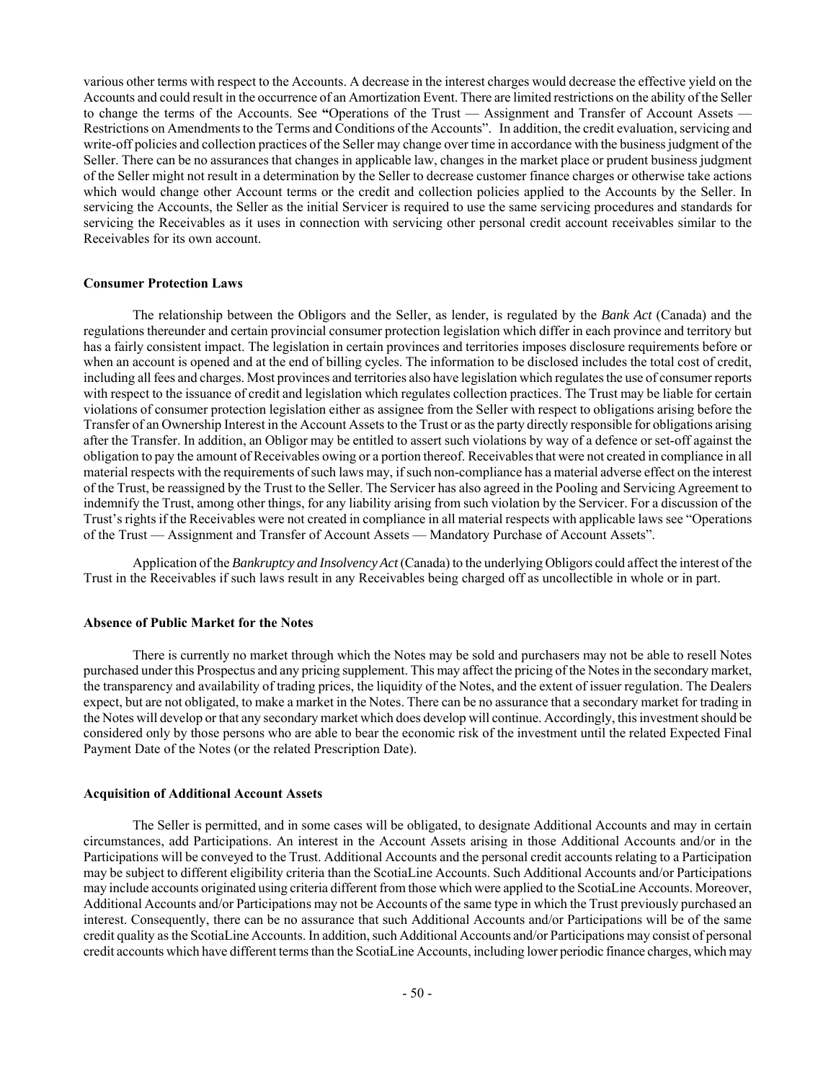various other terms with respect to the Accounts. A decrease in the interest charges would decrease the effective yield on the Accounts and could result in the occurrence of an Amortization Event. There are limited restrictions on the ability of the Seller to change the terms of the Accounts. See "Operations of the Trust — Assignment and Transfer of Account Assets -Restrictions on Amendments to the Terms and Conditions of the Accounts". In addition, the credit evaluation, servicing and write-off policies and collection practices of the Seller may change over time in accordance with the business judgment of the Seller. There can be no assurances that changes in applicable law, changes in the market place or prudent business judgment of the Seller might not result in a determination by the Seller to decrease customer finance charges or otherwise take actions which would change other Account terms or the credit and collection policies applied to the Accounts by the Seller. In servicing the Accounts, the Seller as the initial Servicer is required to use the same servicing procedures and standards for servicing the Receivables as it uses in connection with servicing other personal credit account receivables similar to the Receivables for its own account.

#### **Consumer Protection Laws**

The relationship between the Obligors and the Seller, as lender, is regulated by the *Bank Act* (Canada) and the regulations thereunder and certain provincial consumer protection legislation which differ in each province and territory but has a fairly consistent impact. The legislation in certain provinces and territories imposes disclosure requirements before or when an account is opened and at the end of billing cycles. The information to be disclosed includes the total cost of credit, including all fees and charges. Most provinces and territories also have legislation which regulates the use of consumer reports with respect to the issuance of credit and legislation which regulates collection practices. The Trust may be liable for certain violations of consumer protection legislation either as assignee from the Seller with respect to obligations arising before the Transfer of an Ownership Interest in the Account Assets to the Trust or as the party directly responsible for obligations arising after the Transfer. In addition, an Obligor may be entitled to assert such violations by way of a defence or set-off against the obligation to pay the amount of Receivables owing or a portion thereof. Receivables that were not created in compliance in all material respects with the requirements of such laws may, if such non-compliance has a material adverse effect on the interest of the Trust, be reassigned by the Trust to the Seller. The Servicer has also agreed in the Pooling and Servicing Agreement to indemnify the Trust, among other things, for any liability arising from such violation by the Servicer. For a discussion of the Trust's rights if the Receivables were not created in compliance in all material respects with applicable laws see "Operations of the Trust — Assignment and Transfer of Account Assets — Mandatory Purchase of Account Assets".

Application of the *Bankruptcy and Insolvency Act* (Canada) to the underlying Obligors could affect the interest of the Trust in the Receivables if such laws result in any Receivables being charged off as uncollectible in whole or in part.

#### **Absence of Public Market for the Notes**

There is currently no market through which the Notes may be sold and purchasers may not be able to resell Notes purchased under this Prospectus and any pricing supplement. This may affect the pricing of the Notes in the secondary market, the transparency and availability of trading prices, the liquidity of the Notes, and the extent of issuer regulation. The Dealers expect, but are not obligated, to make a market in the Notes. There can be no assurance that a secondary market for trading in the Notes will develop or that any secondary market which does develop will continue. Accordingly, this investment should be considered only by those persons who are able to bear the economic risk of the investment until the related Expected Final Payment Date of the Notes (or the related Prescription Date).

#### **Acquisition of Additional Account Assets**

The Seller is permitted, and in some cases will be obligated, to designate Additional Accounts and may in certain circumstances, add Participations. An interest in the Account Assets arising in those Additional Accounts and/or in the Participations will be conveyed to the Trust. Additional Accounts and the personal credit accounts relating to a Participation may be subject to different eligibility criteria than the ScotiaLine Accounts. Such Additional Accounts and/or Participations may include accounts originated using criteria different from those which were applied to the ScotiaLine Accounts. Moreover, Additional Accounts and/or Participations may not be Accounts of the same type in which the Trust previously purchased an interest. Consequently, there can be no assurance that such Additional Accounts and/or Participations will be of the same credit quality as the ScotiaLine Accounts. In addition, such Additional Accounts and/or Participations may consist of personal credit accounts which have different terms than the ScotiaLine Accounts, including lower periodic finance charges, which may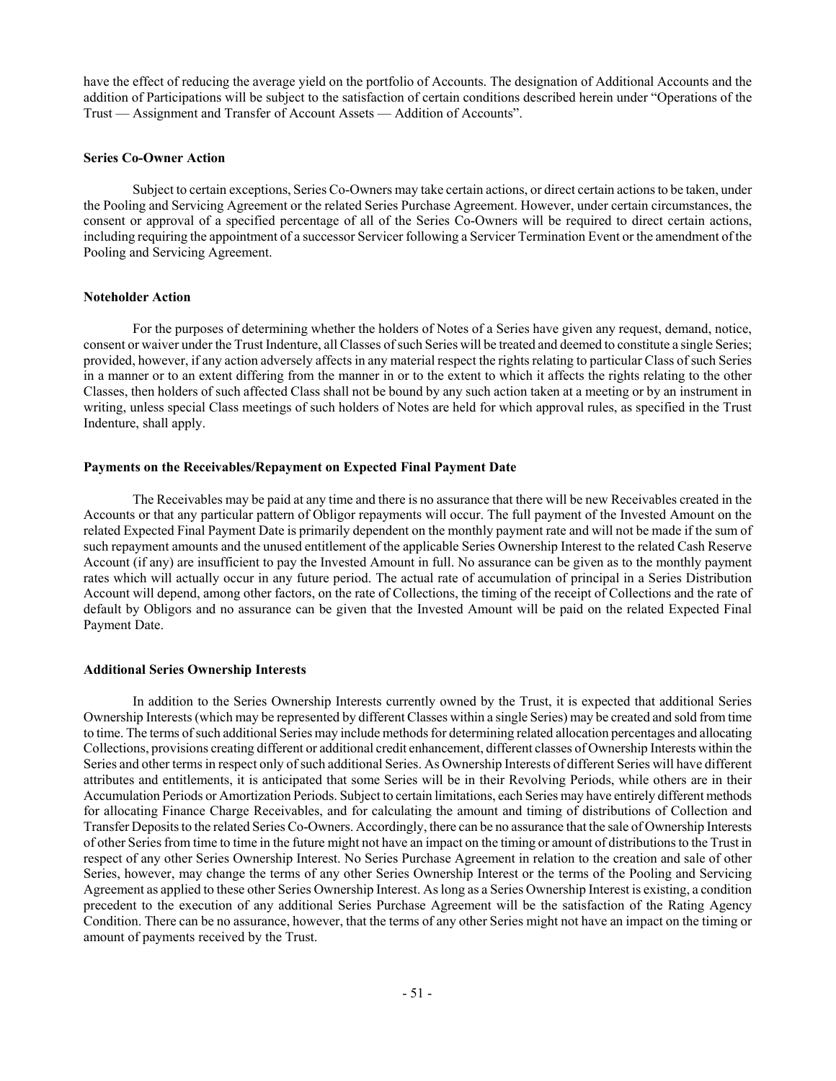have the effect of reducing the average yield on the portfolio of Accounts. The designation of Additional Accounts and the addition of Participations will be subject to the satisfaction of certain conditions described herein under "Operations of the Trust — Assignment and Transfer of Account Assets — Addition of Accounts".

#### **Series Co-Owner Action**

Subject to certain exceptions, Series Co-Owners may take certain actions, or direct certain actions to be taken, under the Pooling and Servicing Agreement or the related Series Purchase Agreement. However, under certain circumstances, the consent or approval of a specified percentage of all of the Series Co-Owners will be required to direct certain actions, including requiring the appointment of a successor Servicer following a Servicer Termination Event or the amendment of the Pooling and Servicing Agreement.

#### **Noteholder Action**

For the purposes of determining whether the holders of Notes of a Series have given any request, demand, notice, consent or waiver under the Trust Indenture, all Classes of such Series will be treated and deemed to constitute a single Series; provided, however, if any action adversely affects in any material respect the rights relating to particular Class of such Series in a manner or to an extent differing from the manner in or to the extent to which it affects the rights relating to the other Classes, then holders of such affected Class shall not be bound by any such action taken at a meeting or by an instrument in writing, unless special Class meetings of such holders of Notes are held for which approval rules, as specified in the Trust Indenture, shall apply.

#### **Payments on the Receivables/Repayment on Expected Final Payment Date**

The Receivables may be paid at any time and there is no assurance that there will be new Receivables created in the Accounts or that any particular pattern of Obligor repayments will occur. The full payment of the Invested Amount on the related Expected Final Payment Date is primarily dependent on the monthly payment rate and will not be made if the sum of such repayment amounts and the unused entitlement of the applicable Series Ownership Interest to the related Cash Reserve Account (if any) are insufficient to pay the Invested Amount in full. No assurance can be given as to the monthly payment rates which will actually occur in any future period. The actual rate of accumulation of principal in a Series Distribution Account will depend, among other factors, on the rate of Collections, the timing of the receipt of Collections and the rate of default by Obligors and no assurance can be given that the Invested Amount will be paid on the related Expected Final Payment Date.

#### **Additional Series Ownership Interests**

In addition to the Series Ownership Interests currently owned by the Trust, it is expected that additional Series Ownership Interests (which may be represented by different Classes within a single Series) may be created and sold from time to time. The terms of such additional Series may include methods for determining related allocation percentages and allocating Collections, provisions creating different or additional credit enhancement, different classes of Ownership Interests within the Series and other terms in respect only of such additional Series. As Ownership Interests of different Series will have different attributes and entitlements, it is anticipated that some Series will be in their Revolving Periods, while others are in their Accumulation Periods or Amortization Periods. Subject to certain limitations, each Series may have entirely different methods for allocating Finance Charge Receivables, and for calculating the amount and timing of distributions of Collection and Transfer Deposits to the related Series Co-Owners. Accordingly, there can be no assurance that the sale of Ownership Interests of other Series from time to time in the future might not have an impact on the timing or amount of distributions to the Trust in respect of any other Series Ownership Interest. No Series Purchase Agreement in relation to the creation and sale of other Series, however, may change the terms of any other Series Ownership Interest or the terms of the Pooling and Servicing Agreement as applied to these other Series Ownership Interest. As long as a Series Ownership Interest is existing, a condition precedent to the execution of any additional Series Purchase Agreement will be the satisfaction of the Rating Agency Condition. There can be no assurance, however, that the terms of any other Series might not have an impact on the timing or amount of payments received by the Trust.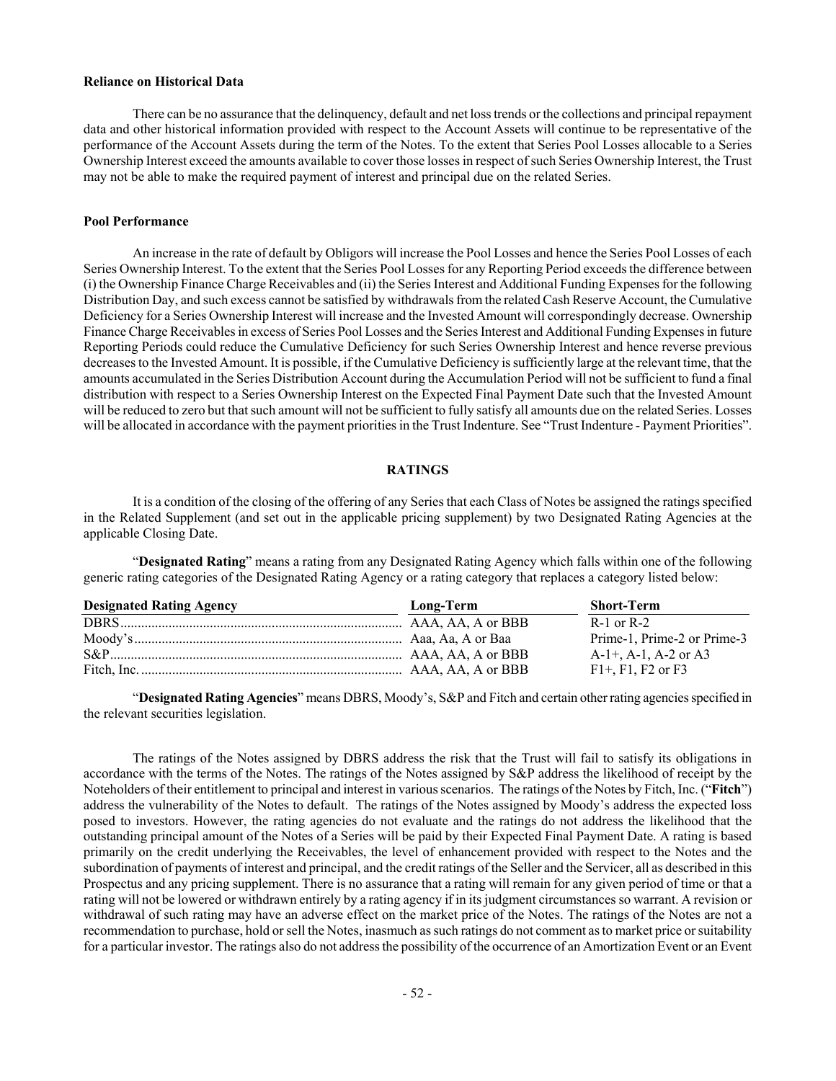## **Reliance on Historical Data**

There can be no assurance that the delinquency, default and net loss trends or the collections and principal repayment data and other historical information provided with respect to the Account Assets will continue to be representative of the performance of the Account Assets during the term of the Notes. To the extent that Series Pool Losses allocable to a Series Ownership Interest exceed the amounts available to cover those losses in respect of such Series Ownership Interest, the Trust may not be able to make the required payment of interest and principal due on the related Series.

#### **Pool Performance**

An increase in the rate of default by Obligors will increase the Pool Losses and hence the Series Pool Losses of each Series Ownership Interest. To the extent that the Series Pool Losses for any Reporting Period exceeds the difference between (i) the Ownership Finance Charge Receivables and (ii) the Series Interest and Additional Funding Expenses for the following Distribution Day, and such excess cannot be satisfied by withdrawals from the related Cash Reserve Account, the Cumulative Deficiency for a Series Ownership Interest will increase and the Invested Amount will correspondingly decrease. Ownership Finance Charge Receivables in excess of Series Pool Losses and the Series Interest and Additional Funding Expenses in future Reporting Periods could reduce the Cumulative Deficiency for such Series Ownership Interest and hence reverse previous decreases to the Invested Amount. It is possible, if the Cumulative Deficiency is sufficiently large at the relevant time, that the amounts accumulated in the Series Distribution Account during the Accumulation Period will not be sufficient to fund a final distribution with respect to a Series Ownership Interest on the Expected Final Payment Date such that the Invested Amount will be reduced to zero but that such amount will not be sufficient to fully satisfy all amounts due on the related Series. Losses will be allocated in accordance with the payment priorities in the Trust Indenture. See "Trust Indenture - Payment Priorities".

#### **RATINGS**

It is a condition of the closing of the offering of any Series that each Class of Notes be assigned the ratings specified in the Related Supplement (and set out in the applicable pricing supplement) by two Designated Rating Agencies at the applicable Closing Date.

"**Designated Rating**" means a rating from any Designated Rating Agency which falls within one of the following generic rating categories of the Designated Rating Agency or a rating category that replaces a category listed below:

| <b>Designated Rating Agency</b> | Long-Term | <b>Short-Term</b>              |
|---------------------------------|-----------|--------------------------------|
|                                 |           | $R-1$ or $R-2$                 |
|                                 |           | Prime-1, Prime-2 or Prime-3    |
|                                 |           | $A-1+$ , $A-1$ , $A-2$ or $A3$ |
|                                 |           | $F1+$ , F1, F2 or F3           |

"**Designated Rating Agencies**" means DBRS, Moody's, S&P and Fitch and certain other rating agencies specified in the relevant securities legislation.

The ratings of the Notes assigned by DBRS address the risk that the Trust will fail to satisfy its obligations in accordance with the terms of the Notes. The ratings of the Notes assigned by S&P address the likelihood of receipt by the Noteholders of their entitlement to principal and interest in various scenarios. The ratings of the Notes by Fitch, Inc. ("**Fitch**") address the vulnerability of the Notes to default. The ratings of the Notes assigned by Moody's address the expected loss posed to investors. However, the rating agencies do not evaluate and the ratings do not address the likelihood that the outstanding principal amount of the Notes of a Series will be paid by their Expected Final Payment Date. A rating is based primarily on the credit underlying the Receivables, the level of enhancement provided with respect to the Notes and the subordination of payments of interest and principal, and the credit ratings of the Seller and the Servicer, all as described in this Prospectus and any pricing supplement. There is no assurance that a rating will remain for any given period of time or that a rating will not be lowered or withdrawn entirely by a rating agency if in its judgment circumstances so warrant. A revision or withdrawal of such rating may have an adverse effect on the market price of the Notes. The ratings of the Notes are not a recommendation to purchase, hold or sell the Notes, inasmuch as such ratings do not comment as to market price or suitability for a particular investor. The ratings also do not address the possibility of the occurrence of an Amortization Event or an Event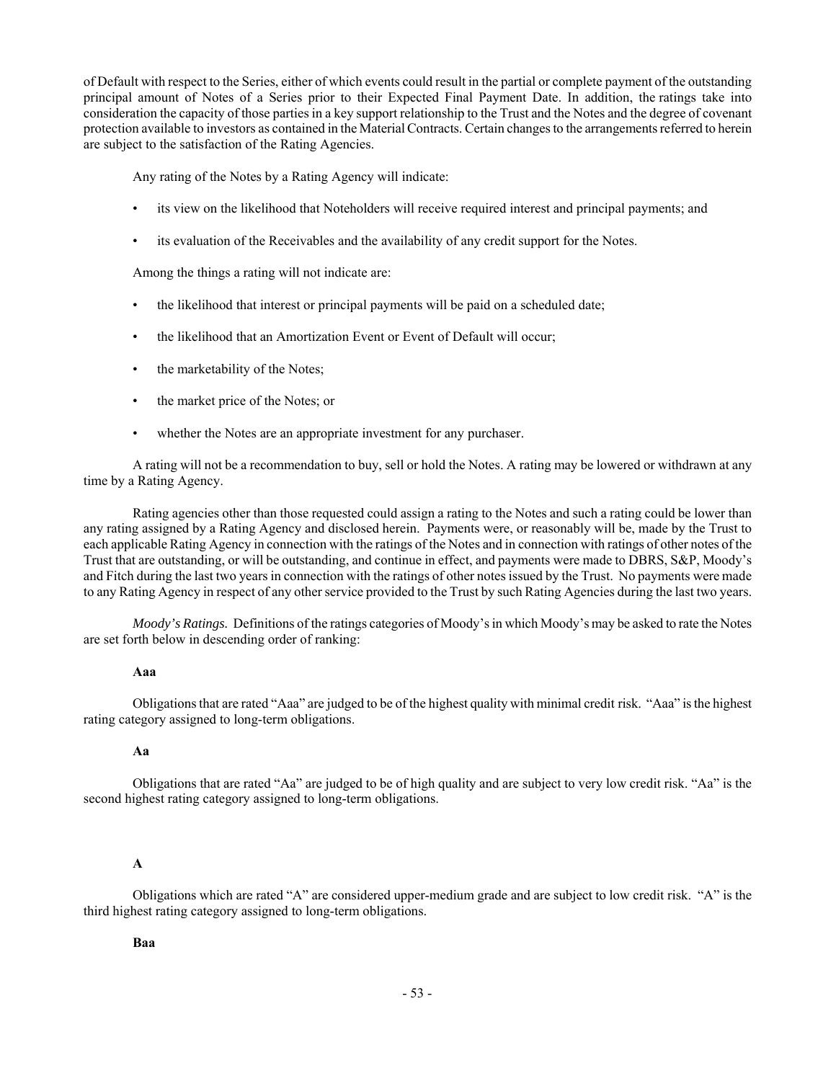of Default with respect to the Series, either of which events could result in the partial or complete payment of the outstanding principal amount of Notes of a Series prior to their Expected Final Payment Date. In addition, the ratings take into consideration the capacity of those parties in a key support relationship to the Trust and the Notes and the degree of covenant protection available to investors as contained in the Material Contracts. Certain changes to the arrangements referred to herein are subject to the satisfaction of the Rating Agencies.

Any rating of the Notes by a Rating Agency will indicate:

- its view on the likelihood that Noteholders will receive required interest and principal payments; and
- its evaluation of the Receivables and the availability of any credit support for the Notes.

Among the things a rating will not indicate are:

- the likelihood that interest or principal payments will be paid on a scheduled date;
- the likelihood that an Amortization Event or Event of Default will occur;
- the marketability of the Notes;
- the market price of the Notes; or
- whether the Notes are an appropriate investment for any purchaser.

A rating will not be a recommendation to buy, sell or hold the Notes. A rating may be lowered or withdrawn at any time by a Rating Agency.

Rating agencies other than those requested could assign a rating to the Notes and such a rating could be lower than any rating assigned by a Rating Agency and disclosed herein. Payments were, or reasonably will be, made by the Trust to each applicable Rating Agency in connection with the ratings of the Notes and in connection with ratings of other notes of the Trust that are outstanding, or will be outstanding, and continue in effect, and payments were made to DBRS, S&P, Moody's and Fitch during the last two years in connection with the ratings of other notes issued by the Trust. No payments were made to any Rating Agency in respect of any other service provided to the Trust by such Rating Agencies during the last two years.

*Moody's Ratings.* Definitions of the ratings categories of Moody's in which Moody's may be asked to rate the Notes are set forth below in descending order of ranking:

#### **Aaa**

Obligations that are rated "Aaa" are judged to be of the highest quality with minimal credit risk. "Aaa" is the highest rating category assigned to long-term obligations.

## **Aa**

Obligations that are rated "Aa" are judged to be of high quality and are subject to very low credit risk. "Aa" is the second highest rating category assigned to long-term obligations.

## **A**

Obligations which are rated "A" are considered upper-medium grade and are subject to low credit risk. "A" is the third highest rating category assigned to long-term obligations.

#### **Baa**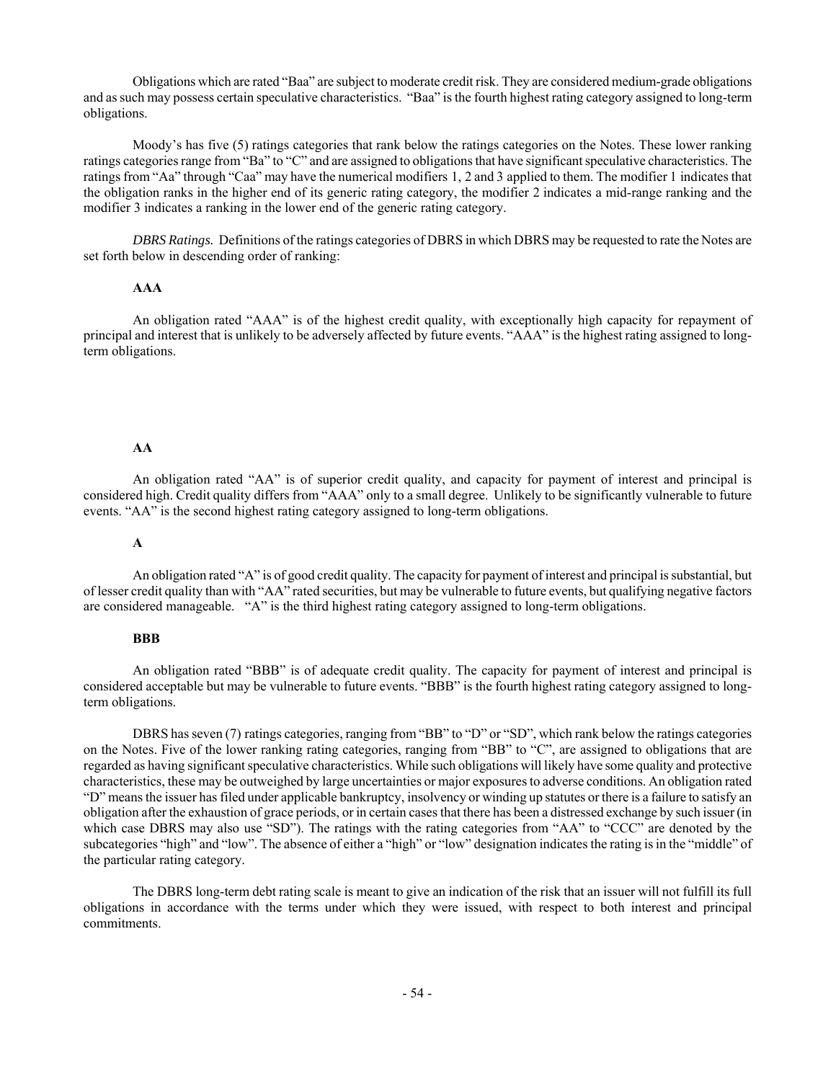Obligations which are rated "Baa" are subject to moderate credit risk. They are considered medium-grade obligations and as such may possess certain speculative characteristics. "Baa" is the fourth highest rating category assigned to long-term obligations.

Moody's has five (5) ratings categories that rank below the ratings categories on the Notes. These lower ranking ratings categories range from "Ba" to "C" and are assigned to obligations that have significant speculative characteristics. The ratings from "Aa" through "Caa" may have the numerical modifiers 1, 2 and 3 applied to them. The modifier 1 indicates that the obligation ranks in the higher end of its generic rating category, the modifier 2 indicates a mid-range ranking and the modifier 3 indicates a ranking in the lower end of the generic rating category.

*DBRS Ratings.* Definitions of the ratings categories of DBRS in which DBRS may be requested to rate the Notes are set forth below in descending order of ranking:

#### **AAA**

An obligation rated "AAA" is of the highest credit quality, with exceptionally high capacity for repayment of principal and interest that is unlikely to be adversely affected by future events. "AAA" is the highest rating assigned to longterm obligations.

#### **AA**

An obligation rated "AA" is of superior credit quality, and capacity for payment of interest and principal is considered high. Credit quality differs from "AAA" only to a small degree. Unlikely to be significantly vulnerable to future events. "AA" is the second highest rating category assigned to long-term obligations.

## **A**

An obligation rated "A" is of good credit quality. The capacity for payment of interest and principal is substantial, but of lesser credit quality than with "AA" rated securities, but may be vulnerable to future events, but qualifying negative factors are considered manageable. "A" is the third highest rating category assigned to long-term obligations.

#### **BBB**

An obligation rated "BBB" is of adequate credit quality. The capacity for payment of interest and principal is considered acceptable but may be vulnerable to future events. "BBB" is the fourth highest rating category assigned to longterm obligations.

DBRS has seven (7) ratings categories, ranging from "BB" to "D" or "SD", which rank below the ratings categories on the Notes. Five of the lower ranking rating categories, ranging from "BB" to "C", are assigned to obligations that are regarded as having significant speculative characteristics. While such obligations will likely have some quality and protective characteristics, these may be outweighed by large uncertainties or major exposures to adverse conditions. An obligation rated "D" means the issuer has filed under applicable bankruptcy, insolvency or winding up statutes or there is a failure to satisfy an obligation after the exhaustion of grace periods, or in certain cases that there has been a distressed exchange by such issuer (in which case DBRS may also use "SD"). The ratings with the rating categories from "AA" to "CCC" are denoted by the subcategories "high" and "low". The absence of either a "high" or "low" designation indicates the rating is in the "middle" of the particular rating category.

The DBRS long-term debt rating scale is meant to give an indication of the risk that an issuer will not fulfill its full obligations in accordance with the terms under which they were issued, with respect to both interest and principal commitments.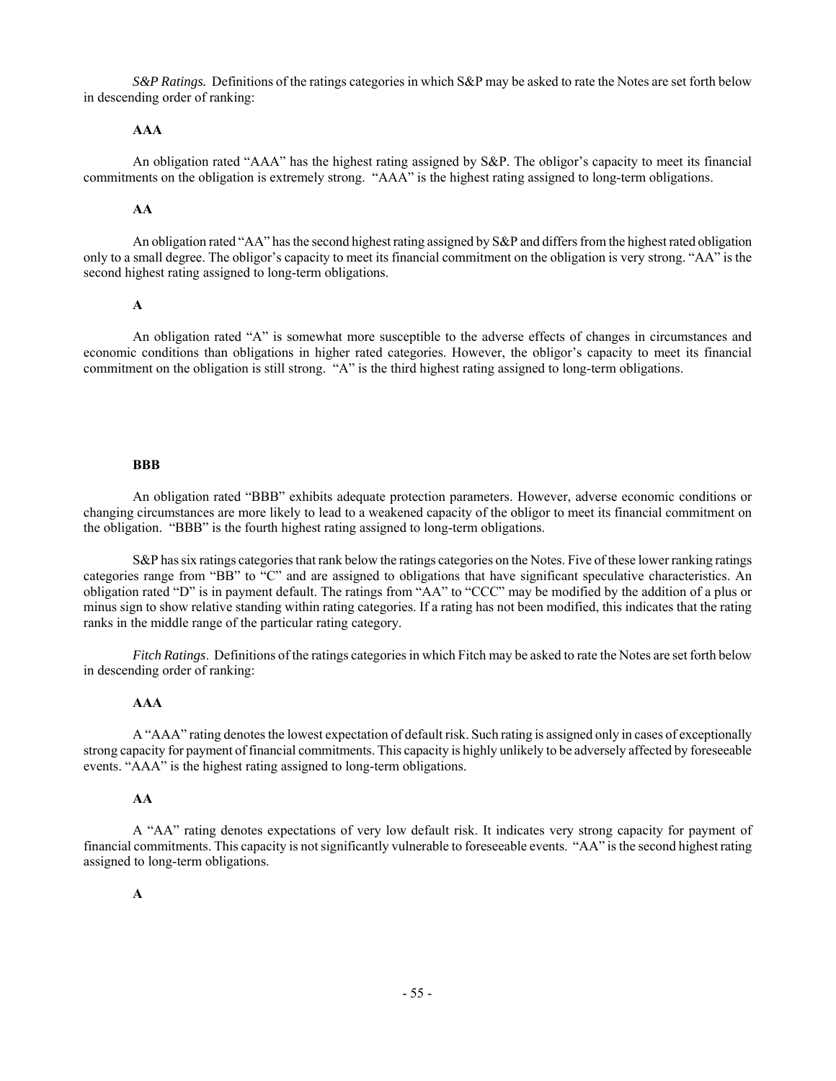*S&P Ratings.* Definitions of the ratings categories in which S&P may be asked to rate the Notes are set forth below in descending order of ranking:

## **AAA**

An obligation rated "AAA" has the highest rating assigned by S&P. The obligor's capacity to meet its financial commitments on the obligation is extremely strong. "AAA" is the highest rating assigned to long-term obligations.

## **AA**

An obligation rated "AA" has the second highest rating assigned by S&P and differs from the highest rated obligation only to a small degree. The obligor's capacity to meet its financial commitment on the obligation is very strong. "AA" is the second highest rating assigned to long-term obligations.

#### **A**

An obligation rated "A" is somewhat more susceptible to the adverse effects of changes in circumstances and economic conditions than obligations in higher rated categories. However, the obligor's capacity to meet its financial commitment on the obligation is still strong. "A" is the third highest rating assigned to long-term obligations.

#### **BBB**

An obligation rated "BBB" exhibits adequate protection parameters. However, adverse economic conditions or changing circumstances are more likely to lead to a weakened capacity of the obligor to meet its financial commitment on the obligation. "BBB" is the fourth highest rating assigned to long-term obligations.

S&P has six ratings categories that rank below the ratings categories on the Notes. Five of these lower ranking ratings categories range from "BB" to "C" and are assigned to obligations that have significant speculative characteristics. An obligation rated "D" is in payment default. The ratings from "AA" to "CCC" may be modified by the addition of a plus or minus sign to show relative standing within rating categories. If a rating has not been modified, this indicates that the rating ranks in the middle range of the particular rating category.

*Fitch Ratings*. Definitions of the ratings categories in which Fitch may be asked to rate the Notes are set forth below in descending order of ranking:

## **AAA**

A "AAA" rating denotes the lowest expectation of default risk. Such rating is assigned only in cases of exceptionally strong capacity for payment of financial commitments. This capacity is highly unlikely to be adversely affected by foreseeable events. "AAA" is the highest rating assigned to long-term obligations.

## **AA**

A "AA" rating denotes expectations of very low default risk. It indicates very strong capacity for payment of financial commitments. This capacity is not significantly vulnerable to foreseeable events. "AA" is the second highest rating assigned to long-term obligations.

## **A**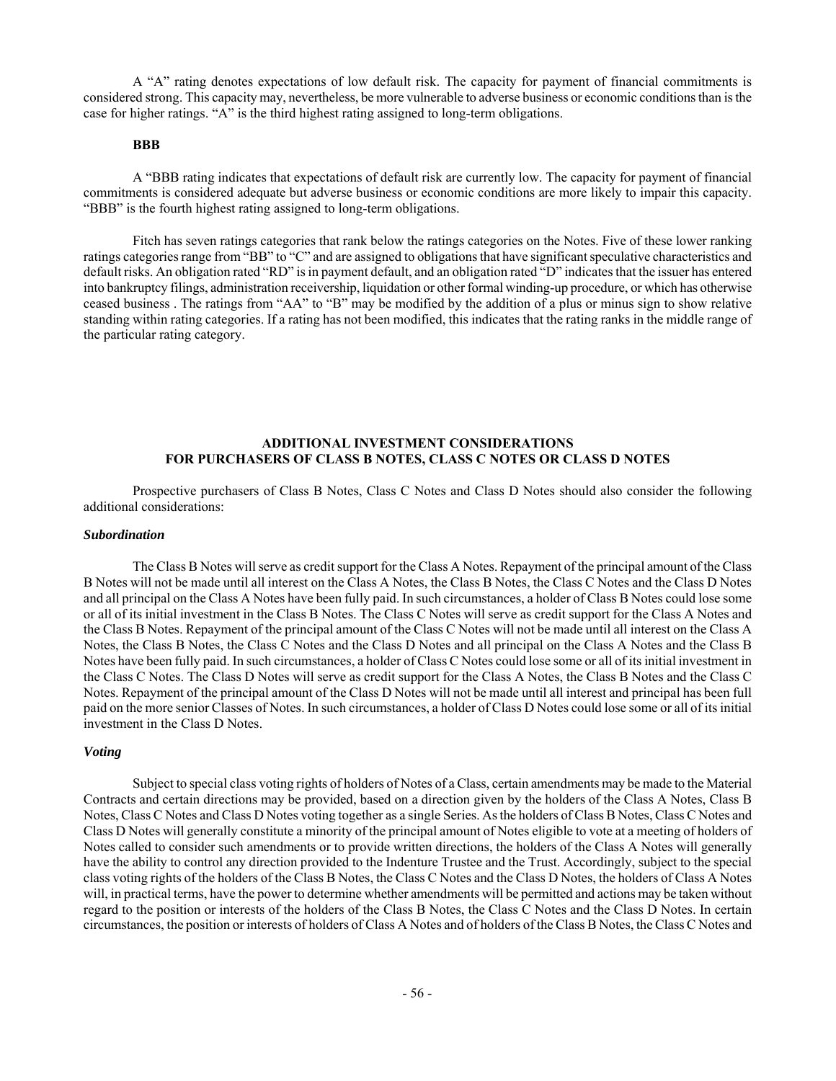A "A" rating denotes expectations of low default risk. The capacity for payment of financial commitments is considered strong. This capacity may, nevertheless, be more vulnerable to adverse business or economic conditions than is the case for higher ratings. "A" is the third highest rating assigned to long-term obligations.

## **BBB**

A "BBB rating indicates that expectations of default risk are currently low. The capacity for payment of financial commitments is considered adequate but adverse business or economic conditions are more likely to impair this capacity. "BBB" is the fourth highest rating assigned to long-term obligations.

Fitch has seven ratings categories that rank below the ratings categories on the Notes. Five of these lower ranking ratings categories range from "BB" to "C" and are assigned to obligations that have significant speculative characteristics and default risks. An obligation rated "RD" is in payment default, and an obligation rated "D" indicates that the issuer has entered into bankruptcy filings, administration receivership, liquidation or other formal winding-up procedure, or which has otherwise ceased business . The ratings from "AA" to "B" may be modified by the addition of a plus or minus sign to show relative standing within rating categories. If a rating has not been modified, this indicates that the rating ranks in the middle range of the particular rating category.

## **ADDITIONAL INVESTMENT CONSIDERATIONS FOR PURCHASERS OF CLASS B NOTES, CLASS C NOTES OR CLASS D NOTES**

Prospective purchasers of Class B Notes, Class C Notes and Class D Notes should also consider the following additional considerations:

#### *Subordination*

The Class B Notes will serve as credit support for the Class A Notes. Repayment of the principal amount of the Class B Notes will not be made until all interest on the Class A Notes, the Class B Notes, the Class C Notes and the Class D Notes and all principal on the Class A Notes have been fully paid. In such circumstances, a holder of Class B Notes could lose some or all of its initial investment in the Class B Notes. The Class C Notes will serve as credit support for the Class A Notes and the Class B Notes. Repayment of the principal amount of the Class C Notes will not be made until all interest on the Class A Notes, the Class B Notes, the Class C Notes and the Class D Notes and all principal on the Class A Notes and the Class B Notes have been fully paid. In such circumstances, a holder of Class C Notes could lose some or all of its initial investment in the Class C Notes. The Class D Notes will serve as credit support for the Class A Notes, the Class B Notes and the Class C Notes. Repayment of the principal amount of the Class D Notes will not be made until all interest and principal has been full paid on the more senior Classes of Notes. In such circumstances, a holder of Class D Notes could lose some or all of its initial investment in the Class D Notes.

## *Voting*

Subject to special class voting rights of holders of Notes of a Class, certain amendments may be made to the Material Contracts and certain directions may be provided, based on a direction given by the holders of the Class A Notes, Class B Notes, Class C Notes and Class D Notes voting together as a single Series. As the holders of Class B Notes, Class C Notes and Class D Notes will generally constitute a minority of the principal amount of Notes eligible to vote at a meeting of holders of Notes called to consider such amendments or to provide written directions, the holders of the Class A Notes will generally have the ability to control any direction provided to the Indenture Trustee and the Trust. Accordingly, subject to the special class voting rights of the holders of the Class B Notes, the Class C Notes and the Class D Notes, the holders of Class A Notes will, in practical terms, have the power to determine whether amendments will be permitted and actions may be taken without regard to the position or interests of the holders of the Class B Notes, the Class C Notes and the Class D Notes. In certain circumstances, the position or interests of holders of Class A Notes and of holders of the Class B Notes, the Class C Notes and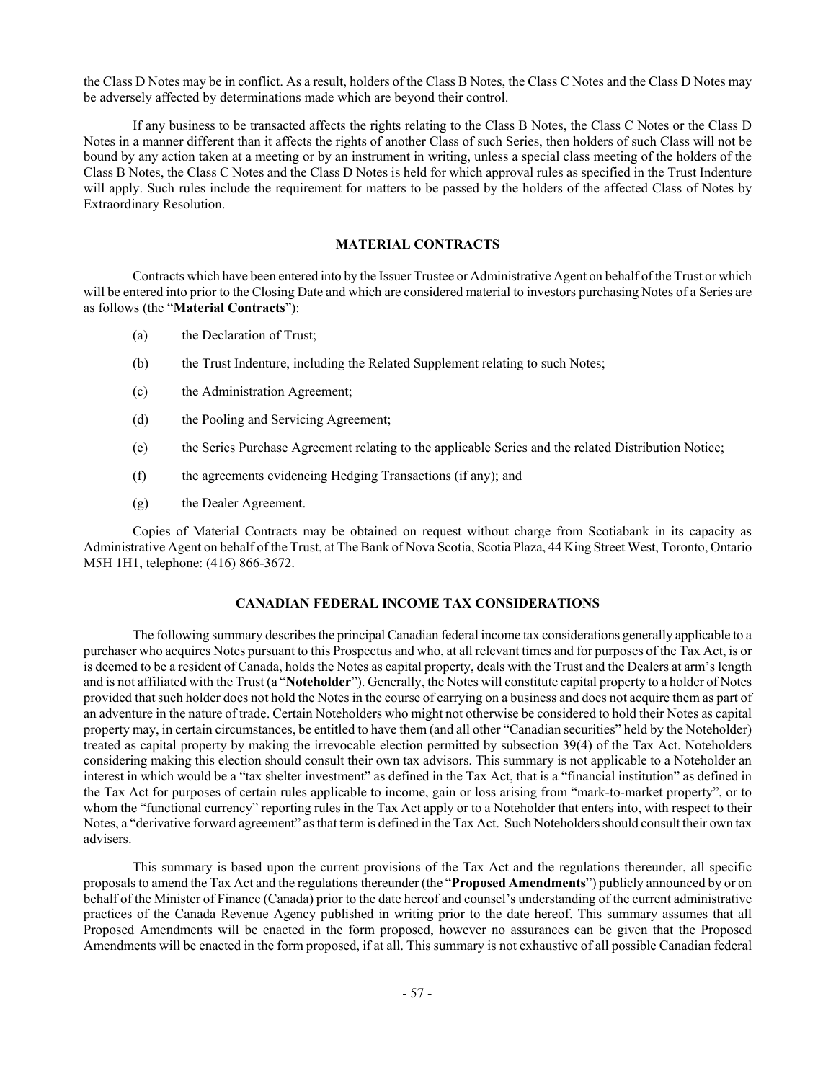the Class D Notes may be in conflict. As a result, holders of the Class B Notes, the Class C Notes and the Class D Notes may be adversely affected by determinations made which are beyond their control.

If any business to be transacted affects the rights relating to the Class B Notes, the Class C Notes or the Class D Notes in a manner different than it affects the rights of another Class of such Series, then holders of such Class will not be bound by any action taken at a meeting or by an instrument in writing, unless a special class meeting of the holders of the Class B Notes, the Class C Notes and the Class D Notes is held for which approval rules as specified in the Trust Indenture will apply. Such rules include the requirement for matters to be passed by the holders of the affected Class of Notes by Extraordinary Resolution.

## **MATERIAL CONTRACTS**

Contracts which have been entered into by the Issuer Trustee or Administrative Agent on behalf of the Trust or which will be entered into prior to the Closing Date and which are considered material to investors purchasing Notes of a Series are as follows (the "**Material Contracts**"):

- (a) the Declaration of Trust;
- (b) the Trust Indenture, including the Related Supplement relating to such Notes;
- (c) the Administration Agreement;
- (d) the Pooling and Servicing Agreement;
- (e) the Series Purchase Agreement relating to the applicable Series and the related Distribution Notice;
- (f) the agreements evidencing Hedging Transactions (if any); and
- (g) the Dealer Agreement.

Copies of Material Contracts may be obtained on request without charge from Scotiabank in its capacity as Administrative Agent on behalf of the Trust, at The Bank of Nova Scotia, Scotia Plaza, 44 King Street West, Toronto, Ontario M5H 1H1, telephone: (416) 866-3672.

## **CANADIAN FEDERAL INCOME TAX CONSIDERATIONS**

The following summary describes the principal Canadian federal income tax considerations generally applicable to a purchaser who acquires Notes pursuant to this Prospectus and who, at all relevant times and for purposes of the Tax Act, is or is deemed to be a resident of Canada, holds the Notes as capital property, deals with the Trust and the Dealers at arm's length and is not affiliated with the Trust (a "**Noteholder**"). Generally, the Notes will constitute capital property to a holder of Notes provided that such holder does not hold the Notes in the course of carrying on a business and does not acquire them as part of an adventure in the nature of trade. Certain Noteholders who might not otherwise be considered to hold their Notes as capital property may, in certain circumstances, be entitled to have them (and all other "Canadian securities" held by the Noteholder) treated as capital property by making the irrevocable election permitted by subsection 39(4) of the Tax Act. Noteholders considering making this election should consult their own tax advisors. This summary is not applicable to a Noteholder an interest in which would be a "tax shelter investment" as defined in the Tax Act, that is a "financial institution" as defined in the Tax Act for purposes of certain rules applicable to income, gain or loss arising from "mark-to-market property", or to whom the "functional currency" reporting rules in the Tax Act apply or to a Noteholder that enters into, with respect to their Notes, a "derivative forward agreement" as that term is defined in the Tax Act. Such Noteholders should consult their own tax advisers.

This summary is based upon the current provisions of the Tax Act and the regulations thereunder, all specific proposals to amend the Tax Act and the regulations thereunder (the "**Proposed Amendments**") publicly announced by or on behalf of the Minister of Finance (Canada) prior to the date hereof and counsel's understanding of the current administrative practices of the Canada Revenue Agency published in writing prior to the date hereof. This summary assumes that all Proposed Amendments will be enacted in the form proposed, however no assurances can be given that the Proposed Amendments will be enacted in the form proposed, if at all. This summary is not exhaustive of all possible Canadian federal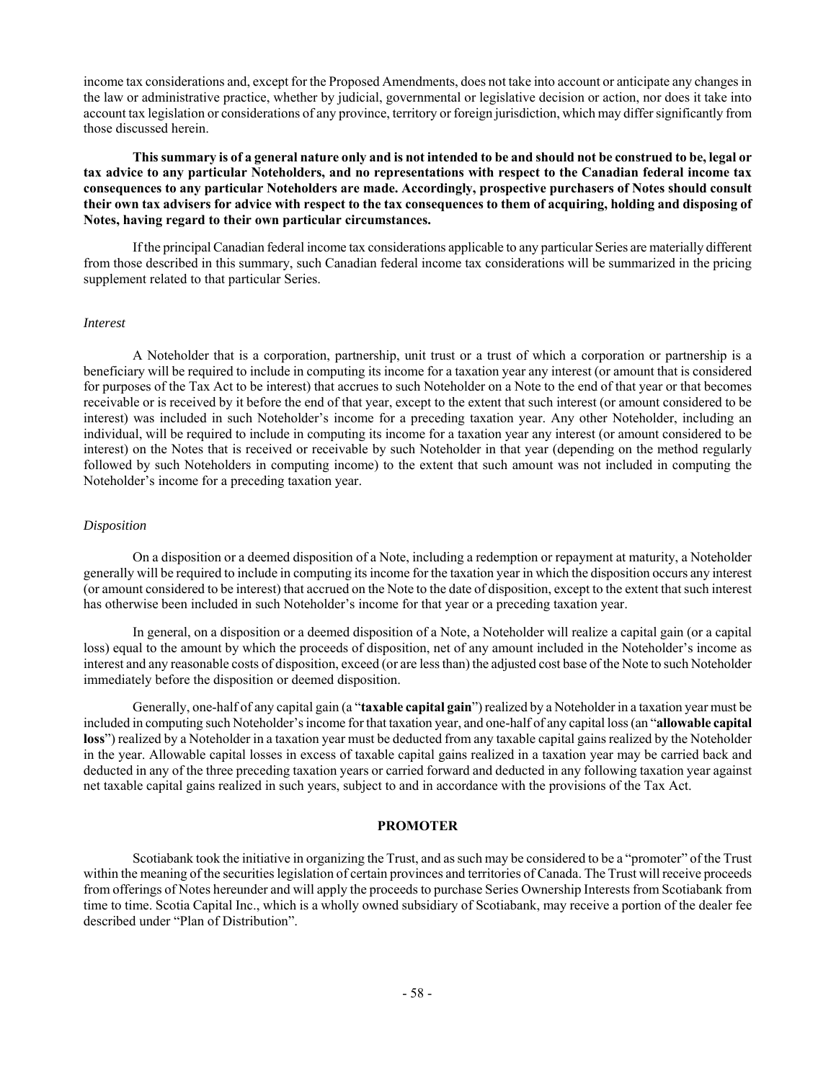income tax considerations and, except for the Proposed Amendments, does not take into account or anticipate any changes in the law or administrative practice, whether by judicial, governmental or legislative decision or action, nor does it take into account tax legislation or considerations of any province, territory or foreign jurisdiction, which may differ significantly from those discussed herein.

**This summary is of a general nature only and is not intended to be and should not be construed to be, legal or tax advice to any particular Noteholders, and no representations with respect to the Canadian federal income tax consequences to any particular Noteholders are made. Accordingly, prospective purchasers of Notes should consult their own tax advisers for advice with respect to the tax consequences to them of acquiring, holding and disposing of Notes, having regard to their own particular circumstances.** 

If the principal Canadian federal income tax considerations applicable to any particular Series are materially different from those described in this summary, such Canadian federal income tax considerations will be summarized in the pricing supplement related to that particular Series.

#### *Interest*

A Noteholder that is a corporation, partnership, unit trust or a trust of which a corporation or partnership is a beneficiary will be required to include in computing its income for a taxation year any interest (or amount that is considered for purposes of the Tax Act to be interest) that accrues to such Noteholder on a Note to the end of that year or that becomes receivable or is received by it before the end of that year, except to the extent that such interest (or amount considered to be interest) was included in such Noteholder's income for a preceding taxation year. Any other Noteholder, including an individual, will be required to include in computing its income for a taxation year any interest (or amount considered to be interest) on the Notes that is received or receivable by such Noteholder in that year (depending on the method regularly followed by such Noteholders in computing income) to the extent that such amount was not included in computing the Noteholder's income for a preceding taxation year.

## *Disposition*

On a disposition or a deemed disposition of a Note, including a redemption or repayment at maturity, a Noteholder generally will be required to include in computing its income for the taxation year in which the disposition occurs any interest (or amount considered to be interest) that accrued on the Note to the date of disposition, except to the extent that such interest has otherwise been included in such Noteholder's income for that year or a preceding taxation year.

In general, on a disposition or a deemed disposition of a Note, a Noteholder will realize a capital gain (or a capital loss) equal to the amount by which the proceeds of disposition, net of any amount included in the Noteholder's income as interest and any reasonable costs of disposition, exceed (or are less than) the adjusted cost base of the Note to such Noteholder immediately before the disposition or deemed disposition.

Generally, one-half of any capital gain (a "**taxable capital gain**") realized by a Noteholder in a taxation year must be included in computing such Noteholder's income for that taxation year, and one-half of any capital loss (an "**allowable capital loss**") realized by a Noteholder in a taxation year must be deducted from any taxable capital gains realized by the Noteholder in the year. Allowable capital losses in excess of taxable capital gains realized in a taxation year may be carried back and deducted in any of the three preceding taxation years or carried forward and deducted in any following taxation year against net taxable capital gains realized in such years, subject to and in accordance with the provisions of the Tax Act.

## **PROMOTER**

Scotiabank took the initiative in organizing the Trust, and as such may be considered to be a "promoter" of the Trust within the meaning of the securities legislation of certain provinces and territories of Canada. The Trust will receive proceeds from offerings of Notes hereunder and will apply the proceeds to purchase Series Ownership Interests from Scotiabank from time to time. Scotia Capital Inc., which is a wholly owned subsidiary of Scotiabank, may receive a portion of the dealer fee described under "Plan of Distribution".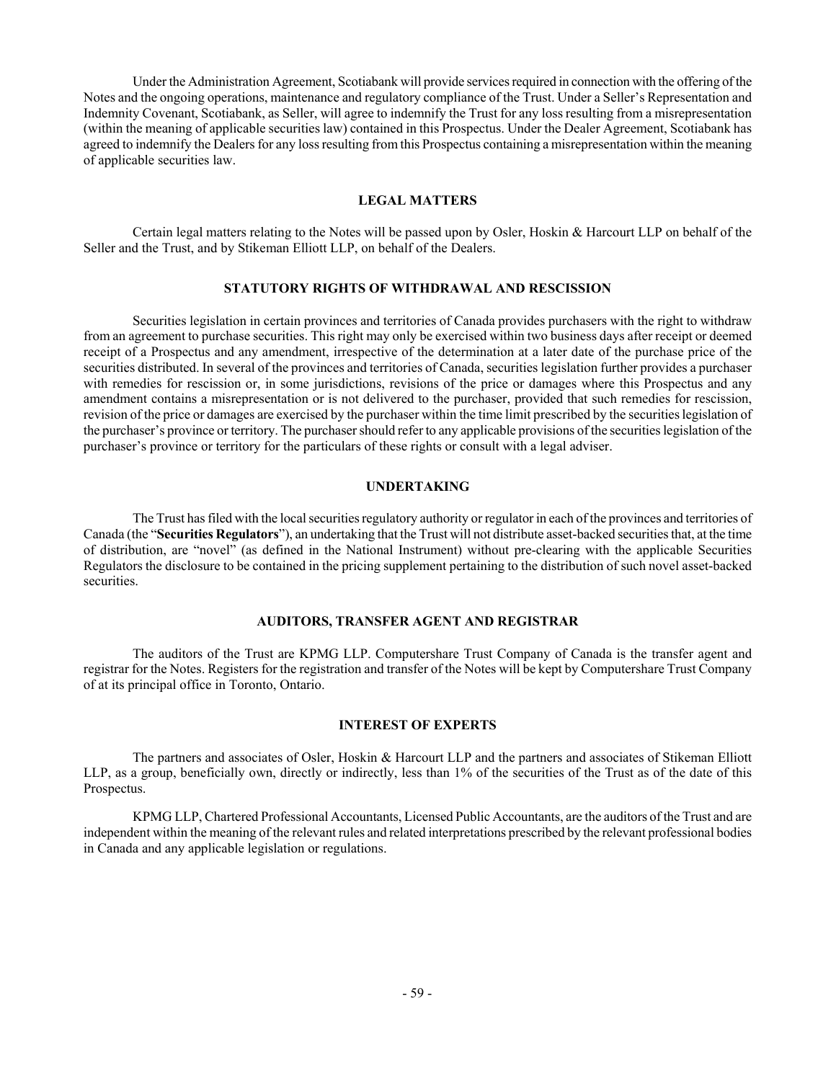Under the Administration Agreement, Scotiabank will provide services required in connection with the offering of the Notes and the ongoing operations, maintenance and regulatory compliance of the Trust. Under a Seller's Representation and Indemnity Covenant, Scotiabank, as Seller, will agree to indemnify the Trust for any loss resulting from a misrepresentation (within the meaning of applicable securities law) contained in this Prospectus. Under the Dealer Agreement, Scotiabank has agreed to indemnify the Dealers for any loss resulting from this Prospectus containing a misrepresentation within the meaning of applicable securities law.

#### **LEGAL MATTERS**

Certain legal matters relating to the Notes will be passed upon by Osler, Hoskin & Harcourt LLP on behalf of the Seller and the Trust, and by Stikeman Elliott LLP, on behalf of the Dealers.

## **STATUTORY RIGHTS OF WITHDRAWAL AND RESCISSION**

Securities legislation in certain provinces and territories of Canada provides purchasers with the right to withdraw from an agreement to purchase securities. This right may only be exercised within two business days after receipt or deemed receipt of a Prospectus and any amendment, irrespective of the determination at a later date of the purchase price of the securities distributed. In several of the provinces and territories of Canada, securities legislation further provides a purchaser with remedies for rescission or, in some jurisdictions, revisions of the price or damages where this Prospectus and any amendment contains a misrepresentation or is not delivered to the purchaser, provided that such remedies for rescission, revision of the price or damages are exercised by the purchaser within the time limit prescribed by the securities legislation of the purchaser's province or territory. The purchaser should refer to any applicable provisions of the securities legislation of the purchaser's province or territory for the particulars of these rights or consult with a legal adviser.

## **UNDERTAKING**

The Trust has filed with the local securities regulatory authority or regulator in each of the provinces and territories of Canada (the "**Securities Regulators**"), an undertaking that the Trust will not distribute asset-backed securities that, at the time of distribution, are "novel" (as defined in the National Instrument) without pre-clearing with the applicable Securities Regulators the disclosure to be contained in the pricing supplement pertaining to the distribution of such novel asset-backed securities.

## **AUDITORS, TRANSFER AGENT AND REGISTRAR**

The auditors of the Trust are KPMG LLP. Computershare Trust Company of Canada is the transfer agent and registrar for the Notes. Registers for the registration and transfer of the Notes will be kept by Computershare Trust Company of at its principal office in Toronto, Ontario.

#### **INTEREST OF EXPERTS**

The partners and associates of Osler, Hoskin & Harcourt LLP and the partners and associates of Stikeman Elliott LLP, as a group, beneficially own, directly or indirectly, less than 1% of the securities of the Trust as of the date of this Prospectus.

KPMG LLP, Chartered Professional Accountants, Licensed Public Accountants, are the auditors of the Trust and are independent within the meaning of the relevant rules and related interpretations prescribed by the relevant professional bodies in Canada and any applicable legislation or regulations.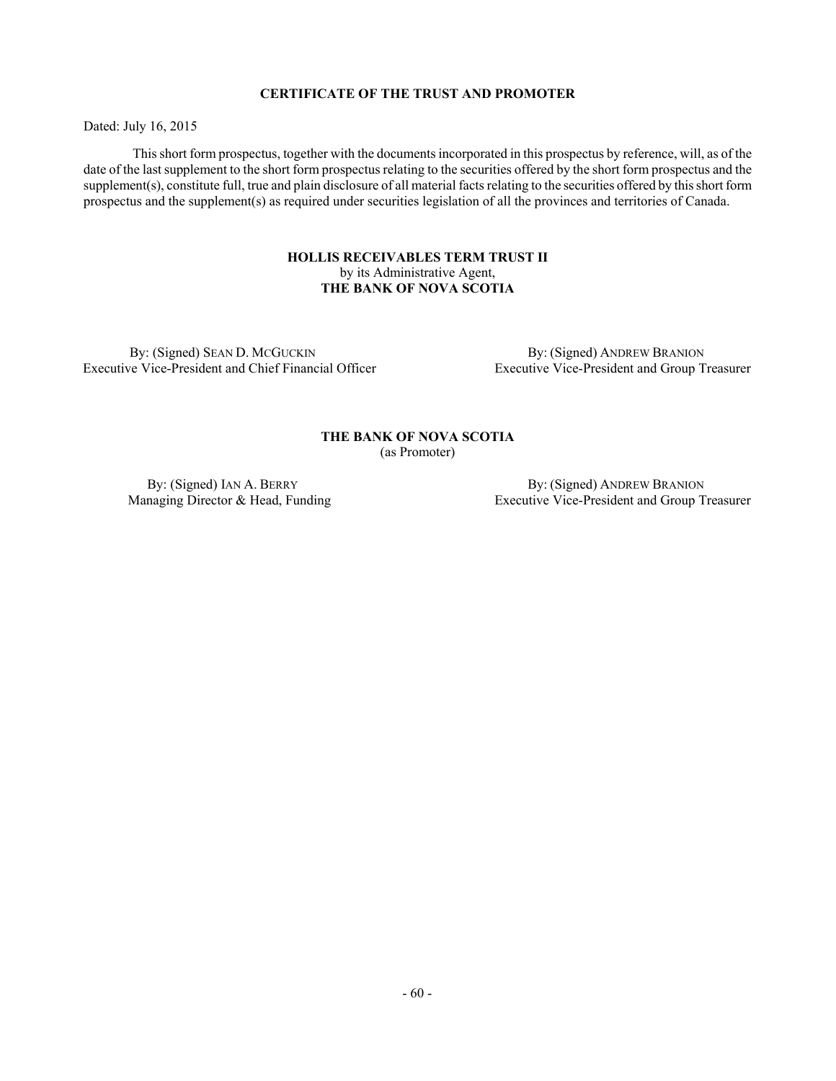## **CERTIFICATE OF THE TRUST AND PROMOTER**

Dated: July 16, 2015

This short form prospectus, together with the documents incorporated in this prospectus by reference, will, as of the date of the last supplement to the short form prospectus relating to the securities offered by the short form prospectus and the supplement(s), constitute full, true and plain disclosure of all material facts relating to the securities offered by this short form prospectus and the supplement(s) as required under securities legislation of all the provinces and territories of Canada.

## **HOLLIS RECEIVABLES TERM TRUST II**  by its Administrative Agent, **THE BANK OF NOVA SCOTIA**

By: (Signed) SEAN D. MCGUCKIN Executive Vice-President and Chief Financial Officer

 By: (Signed) ANDREW BRANION Executive Vice-President and Group Treasurer

## **THE BANK OF NOVA SCOTIA** (as Promoter)

By: (Signed) IAN A. BERRY Managing Director & Head, Funding

 By: (Signed) ANDREW BRANION Executive Vice-President and Group Treasurer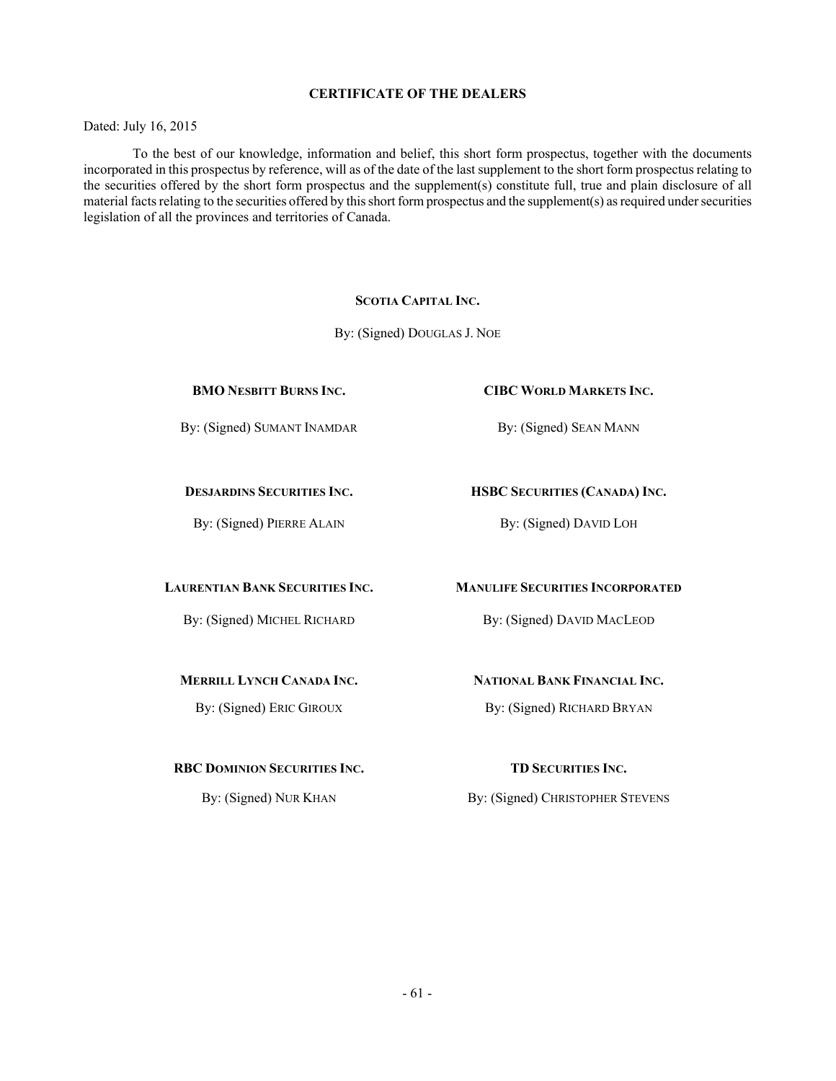## **CERTIFICATE OF THE DEALERS**

Dated: July 16, 2015

To the best of our knowledge, information and belief, this short form prospectus, together with the documents incorporated in this prospectus by reference, will as of the date of the last supplement to the short form prospectus relating to the securities offered by the short form prospectus and the supplement(s) constitute full, true and plain disclosure of all material facts relating to the securities offered by this short form prospectus and the supplement(s) as required under securities legislation of all the provinces and territories of Canada.

## **SCOTIA CAPITAL INC.**

By: (Signed) DOUGLAS J. NOE

By: (Signed) SUMANT INAMDAR By: (Signed) SEAN MANN

## **BMO NESBITT BURNS INC. CIBC WORLD MARKETS INC.**

## **DESJARDINS SECURITIES INC. HSBC SECURITIES (CANADA) INC.**

By: (Signed) PIERRE ALAIN By: (Signed) DAVID LOH

#### **LAURENTIAN BANK SECURITIES INC. MANULIFE SECURITIES INCORPORATED**

By: (Signed) MICHEL RICHARD By: (Signed) DAVID MACLEOD

## **MERRILL LYNCH CANADA INC. NATIONAL BANK FINANCIAL INC.**

By: (Signed) ERIC GIROUX By: (Signed) RICHARD BRYAN

#### **RBC DOMINION SECURITIES INC. TD SECURITIES INC.**

By: (Signed) NUR KHAN By: (Signed) CHRISTOPHER STEVENS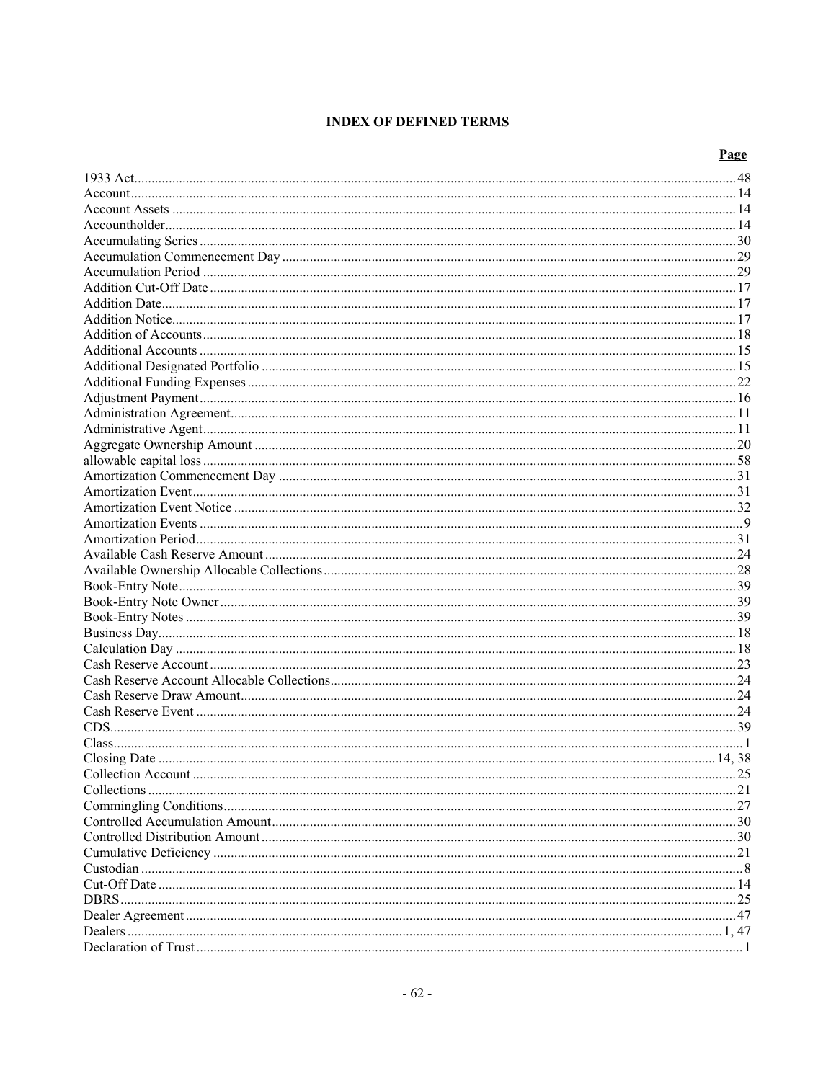# **INDEX OF DEFINED TERMS**

# Page

| Collection Account | 25 |
|--------------------|----|
|                    |    |
|                    |    |
|                    |    |
|                    |    |
|                    |    |
|                    |    |
|                    |    |
|                    |    |
|                    |    |
|                    |    |
|                    |    |